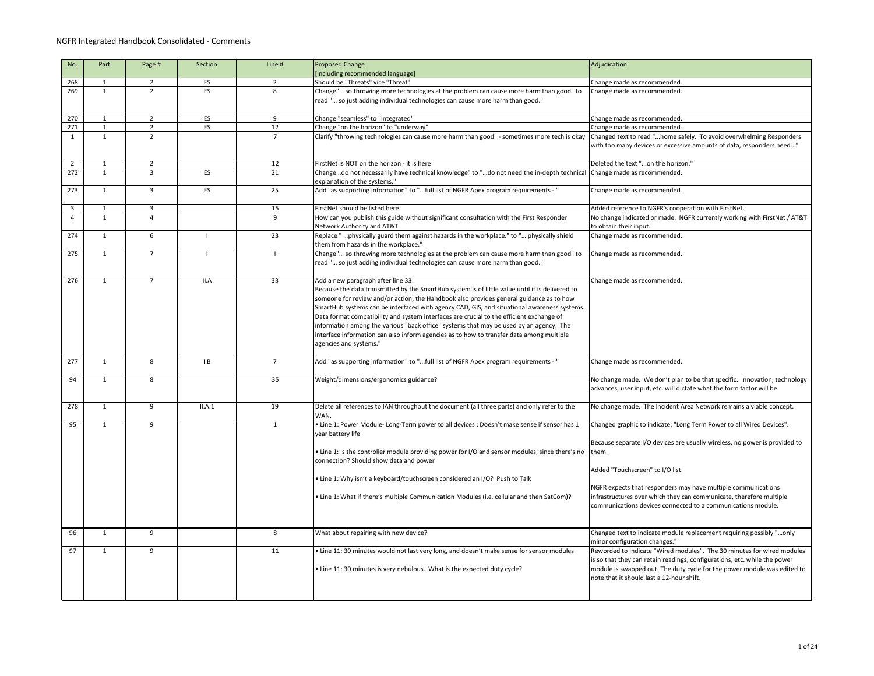| 268<br>269     | $\mathbf{1}$<br>1 | $2^{\circ}$<br>$\overline{2}$ | ES     | $\overline{2}$ | [including recommended language]<br>Should be "Threats" vice "Threat"                                                                                                                                                                                                                                                                                                                                                                                                                                                                                                                                                                      | Change made as recommended.                                                                                                                                                                                                                                                  |
|----------------|-------------------|-------------------------------|--------|----------------|--------------------------------------------------------------------------------------------------------------------------------------------------------------------------------------------------------------------------------------------------------------------------------------------------------------------------------------------------------------------------------------------------------------------------------------------------------------------------------------------------------------------------------------------------------------------------------------------------------------------------------------------|------------------------------------------------------------------------------------------------------------------------------------------------------------------------------------------------------------------------------------------------------------------------------|
|                |                   |                               |        |                |                                                                                                                                                                                                                                                                                                                                                                                                                                                                                                                                                                                                                                            |                                                                                                                                                                                                                                                                              |
|                |                   |                               | ES     | 8              | Change" so throwing more technologies at the problem can cause more harm than good" to<br>read " so just adding individual technologies can cause more harm than good."                                                                                                                                                                                                                                                                                                                                                                                                                                                                    | Change made as recommended.                                                                                                                                                                                                                                                  |
| 270            | 1                 | $\overline{2}$                | ES     | 9              | Change "seamless" to "integrated"                                                                                                                                                                                                                                                                                                                                                                                                                                                                                                                                                                                                          | Change made as recommended.                                                                                                                                                                                                                                                  |
| 271            | 1                 | $\overline{2}$                | ES     | 12             | Change "on the horizon" to "underway"                                                                                                                                                                                                                                                                                                                                                                                                                                                                                                                                                                                                      | Change made as recommended.                                                                                                                                                                                                                                                  |
| 1              | $\mathbf{1}$      | $\mathcal{L}$                 |        |                | Clarify "throwing technologies can cause more harm than good" - sometimes more tech is okay                                                                                                                                                                                                                                                                                                                                                                                                                                                                                                                                                | Changed text to read "home safely. To avoid overwhelming Responders<br>with too many devices or excessive amounts of data, responders need"                                                                                                                                  |
| $\overline{2}$ | $\mathbf 1$       | $2^{\circ}$                   |        | 12             | FirstNet is NOT on the horizon - it is here                                                                                                                                                                                                                                                                                                                                                                                                                                                                                                                                                                                                | Deleted the text "on the horizon."                                                                                                                                                                                                                                           |
| 272            | 1                 | 3                             | ES     | 21             | Change do not necessarily have technical knowledge" to "do not need the in-depth technical  Change made as recommended.<br>explanation of the systems."                                                                                                                                                                                                                                                                                                                                                                                                                                                                                    |                                                                                                                                                                                                                                                                              |
| 273            | 1                 | $\mathbf{3}$                  | ES     | 25             | Add "as supporting information" to "full list of NGFR Apex program requirements - "                                                                                                                                                                                                                                                                                                                                                                                                                                                                                                                                                        | Change made as recommended.                                                                                                                                                                                                                                                  |
| $\mathbf{3}$   | 1                 | $\mathbf{3}$                  |        | 15             | FirstNet should be listed here                                                                                                                                                                                                                                                                                                                                                                                                                                                                                                                                                                                                             | Added reference to NGFR's cooperation with FirstNet.                                                                                                                                                                                                                         |
| 4              | $\mathbf{1}$      | Δ                             |        | 9              | How can you publish this guide without significant consultation with the First Responder<br>Network Authority and AT&T                                                                                                                                                                                                                                                                                                                                                                                                                                                                                                                     | No change indicated or made. NGFR currently working with FirstNet / AT&T<br>to obtain their input.                                                                                                                                                                           |
| 274            | 1                 | 6                             |        | 23             | Replace " physically guard them against hazards in the workplace." to " physically shield<br>them from hazards in the workplace."                                                                                                                                                                                                                                                                                                                                                                                                                                                                                                          | Change made as recommended.                                                                                                                                                                                                                                                  |
| 275            | 1                 |                               |        |                | Change" so throwing more technologies at the problem can cause more harm than good" to<br>read " so just adding individual technologies can cause more harm than good."                                                                                                                                                                                                                                                                                                                                                                                                                                                                    | Change made as recommended.                                                                                                                                                                                                                                                  |
| 276            | -1                |                               | II.A   | 33             | Add a new paragraph after line 33:<br>Because the data transmitted by the SmartHub system is of little value until it is delivered to<br>someone for review and/or action, the Handbook also provides general guidance as to how<br>SmartHub systems can be interfaced with agency CAD, GIS, and situational awareness systems.<br>Data format compatibility and system interfaces are crucial to the efficient exchange of<br>information among the various "back office" systems that may be used by an agency. The<br>nterface information can also inform agencies as to how to transfer data among multiple<br>agencies and systems." | Change made as recommended.                                                                                                                                                                                                                                                  |
| 277            | $\mathbf 1$       | 8                             | I.B    | $\overline{7}$ | Add "as supporting information" to "full list of NGFR Apex program requirements - "                                                                                                                                                                                                                                                                                                                                                                                                                                                                                                                                                        | Change made as recommended.                                                                                                                                                                                                                                                  |
| 94             | 1                 | 8                             |        | 35             | Weight/dimensions/ergonomics guidance?                                                                                                                                                                                                                                                                                                                                                                                                                                                                                                                                                                                                     | No change made. We don't plan to be that specific. Innovation, technology<br>advances, user input, etc. will dictate what the form factor will be.                                                                                                                           |
| 278            | $\mathbf 1$       | 9                             | II.A.1 | 19             | Delete all references to IAN throughout the document (all three parts) and only refer to the<br>WAN.                                                                                                                                                                                                                                                                                                                                                                                                                                                                                                                                       | No change made. The Incident Area Network remains a viable concept.                                                                                                                                                                                                          |
| 95             | $\mathbf{1}$      | 9                             |        | 1              | . Line 1: Power Module- Long-Term power to all devices : Doesn't make sense if sensor has 1<br>year battery life<br>• Line 1: Is the controller module providing power for I/O and sensor modules, since there's no them.<br>connection? Should show data and power<br>• Line 1: Why isn't a keyboard/touchscreen considered an I/O? Push to Talk                                                                                                                                                                                                                                                                                          | Changed graphic to indicate: "Long Term Power to all Wired Devices".<br>Because separate I/O devices are usually wireless, no power is provided to<br>Added "Touchscreen" to I/O list<br>NGFR expects that responders may have multiple communications                       |
|                |                   |                               |        |                | • Line 1: What if there's multiple Communication Modules (i.e. cellular and then SatCom)?                                                                                                                                                                                                                                                                                                                                                                                                                                                                                                                                                  | infrastructures over which they can communicate, therefore multiple<br>communications devices connected to a communications module.                                                                                                                                          |
| 96             | 1                 | 9                             |        | 8              | What about repairing with new device?                                                                                                                                                                                                                                                                                                                                                                                                                                                                                                                                                                                                      | Changed text to indicate module replacement requiring possibly "only<br>minor configuration changes."                                                                                                                                                                        |
| 97             | 1                 | 9                             |        | 11             | . Line 11: 30 minutes would not last very long, and doesn't make sense for sensor modules<br>• Line 11: 30 minutes is very nebulous. What is the expected duty cycle?                                                                                                                                                                                                                                                                                                                                                                                                                                                                      | Reworded to indicate "Wired modules". The 30 minutes for wired modules<br>is so that they can retain readings, configurations, etc. while the power<br>module is swapped out. The duty cycle for the power module was edited to<br>note that it should last a 12-hour shift. |

|      | Adjudication                                                                                                          |
|------|-----------------------------------------------------------------------------------------------------------------------|
|      |                                                                                                                       |
|      | Change made as recommended.                                                                                           |
| to   | Change made as recommended.                                                                                           |
|      |                                                                                                                       |
|      |                                                                                                                       |
|      | Change made as recommended.                                                                                           |
|      | Change made as recommended.                                                                                           |
| kay  | Changed text to read "home safely. To avoid overwhelming Responders                                                   |
|      | with too many devices or excessive amounts of data, responders need"                                                  |
|      |                                                                                                                       |
|      | Deleted the text "on the horizon."                                                                                    |
| ical | Change made as recommended.                                                                                           |
|      | Change made as recommended.                                                                                           |
|      |                                                                                                                       |
|      | Added reference to NGFR's cooperation with FirstNet.                                                                  |
|      | No change indicated or made. NGFR currently working with FirstNet / AT&T                                              |
|      | to obtain their input.                                                                                                |
|      | Change made as recommended.                                                                                           |
|      |                                                                                                                       |
| to   | Change made as recommended.                                                                                           |
|      |                                                                                                                       |
|      |                                                                                                                       |
|      | Change made as recommended.                                                                                           |
|      |                                                                                                                       |
|      |                                                                                                                       |
| ms.  |                                                                                                                       |
|      |                                                                                                                       |
|      |                                                                                                                       |
|      |                                                                                                                       |
|      |                                                                                                                       |
|      |                                                                                                                       |
|      | Change made as recommended.                                                                                           |
|      |                                                                                                                       |
|      | No change made. We don't plan to be that specific. Innovation, technology                                             |
|      | advances, user input, etc. will dictate what the form factor will be.                                                 |
|      | No change made. The Incident Area Network remains a viable concept.                                                   |
|      |                                                                                                                       |
| 1    | Changed graphic to indicate: "Long Term Power to all Wired Devices".                                                  |
|      |                                                                                                                       |
|      | Because separate I/O devices are usually wireless, no power is provided to                                            |
| no   | them.                                                                                                                 |
|      |                                                                                                                       |
|      | Added "Touchscreen" to I/O list                                                                                       |
|      |                                                                                                                       |
|      | NGFR expects that responders may have multiple communications                                                         |
|      | infrastructures over which they can communicate, therefore multiple                                                   |
|      | communications devices connected to a communications module.                                                          |
|      |                                                                                                                       |
|      |                                                                                                                       |
|      | Changed text to indicate module replacement requiring possibly "only                                                  |
|      | minor configuration changes."                                                                                         |
|      | Reworded to indicate "Wired modules". The 30 minutes for wired modules                                                |
|      | is so that they can retain readings, configurations, etc. while the power                                             |
|      | module is swapped out. The duty cycle for the power module was edited to<br>note that it should last a 12-hour shift. |
|      |                                                                                                                       |
|      |                                                                                                                       |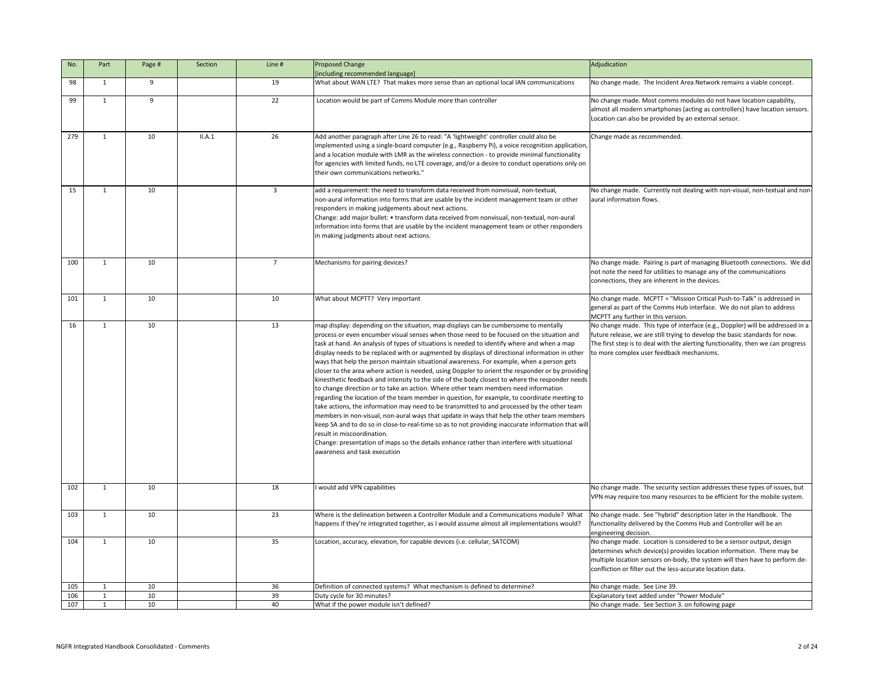|                                                          | Adjudication                                                                                                                                                                                                                                                                                                                                                              |
|----------------------------------------------------------|---------------------------------------------------------------------------------------------------------------------------------------------------------------------------------------------------------------------------------------------------------------------------------------------------------------------------------------------------------------------------|
|                                                          | No change made. The Incident Area Network remains a viable concept.                                                                                                                                                                                                                                                                                                       |
|                                                          | No change made. Most comms modules do not have location capability,<br>almost all modern smartphones (acting as controllers) have location sensors.<br>Location can also be provided by an external sensor.                                                                                                                                                               |
| tion,<br>ty<br>on/                                       | Change made as recommended.                                                                                                                                                                                                                                                                                                                                               |
| r<br>ers                                                 | No change made. Currently not dealing with non-visual, non-textual and non-<br>aural information flows.                                                                                                                                                                                                                                                                   |
|                                                          | No change made. Pairing is part of managing Bluetooth connections. We did<br>not note the need for utilities to manage any of the communications<br>connections, they are inherent in the devices.                                                                                                                                                                        |
|                                                          | No change made. MCPTT = "Mission Critical Push-to-Talk" is addressed in<br>general as part of the Comms Hub interface. We do not plan to address<br>MCPTT any further in this version.                                                                                                                                                                                    |
| d<br>าer<br>iding<br>eeds<br>; to<br>ım<br>ers<br>t will | No change made. This type of interface (e.g., Doppler) will be addressed in a<br>future release, we are still trying to develop the basic standards for now.<br>The first step is to deal with the alerting functionality, then we can progress<br>to more complex user feedback mechanisms.<br>No change made. The security section addresses these types of issues, but |
|                                                          | VPN may require too many resources to be efficient for the mobile system.                                                                                                                                                                                                                                                                                                 |
| าat<br>٩?                                                | No change made. See "hybrid" description later in the Handbook. The<br>functionality delivered by the Comms Hub and Controller will be an<br>engineering decision.                                                                                                                                                                                                        |
|                                                          | No change made. Location is considered to be a sensor output, design<br>determines which device(s) provides location information. There may be<br>multiple location sensors on-body, the system will then have to perform de-<br>confliction or filter out the less-accurate location data.                                                                               |
|                                                          | No change made. See Line 39.                                                                                                                                                                                                                                                                                                                                              |
|                                                          | Explanatory text added under "Power Module"<br>No change made. See Section 3. on following page                                                                                                                                                                                                                                                                           |

| No. | Part         | Page # | Section | Line # | <b>Proposed Change</b>                                                                                                                                                                                                                                                                                                                                                                                                                                                                                                                                                                                                                                                                                                                                                                                                                                                                                                                                                                                                                                                                                                                                                                                                                                                                                                                                                                     | Adjudication                                                                                                                                                                                                                                                                                |
|-----|--------------|--------|---------|--------|--------------------------------------------------------------------------------------------------------------------------------------------------------------------------------------------------------------------------------------------------------------------------------------------------------------------------------------------------------------------------------------------------------------------------------------------------------------------------------------------------------------------------------------------------------------------------------------------------------------------------------------------------------------------------------------------------------------------------------------------------------------------------------------------------------------------------------------------------------------------------------------------------------------------------------------------------------------------------------------------------------------------------------------------------------------------------------------------------------------------------------------------------------------------------------------------------------------------------------------------------------------------------------------------------------------------------------------------------------------------------------------------|---------------------------------------------------------------------------------------------------------------------------------------------------------------------------------------------------------------------------------------------------------------------------------------------|
|     |              |        |         |        | [including recommended language]                                                                                                                                                                                                                                                                                                                                                                                                                                                                                                                                                                                                                                                                                                                                                                                                                                                                                                                                                                                                                                                                                                                                                                                                                                                                                                                                                           |                                                                                                                                                                                                                                                                                             |
| 98  | 1            | 9      |         | 19     | What about WAN LTE? That makes more sense than an optional local IAN communications                                                                                                                                                                                                                                                                                                                                                                                                                                                                                                                                                                                                                                                                                                                                                                                                                                                                                                                                                                                                                                                                                                                                                                                                                                                                                                        | No change made. The Incident Area Network remains a viable concept.                                                                                                                                                                                                                         |
| 99  | $\mathbf{1}$ | 9      |         | 22     | Location would be part of Comms Module more than controller                                                                                                                                                                                                                                                                                                                                                                                                                                                                                                                                                                                                                                                                                                                                                                                                                                                                                                                                                                                                                                                                                                                                                                                                                                                                                                                                | No change made. Most comms modules do not have location capability,<br>almost all modern smartphones (acting as controllers) have location sensors.<br>Location can also be provided by an external sensor.                                                                                 |
| 279 | $\mathbf{1}$ | 10     | II.A.1  | 26     | Add another paragraph after Line 26 to read: "A 'lightweight' controller could also be<br>implemented using a single-board computer (e.g., Raspberry Pi), a voice recognition application,<br>and a location module with LMR as the wireless connection - to provide minimal functionality<br>for agencies with limited funds, no LTE coverage, and/or a desire to conduct operations only on<br>their own communications networks."                                                                                                                                                                                                                                                                                                                                                                                                                                                                                                                                                                                                                                                                                                                                                                                                                                                                                                                                                       | Change made as recommended.                                                                                                                                                                                                                                                                 |
| 15  | $\mathbf 1$  | 10     |         | 3      | add a requirement: the need to transform data received from nonvisual, non-textual,<br>non-aural information into forms that are usable by the incident management team or other<br>responders in making judgements about next actions.<br>Change: add major bullet: • transform data received from nonvisual, non-textual, non-aural<br>information into forms that are usable by the incident management team or other responders<br>in making judgments about next actions.                                                                                                                                                                                                                                                                                                                                                                                                                                                                                                                                                                                                                                                                                                                                                                                                                                                                                                             | No change made. Currently not dealing with non-visual, non-textual and non-<br>aural information flows.                                                                                                                                                                                     |
| 100 |              | 10     |         |        | Mechanisms for pairing devices?                                                                                                                                                                                                                                                                                                                                                                                                                                                                                                                                                                                                                                                                                                                                                                                                                                                                                                                                                                                                                                                                                                                                                                                                                                                                                                                                                            | No change made. Pairing is part of managing Bluetooth connections. We did<br>not note the need for utilities to manage any of the communications<br>connections, they are inherent in the devices.                                                                                          |
| 101 | 1            | 10     |         | 10     | What about MCPTT? Very important                                                                                                                                                                                                                                                                                                                                                                                                                                                                                                                                                                                                                                                                                                                                                                                                                                                                                                                                                                                                                                                                                                                                                                                                                                                                                                                                                           | No change made. MCPTT = "Mission Critical Push-to-Talk" is addressed in<br>general as part of the Comms Hub interface. We do not plan to address<br>MCPTT any further in this version.                                                                                                      |
| 16  | 1            | 10     |         | 13     | map display: depending on the situation, map displays can be cumbersome to mentally<br>process or even encumber visual senses when those need to be focused on the situation and<br>task at hand. An analysis of types of situations is needed to identify where and when a map<br>display needs to be replaced with or augmented by displays of directional information in other $\,$ to more complex user feedback mechanisms.<br>ways that help the person maintain situational awareness. For example, when a person gets<br>closer to the area where action is needed, using Doppler to orient the responder or by providing<br>kinesthetic feedback and intensity to the side of the body closest to where the responder needs<br>to change direction or to take an action. Where other team members need information<br>regarding the location of the team member in question, for example, to coordinate meeting to<br>take actions, the information may need to be transmitted to and processed by the other team<br>members in non-visual, non-aural ways that update in ways that help the other team members<br>keep SA and to do so in close-to-real-time so as to not providing inaccurate information that will<br>result in miscoordination.<br>Change: presentation of maps so the details enhance rather than interfere with situational<br>awareness and task execution | No change made. This type of interface (e.g., Doppler) will be addressed in a<br>future release, we are still trying to develop the basic standards for now.<br>The first step is to deal with the alerting functionality, then we can progress                                             |
| 102 | $\mathbf{1}$ | 10     |         | 18     | would add VPN capabilities                                                                                                                                                                                                                                                                                                                                                                                                                                                                                                                                                                                                                                                                                                                                                                                                                                                                                                                                                                                                                                                                                                                                                                                                                                                                                                                                                                 | No change made. The security section addresses these types of issues, but<br>VPN may require too many resources to be efficient for the mobile system.                                                                                                                                      |
| 103 | 1            | 10     |         | 23     | Where is the delineation between a Controller Module and a Communications module? What<br>happens if they're integrated together, as I would assume almost all implementations would?                                                                                                                                                                                                                                                                                                                                                                                                                                                                                                                                                                                                                                                                                                                                                                                                                                                                                                                                                                                                                                                                                                                                                                                                      | No change made. See "hybrid" description later in the Handbook. The<br>functionality delivered by the Comms Hub and Controller will be an<br>engineering decision.                                                                                                                          |
| 104 | $\mathbf{1}$ | 10     |         | 35     | Location, accuracy, elevation, for capable devices (i.e. cellular, SATCOM)                                                                                                                                                                                                                                                                                                                                                                                                                                                                                                                                                                                                                                                                                                                                                                                                                                                                                                                                                                                                                                                                                                                                                                                                                                                                                                                 | No change made. Location is considered to be a sensor output, design<br>determines which device(s) provides location information. There may be<br>multiple location sensors on-body, the system will then have to perform de-<br>confliction or filter out the less-accurate location data. |
| 105 | $\mathbf{1}$ | 10     |         | 36     | Definition of connected systems? What mechanism is defined to determine?                                                                                                                                                                                                                                                                                                                                                                                                                                                                                                                                                                                                                                                                                                                                                                                                                                                                                                                                                                                                                                                                                                                                                                                                                                                                                                                   | No change made. See Line 39.                                                                                                                                                                                                                                                                |
| 106 |              | 10     |         | 39     | Duty cycle for 30 minutes?                                                                                                                                                                                                                                                                                                                                                                                                                                                                                                                                                                                                                                                                                                                                                                                                                                                                                                                                                                                                                                                                                                                                                                                                                                                                                                                                                                 | Explanatory text added under "Power Module"                                                                                                                                                                                                                                                 |
| 107 | 1            | 10     |         | 40     | What if the power module isn't defined?                                                                                                                                                                                                                                                                                                                                                                                                                                                                                                                                                                                                                                                                                                                                                                                                                                                                                                                                                                                                                                                                                                                                                                                                                                                                                                                                                    | No change made. See Section 3. on following page                                                                                                                                                                                                                                            |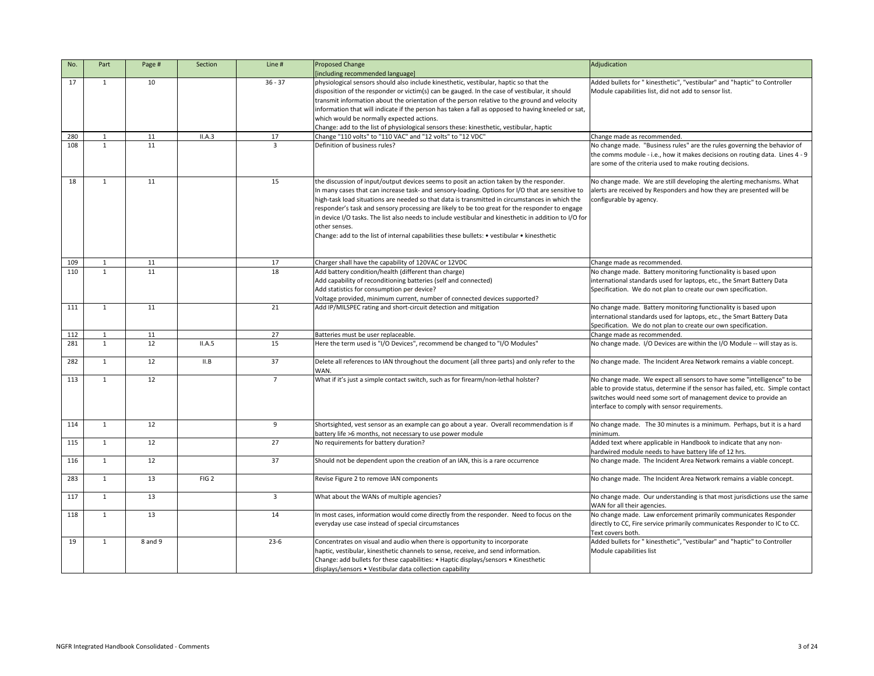| No. | Part         | Page #  | Section          | Line #         | <b>Proposed Change</b><br>[including recommended language]                                            | Adjudication                                                                                             |
|-----|--------------|---------|------------------|----------------|-------------------------------------------------------------------------------------------------------|----------------------------------------------------------------------------------------------------------|
|     | $\mathbf 1$  | 10      |                  | $36 - 37$      |                                                                                                       |                                                                                                          |
| 17  |              |         |                  |                | physiological sensors should also include kinesthetic, vestibular, haptic so that the                 | Added bullets for " kinesthetic", "vestibular" and "haptic" to Controller                                |
|     |              |         |                  |                | disposition of the responder or victim(s) can be gauged. In the case of vestibular, it should         | Module capabilities list, did not add to sensor list.                                                    |
|     |              |         |                  |                | transmit information about the orientation of the person relative to the ground and velocity          |                                                                                                          |
|     |              |         |                  |                | information that will indicate if the person has taken a fall as opposed to having kneeled or sat,    |                                                                                                          |
|     |              |         |                  |                | which would be normally expected actions.                                                             |                                                                                                          |
|     |              |         |                  |                | Change: add to the list of physiological sensors these: kinesthetic, vestibular, haptic               |                                                                                                          |
| 280 |              | 11      | II.A.3           | 17             | Change "110 volts" to "110 VAC" and "12 volts" to "12 VDC"                                            | Change made as recommended.                                                                              |
| 108 | $\mathbf{1}$ | 11      |                  | $\mathbf{3}$   | Definition of business rules?                                                                         | No change made. "Business rules" are the rules governing the behavior of                                 |
|     |              |         |                  |                |                                                                                                       | the comms module - i.e., how it makes decisions on routing data. Lines 4 - 9                             |
|     |              |         |                  |                |                                                                                                       |                                                                                                          |
|     |              |         |                  |                |                                                                                                       | are some of the criteria used to make routing decisions.                                                 |
| 18  | $\mathbf{1}$ | 11      |                  | 15             | the discussion of input/output devices seems to posit an action taken by the responder.               | No change made. We are still developing the alerting mechanisms. What                                    |
|     |              |         |                  |                | In many cases that can increase task- and sensory-loading. Options for I/O that are sensitive to      | alerts are received by Responders and how they are presented will be                                     |
|     |              |         |                  |                |                                                                                                       |                                                                                                          |
|     |              |         |                  |                | high-task load situations are needed so that data is transmitted in circumstances in which the        | configurable by agency.                                                                                  |
|     |              |         |                  |                | responder's task and sensory processing are likely to be too great for the responder to engage        |                                                                                                          |
|     |              |         |                  |                | in device I/O tasks. The list also needs to include vestibular and kinesthetic in addition to I/O for |                                                                                                          |
|     |              |         |                  |                | other senses.                                                                                         |                                                                                                          |
|     |              |         |                  |                | Change: add to the list of internal capabilities these bullets: • vestibular • kinesthetic            |                                                                                                          |
|     |              |         |                  |                |                                                                                                       |                                                                                                          |
|     |              |         |                  |                |                                                                                                       |                                                                                                          |
| 109 |              | 11      |                  | 17             | Charger shall have the capability of 120VAC or 12VDC                                                  | Change made as recommended.                                                                              |
| 110 | $\mathbf{1}$ | 11      |                  | 18             | Add battery condition/health (different than charge)                                                  | No change made. Battery monitoring functionality is based upon                                           |
|     |              |         |                  |                | Add capability of reconditioning batteries (self and connected)                                       | international standards used for laptops, etc., the Smart Battery Data                                   |
|     |              |         |                  |                | Add statistics for consumption per device?                                                            | Specification. We do not plan to create our own specification.                                           |
|     |              |         |                  |                | Voltage provided, minimum current, number of connected devices supported?                             |                                                                                                          |
|     |              |         |                  |                |                                                                                                       |                                                                                                          |
| 111 | $\mathbf{1}$ | 11      |                  | 21             | Add IP/MILSPEC rating and short-circuit detection and mitigation                                      | No change made. Battery monitoring functionality is based upon                                           |
|     |              |         |                  |                |                                                                                                       | international standards used for laptops, etc., the Smart Battery Data                                   |
|     |              |         |                  |                |                                                                                                       | Specification. We do not plan to create our own specification.                                           |
| 112 |              | 11      |                  | 27             | Batteries must be user replaceable.                                                                   | Change made as recommended.                                                                              |
| 281 |              | 12      | II.A.5           | 15             | Here the term used is "I/O Devices", recommend be changed to "I/O Modules"                            | No change made. I/O Devices are within the I/O Module -- will stay as is.                                |
|     |              |         |                  |                |                                                                                                       |                                                                                                          |
| 282 | 1            | 12      | II.B             | 37             | Delete all references to IAN throughout the document (all three parts) and only refer to the          | No change made. The Incident Area Network remains a viable concept.                                      |
|     |              |         |                  |                | WAN.                                                                                                  |                                                                                                          |
| 113 | $\mathbf{1}$ | 12      |                  | $\overline{7}$ | What if it's just a simple contact switch, such as for firearm/non-lethal holster?                    | No change made. We expect all sensors to have some "intelligence" to be                                  |
|     |              |         |                  |                |                                                                                                       | able to provide status, determine if the sensor has failed, etc. Simple contact                          |
|     |              |         |                  |                |                                                                                                       | switches would need some sort of management device to provide an                                         |
|     |              |         |                  |                |                                                                                                       | interface to comply with sensor requirements.                                                            |
|     |              |         |                  |                |                                                                                                       |                                                                                                          |
| 114 | -1           | 12      |                  | 9              | Shortsighted, vest sensor as an example can go about a year. Overall recommendation is if             | No change made. The 30 minutes is a minimum. Perhaps, but it is a hard                                   |
|     |              |         |                  |                | battery life >6 months, not necessary to use power module                                             | minimum.                                                                                                 |
|     |              | 12      |                  |                |                                                                                                       |                                                                                                          |
| 115 | $\mathbf{1}$ |         |                  | 27             | No requirements for battery duration?                                                                 | Added text where applicable in Handbook to indicate that any non-                                        |
|     |              |         |                  |                |                                                                                                       | hardwired module needs to have battery life of 12 hrs.                                                   |
| 116 | -1           | 12      |                  | 37             | Should not be dependent upon the creation of an IAN, this is a rare occurrence                        | No change made. The Incident Area Network remains a viable concept.                                      |
|     |              |         |                  |                |                                                                                                       |                                                                                                          |
| 283 | 1            | 13      | FIG <sub>2</sub> |                | Revise Figure 2 to remove IAN components                                                              | No change made. The Incident Area Network remains a viable concept.                                      |
|     |              |         |                  |                |                                                                                                       |                                                                                                          |
| 117 | $\mathbf{1}$ | 13      |                  | 3              | What about the WANs of multiple agencies?                                                             | No change made. Our understanding is that most jurisdictions use the same<br>WAN for all their agencies. |
| 118 | 1            | 13      |                  | 14             | In most cases, information would come directly from the responder. Need to focus on the               | No change made. Law enforcement primarily communicates Responder                                         |
|     |              |         |                  |                |                                                                                                       |                                                                                                          |
|     |              |         |                  |                | everyday use case instead of special circumstances                                                    | directly to CC, Fire service primarily communicates Responder to IC to CC.                               |
|     |              |         |                  |                |                                                                                                       | Text covers both.                                                                                        |
| 19  |              | 8 and 9 |                  | $23-6$         | Concentrates on visual and audio when there is opportunity to incorporate                             | Added bullets for " kinesthetic", "vestibular" and "haptic" to Controller                                |
|     |              |         |                  |                | haptic, vestibular, kinesthetic channels to sense, receive, and send information.                     | Module capabilities list                                                                                 |
|     |              |         |                  |                | Change: add bullets for these capabilities: • Haptic displays/sensors • Kinesthetic                   |                                                                                                          |
|     |              |         |                  |                | displays/sensors • Vestibular data collection capability                                              |                                                                                                          |
|     |              |         |                  |                |                                                                                                       |                                                                                                          |

|                            | Adjudication                                                                                                                                                                                                                                                                    |
|----------------------------|---------------------------------------------------------------------------------------------------------------------------------------------------------------------------------------------------------------------------------------------------------------------------------|
| y<br>sat,                  | Added bullets for " kinesthetic", "vestibular" and "haptic" to Controller<br>Module capabilities list, did not add to sensor list.                                                                                                                                              |
|                            | Change made as recommended.                                                                                                                                                                                                                                                     |
|                            | No change made. "Business rules" are the rules governing the behavior of<br>the comms module - i.e., how it makes decisions on routing data. Lines 4 - 9<br>are some of the criteria used to make routing decisions.                                                            |
| e to<br>٦e<br>ige<br>) for | No change made. We are still developing the alerting mechanisms. What<br>alerts are received by Responders and how they are presented will be<br>configurable by agency.                                                                                                        |
|                            | Change made as recommended.                                                                                                                                                                                                                                                     |
|                            | No change made. Battery monitoring functionality is based upon<br>international standards used for laptops, etc., the Smart Battery Data<br>Specification. We do not plan to create our own specification.                                                                      |
|                            | No change made. Battery monitoring functionality is based upon<br>international standards used for laptops, etc., the Smart Battery Data<br>Specification. We do not plan to create our own specification.                                                                      |
|                            | Change made as recommended.                                                                                                                                                                                                                                                     |
|                            | No change made. I/O Devices are within the I/O Module -- will stay as is.                                                                                                                                                                                                       |
|                            | No change made. The Incident Area Network remains a viable concept.                                                                                                                                                                                                             |
|                            | No change made. We expect all sensors to have some "intelligence" to be<br>able to provide status, determine if the sensor has failed, etc. Simple contact<br>switches would need some sort of management device to provide an<br>interface to comply with sensor requirements. |
|                            | No change made. The 30 minutes is a minimum. Perhaps, but it is a hard<br>minimum.                                                                                                                                                                                              |
|                            | Added text where applicable in Handbook to indicate that any non-<br>hardwired module needs to have battery life of 12 hrs.                                                                                                                                                     |
|                            | No change made. The Incident Area Network remains a viable concept.                                                                                                                                                                                                             |
|                            | No change made. The Incident Area Network remains a viable concept.                                                                                                                                                                                                             |
|                            | No change made. Our understanding is that most jurisdictions use the same<br>WAN for all their agencies.                                                                                                                                                                        |
|                            | No change made. Law enforcement primarily communicates Responder<br>directly to CC, Fire service primarily communicates Responder to IC to CC.<br>Text covers both.                                                                                                             |
|                            | Added bullets for " kinesthetic", "vestibular" and "haptic" to Controller<br>Module capabilities list                                                                                                                                                                           |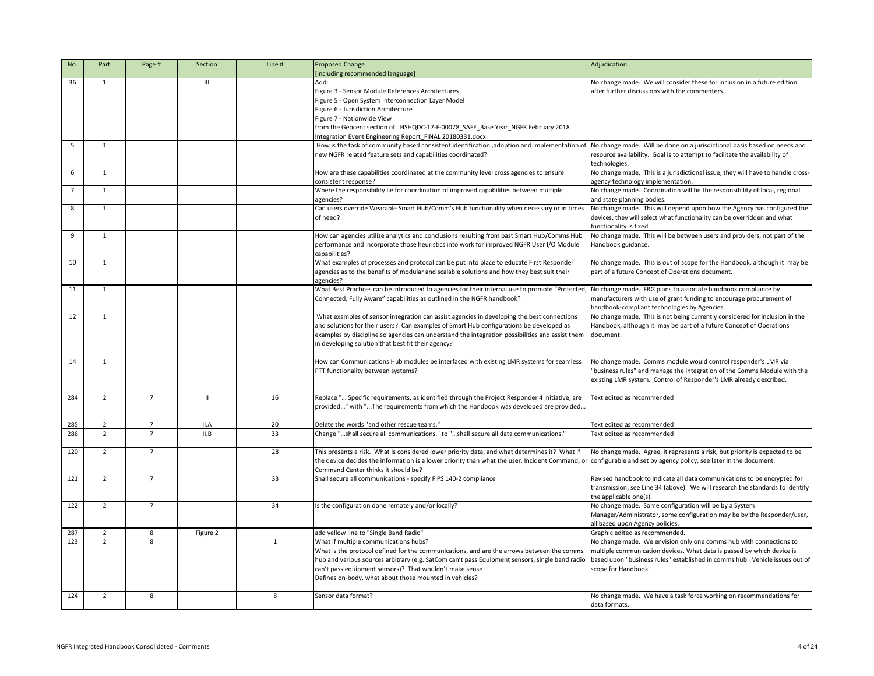| No. | Part           | Page #         | Section        | Line #       | <b>Proposed Change</b>                                                                                                                                            | Adjudication                                                                  |
|-----|----------------|----------------|----------------|--------------|-------------------------------------------------------------------------------------------------------------------------------------------------------------------|-------------------------------------------------------------------------------|
|     |                |                |                |              | [including recommended language]                                                                                                                                  |                                                                               |
| 36  | $\mathbf{1}$   |                | $\mathbf{III}$ |              | Add:                                                                                                                                                              | No change made. We will consider these for inclusion in a future edition      |
|     |                |                |                |              | Figure 3 - Sensor Module References Architectures                                                                                                                 | after further discussions with the commenters.                                |
|     |                |                |                |              | Figure 5 - Open System Interconnection Layer Model                                                                                                                |                                                                               |
|     |                |                |                |              | Figure 6 - Jurisdiction Architecture                                                                                                                              |                                                                               |
|     |                |                |                |              | Figure 7 - Nationwide View                                                                                                                                        |                                                                               |
|     |                |                |                |              | from the Geocent section of: HSHQDC-17-F-00078_SAFE_Base Year_NGFR February 2018                                                                                  |                                                                               |
|     |                |                |                |              | Integration Event Engineering Report FINAL 20180331.docx                                                                                                          |                                                                               |
| -5  | 1              |                |                |              | How is the task of community based consistent identification, adoption and implementation of                                                                      | No change made. Will be done on a jurisdictional basis based on needs and     |
|     |                |                |                |              | new NGFR related feature sets and capabilities coordinated?                                                                                                       | resource availability. Goal is to attempt to facilitate the availability of   |
|     |                |                |                |              |                                                                                                                                                                   | technologies.                                                                 |
| 6   | $\mathbf{1}$   |                |                |              | How are these capabilities coordinated at the community level cross agencies to ensure                                                                            | No change made. This is a jurisdictional issue, they will have to handle cros |
|     |                |                |                |              | consistent response?                                                                                                                                              | agency technology implementation.                                             |
|     | $\mathbf{1}$   |                |                |              | Where the responsibility lie for coordination of improved capabilities between multiple                                                                           | No change made. Coordination will be the responsibility of local, regional    |
|     |                |                |                |              | agencies?                                                                                                                                                         | and state planning bodies.                                                    |
| 8   | $\mathbf{1}$   |                |                |              | Can users override Wearable Smart Hub/Comm's Hub functionality when necessary or in times                                                                         | No change made. This will depend upon how the Agency has configured th        |
|     |                |                |                |              | of need?                                                                                                                                                          | devices, they will select what functionality can be overridden and what       |
|     |                |                |                |              |                                                                                                                                                                   |                                                                               |
| 9   |                |                |                |              | How can agencies utilize analytics and conclusions resulting from past Smart Hub/Comms Hub                                                                        | functionality is fixed.                                                       |
|     | $\mathbf{1}$   |                |                |              |                                                                                                                                                                   | No change made. This will be between users and providers, not part of the     |
|     |                |                |                |              | performance and incorporate those heuristics into work for improved NGFR User I/O Module                                                                          | Handbook guidance.                                                            |
|     |                |                |                |              | capabilities?                                                                                                                                                     |                                                                               |
| 10  | 1              |                |                |              | What examples of processes and protocol can be put into place to educate First Responder                                                                          | No change made. This is out of scope for the Handbook, although it may b      |
|     |                |                |                |              | agencies as to the benefits of modular and scalable solutions and how they best suit their                                                                        | part of a future Concept of Operations document.                              |
|     |                |                |                |              | agencies?                                                                                                                                                         |                                                                               |
| 11  | $\mathbf{1}$   |                |                |              | What Best Practices can be introduced to agencies for their internal use to promote "Protected,                                                                   | No change made. FRG plans to associate handbook compliance by                 |
|     |                |                |                |              | Connected, Fully Aware" capabilities as outlined in the NGFR handbook?                                                                                            | manufacturers with use of grant funding to encourage procurement of           |
|     |                |                |                |              |                                                                                                                                                                   | handbook-compliant technologies by Agencies.                                  |
| 12  | 1              |                |                |              | What examples of sensor integration can assist agencies in developing the best connections                                                                        | No change made. This is not being currently considered for inclusion in the   |
|     |                |                |                |              | and solutions for their users? Can examples of Smart Hub configurations be developed as                                                                           | Handbook, although it may be part of a future Concept of Operations           |
|     |                |                |                |              | examples by discipline so agencies can understand the integration possibilities and assist them                                                                   | document.                                                                     |
|     |                |                |                |              | in developing solution that best fit their agency?                                                                                                                |                                                                               |
|     |                |                |                |              |                                                                                                                                                                   |                                                                               |
| 14  | 1              |                |                |              | How can Communications Hub modules be interfaced with existing LMR systems for seamless                                                                           | No change made. Comms module would control responder's LMR via                |
|     |                |                |                |              | PTT functionality between systems?                                                                                                                                | "business rules" and manage the integration of the Comms Module with th       |
|     |                |                |                |              |                                                                                                                                                                   | existing LMR system. Control of Responder's LMR already described.            |
|     |                |                |                |              |                                                                                                                                                                   |                                                                               |
| 284 | $\overline{2}$ | $\overline{7}$ |                | 16           | Replace " Specific requirements, as identified through the Project Responder 4 initiative, are                                                                    | Text edited as recommended                                                    |
|     |                |                |                |              | provided" with "The requirements from which the Handbook was developed are provided                                                                               |                                                                               |
|     |                |                |                |              |                                                                                                                                                                   |                                                                               |
| 285 | $\overline{2}$ | $\overline{7}$ | II.A           | 20           | Delete the words "and other rescue teams,"                                                                                                                        | Text edited as recommended                                                    |
| 286 | $\overline{2}$ | $\overline{7}$ | II.B           | 33           | Change "shall secure all communications." to "shall secure all data communications."                                                                              | Text edited as recommended                                                    |
|     |                |                |                |              |                                                                                                                                                                   |                                                                               |
| 120 | $\overline{2}$ | $\overline{7}$ |                | 28           | This presents a risk. What is considered lower priority data, and what determines it? What if                                                                     | No change made. Agree, it represents a risk, but priority is expected to be   |
|     |                |                |                |              | the device decides the information is a lower priority than what the user, Incident Command, or configurable and set by agency policy, see later in the document. |                                                                               |
|     |                |                |                |              | Command Center thinks it should be?                                                                                                                               |                                                                               |
| 121 | $\overline{2}$ |                |                | 33           | Shall secure all communications - specify FIPS 140-2 compliance                                                                                                   | Revised handbook to indicate all data communications to be encrypted for      |
|     |                |                |                |              |                                                                                                                                                                   | transmission, see Line 34 (above). We will research the standards to identi   |
|     |                |                |                |              |                                                                                                                                                                   | the applicable one(s).                                                        |
| 122 | $\overline{2}$ | $\overline{7}$ |                | 34           | Is the configuration done remotely and/or locally?                                                                                                                | No change made. Some configuration will be by a System                        |
|     |                |                |                |              |                                                                                                                                                                   | Manager/Administrator, some configuration may be by the Responder/use         |
|     |                |                |                |              |                                                                                                                                                                   |                                                                               |
| 287 | $\overline{2}$ | 8              |                |              | add yellow line to "Single Band Radio"                                                                                                                            | all based upon Agency policies.<br>Graphic edited as recommended.             |
| 123 | $\overline{2}$ | 8              | Figure 2       | $\mathbf{1}$ | What if multiple communications hubs?                                                                                                                             | No change made. We envision only one comms hub with connections to            |
|     |                |                |                |              |                                                                                                                                                                   |                                                                               |
|     |                |                |                |              | What is the protocol defined for the communications, and are the arrows between the comms                                                                         | multiple communication devices. What data is passed by which device is        |
|     |                |                |                |              | hub and various sources arbitrary (e.g. SatCom can't pass Equipment sensors, single band radio                                                                    | based upon "business rules" established in comms hub. Vehicle issues out      |
|     |                |                |                |              | can't pass equipment sensors)? That wouldn't make sense                                                                                                           | scope for Handbook.                                                           |
|     |                |                |                |              | Defines on-body, what about those mounted in vehicles?                                                                                                            |                                                                               |
|     |                |                |                |              |                                                                                                                                                                   |                                                                               |
| 124 | $\overline{2}$ | 8              |                | 8            | Sensor data format?                                                                                                                                               | No change made. We have a task force working on recommendations for           |
|     |                |                |                |              |                                                                                                                                                                   | data formats.                                                                 |

|       | Adjudication                                                                    |
|-------|---------------------------------------------------------------------------------|
|       | No change made. We will consider these for inclusion in a future edition        |
|       | after further discussions with the commenters.                                  |
|       |                                                                                 |
|       |                                                                                 |
|       |                                                                                 |
|       |                                                                                 |
|       |                                                                                 |
|       |                                                                                 |
| n of  | No change made. Will be done on a jurisdictional basis based on needs and       |
|       | resource availability. Goal is to attempt to facilitate the availability of     |
|       | technologies.                                                                   |
|       | No change made. This is a jurisdictional issue, they will have to handle cross- |
|       | agency technology implementation.                                               |
|       | No change made. Coordination will be the responsibility of local, regional      |
|       | and state planning bodies.                                                      |
| าes   | No change made. This will depend upon how the Agency has configured the         |
|       | devices, they will select what functionality can be overridden and what         |
|       | functionality is fixed.                                                         |
| ub    | No change made. This will be between users and providers, not part of the       |
| e     | Handbook guidance.                                                              |
|       |                                                                                 |
|       | No change made. This is out of scope for the Handbook, although it may be       |
|       | part of a future Concept of Operations document.                                |
|       |                                                                                 |
| ted,  | No change made. FRG plans to associate handbook compliance by                   |
|       | manufacturers with use of grant funding to encourage procurement of             |
|       | handbook-compliant technologies by Agencies.                                    |
| s     | No change made. This is not being currently considered for inclusion in the     |
|       | Handbook, although it may be part of a future Concept of Operations             |
| em    | document.                                                                       |
|       |                                                                                 |
|       |                                                                                 |
| SS    | No change made. Comms module would control responder's LMR via                  |
|       | "business rules" and manage the integration of the Comms Module with the        |
|       | existing LMR system. Control of Responder's LMR already described.              |
|       |                                                                                 |
|       | Text edited as recommended                                                      |
| re    |                                                                                 |
| ed    |                                                                                 |
|       |                                                                                 |
|       | Text edited as recommended                                                      |
|       | Text edited as recommended                                                      |
|       |                                                                                 |
| if    | No change made. Agree, it represents a risk, but priority is expected to be     |
| d, or | configurable and set by agency policy, see later in the document.               |
|       |                                                                                 |
|       | Revised handbook to indicate all data communications to be encrypted for        |
|       | transmission, see Line 34 (above). We will research the standards to identify   |
|       | the applicable one(s).                                                          |
|       | No change made. Some configuration will be by a System                          |
|       | Manager/Administrator, some configuration may be by the Responder/user,         |
|       | all based upon Agency policies.                                                 |
|       | Graphic edited as recommended.                                                  |
|       | No change made. We envision only one comms hub with connections to              |
| ms    | multiple communication devices. What data is passed by which device is          |
| ıdio  | based upon "business rules" established in comms hub. Vehicle issues out of     |
|       | scope for Handbook.                                                             |
|       |                                                                                 |
|       |                                                                                 |
|       | No change made. We have a task force working on recommendations for             |
|       | data formats.                                                                   |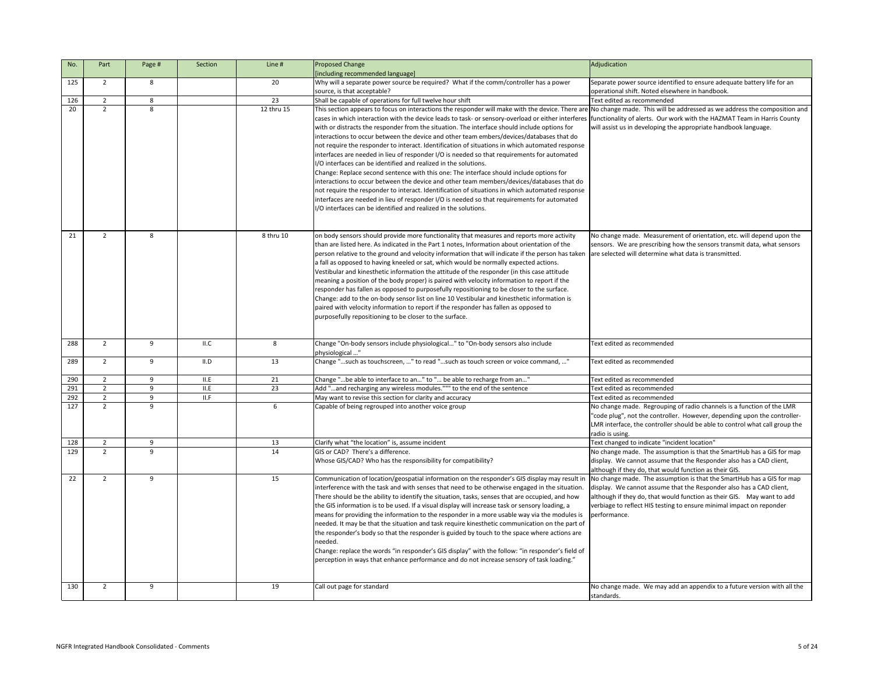| No. | Part           | Page # | Section | Line #     | Proposed Change                                                                                                                                                                                                                                                                                                                                                                                                                                                                                                                                                                                                                                                                                                                                                                                                                                                                                                                                                                                                                                                                                                                                                                                                                                                                      | Adjudication                                                                                                                                                                                                                                                                                                    |
|-----|----------------|--------|---------|------------|--------------------------------------------------------------------------------------------------------------------------------------------------------------------------------------------------------------------------------------------------------------------------------------------------------------------------------------------------------------------------------------------------------------------------------------------------------------------------------------------------------------------------------------------------------------------------------------------------------------------------------------------------------------------------------------------------------------------------------------------------------------------------------------------------------------------------------------------------------------------------------------------------------------------------------------------------------------------------------------------------------------------------------------------------------------------------------------------------------------------------------------------------------------------------------------------------------------------------------------------------------------------------------------|-----------------------------------------------------------------------------------------------------------------------------------------------------------------------------------------------------------------------------------------------------------------------------------------------------------------|
|     |                |        |         |            | [including recommended language]                                                                                                                                                                                                                                                                                                                                                                                                                                                                                                                                                                                                                                                                                                                                                                                                                                                                                                                                                                                                                                                                                                                                                                                                                                                     |                                                                                                                                                                                                                                                                                                                 |
| 125 | $\overline{2}$ | 8      |         | 20         | Why will a separate power source be required? What if the comm/controller has a power                                                                                                                                                                                                                                                                                                                                                                                                                                                                                                                                                                                                                                                                                                                                                                                                                                                                                                                                                                                                                                                                                                                                                                                                | Separate power source identified to ensure adequate battery life for an                                                                                                                                                                                                                                         |
|     |                |        |         |            | source, is that acceptable?                                                                                                                                                                                                                                                                                                                                                                                                                                                                                                                                                                                                                                                                                                                                                                                                                                                                                                                                                                                                                                                                                                                                                                                                                                                          | operational shift. Noted elsewhere in handbook.                                                                                                                                                                                                                                                                 |
| 126 | $\overline{2}$ | 8      |         | 23         | Shall be capable of operations for full twelve hour shift                                                                                                                                                                                                                                                                                                                                                                                                                                                                                                                                                                                                                                                                                                                                                                                                                                                                                                                                                                                                                                                                                                                                                                                                                            | Text edited as recommended                                                                                                                                                                                                                                                                                      |
| 20  | $\overline{2}$ | 8      |         | 12 thru 15 | This section appears to focus on interactions the responder will make with the device. There are No change made. This will be addressed as we address the composition an<br>cases in which interaction with the device leads to task- or sensory-overload or either interferes functionality of alerts. Our work with the HAZMAT Team in Harris County<br>with or distracts the responder from the situation. The interface should include options for<br>interactions to occur between the device and other team embers/devices/databases that do<br>not require the responder to interact. Identification of situations in which automated response<br>interfaces are needed in lieu of responder I/O is needed so that requirements for automated<br>I/O interfaces can be identified and realized in the solutions.<br>Change: Replace second sentence with this one: The interface should include options for<br>interactions to occur between the device and other team members/devices/databases that do<br>not require the responder to interact. Identification of situations in which automated response<br>interfaces are needed in lieu of responder I/O is needed so that requirements for automated<br>I/O interfaces can be identified and realized in the solutions. | will assist us in developing the appropriate handbook language.                                                                                                                                                                                                                                                 |
| 21  | $\overline{2}$ | 8      |         | 8 thru 10  | on body sensors should provide more functionality that measures and reports more activity<br>than are listed here. As indicated in the Part 1 notes, Information about orientation of the<br>person relative to the ground and velocity information that will indicate if the person has taken are selected will determine what data is transmitted.<br>a fall as opposed to having kneeled or sat, which would be normally expected actions.<br>Vestibular and kinesthetic information the attitude of the responder (in this case attitude<br>meaning a position of the body proper) is paired with velocity information to report if the<br>responder has fallen as opposed to purposefully repositioning to be closer to the surface.<br>Change: add to the on-body sensor list on line 10 Vestibular and kinesthetic information is<br>paired with velocity information to report if the responder has fallen as opposed to<br>purposefully repositioning to be closer to the surface.                                                                                                                                                                                                                                                                                          | No change made. Measurement of orientation, etc. will depend upon the<br>sensors. We are prescribing how the sensors transmit data, what sensors                                                                                                                                                                |
| 288 | $\overline{2}$ | q      | ILC     | 8          | Change "On-body sensors include physiological" to "On-body sensors also include<br>physiological "                                                                                                                                                                                                                                                                                                                                                                                                                                                                                                                                                                                                                                                                                                                                                                                                                                                                                                                                                                                                                                                                                                                                                                                   | Text edited as recommended                                                                                                                                                                                                                                                                                      |
| 289 | $\overline{2}$ | 9      | II.D    | 13         | Change "such as touchscreen, " to read "such as touch screen or voice command, "                                                                                                                                                                                                                                                                                                                                                                                                                                                                                                                                                                                                                                                                                                                                                                                                                                                                                                                                                                                                                                                                                                                                                                                                     | Text edited as recommended                                                                                                                                                                                                                                                                                      |
| 290 | $\overline{2}$ | 9      | II.E    | 21         | Change "be able to interface to an" to " be able to recharge from an"                                                                                                                                                                                                                                                                                                                                                                                                                                                                                                                                                                                                                                                                                                                                                                                                                                                                                                                                                                                                                                                                                                                                                                                                                | Text edited as recommended                                                                                                                                                                                                                                                                                      |
| 291 | $\overline{2}$ | 9      | II.E    | 23         | Add "and recharging any wireless modules.""" to the end of the sentence                                                                                                                                                                                                                                                                                                                                                                                                                                                                                                                                                                                                                                                                                                                                                                                                                                                                                                                                                                                                                                                                                                                                                                                                              | Text edited as recommended                                                                                                                                                                                                                                                                                      |
| 292 | $\overline{2}$ | 9      | II.F    |            | May want to revise this section for clarity and accuracy                                                                                                                                                                                                                                                                                                                                                                                                                                                                                                                                                                                                                                                                                                                                                                                                                                                                                                                                                                                                                                                                                                                                                                                                                             | Text edited as recommended                                                                                                                                                                                                                                                                                      |
| 127 | $\overline{2}$ | q      |         | 6          | Capable of being regrouped into another voice group                                                                                                                                                                                                                                                                                                                                                                                                                                                                                                                                                                                                                                                                                                                                                                                                                                                                                                                                                                                                                                                                                                                                                                                                                                  | No change made. Regrouping of radio channels is a function of the LMR<br>"code plug", not the controller. However, depending upon the controller-<br>LMR interface, the controller should be able to control what call group the<br>radio is using.                                                             |
| 128 | $\overline{2}$ | 9      |         | 13         | Clarify what "the location" is, assume incident                                                                                                                                                                                                                                                                                                                                                                                                                                                                                                                                                                                                                                                                                                                                                                                                                                                                                                                                                                                                                                                                                                                                                                                                                                      | Text changed to indicate "incident location"                                                                                                                                                                                                                                                                    |
| 129 | $\overline{2}$ | 9      |         | 14         | GIS or CAD? There's a difference.<br>Whose GIS/CAD? Who has the responsibility for compatibility?                                                                                                                                                                                                                                                                                                                                                                                                                                                                                                                                                                                                                                                                                                                                                                                                                                                                                                                                                                                                                                                                                                                                                                                    | No change made. The assumption is that the SmartHub has a GIS for map<br>display. We cannot assume that the Responder also has a CAD client,<br>although if they do, that would function as their GIS.                                                                                                          |
| 22  | $\overline{2}$ | 9      |         | 15         | Communication of location/geospatial information on the responder's GIS display may result in<br>interference with the task and with senses that need to be otherwise engaged in the situation.<br>There should be the ability to identify the situation, tasks, senses that are occupied, and how<br>the GIS information is to be used. If a visual display will increase task or sensory loading, a<br>means for providing the information to the responder in a more usable way via the modules is<br>needed. It may be that the situation and task require kinesthetic communication on the part of<br>the responder's body so that the responder is guided by touch to the space where actions are<br>needed.<br>Change: replace the words "in responder's GIS display" with the follow: "in responder's field of<br>perception in ways that enhance performance and do not increase sensory of task loading."                                                                                                                                                                                                                                                                                                                                                                  | No change made. The assumption is that the SmartHub has a GIS for map<br>display. We cannot assume that the Responder also has a CAD client,<br>although if they do, that would function as their GIS.  May want to add<br>verbiage to reflect HIS testing to ensure minimal impact on reponder<br>performance. |
| 130 | $\overline{2}$ | 9      |         | 19         | Call out page for standard                                                                                                                                                                                                                                                                                                                                                                                                                                                                                                                                                                                                                                                                                                                                                                                                                                                                                                                                                                                                                                                                                                                                                                                                                                                           | No change made. We may add an appendix to a future version with all the<br>standards.                                                                                                                                                                                                                           |

|                                 | Adjudication                                                                                                                                                                                                                                        |
|---------------------------------|-----------------------------------------------------------------------------------------------------------------------------------------------------------------------------------------------------------------------------------------------------|
|                                 | Separate power source identified to ensure adequate battery life for an<br>operational shift. Noted elsewhere in handbook.                                                                                                                          |
|                                 | Text edited as recommended                                                                                                                                                                                                                          |
| C<br>nse<br>Ŀ<br>do<br>nse<br>Ŀ | e are No change made. This will be addressed as we address the composition and<br>eres  functionality of alerts. Our work with the HAZMAT Team in Harris County<br>will assist us in developing the appropriate handbook language.                  |
|                                 | No change made. Measurement of orientation, etc. will depend upon the                                                                                                                                                                               |
| ken                             | sensors. We are prescribing how the sensors transmit data, what sensors<br>are selected will determine what data is transmitted.                                                                                                                    |
|                                 |                                                                                                                                                                                                                                                     |
|                                 |                                                                                                                                                                                                                                                     |
|                                 | Text edited as recommended                                                                                                                                                                                                                          |
|                                 | Text edited as recommended                                                                                                                                                                                                                          |
|                                 | Text edited as recommended                                                                                                                                                                                                                          |
|                                 | Text edited as recommended                                                                                                                                                                                                                          |
|                                 | Text edited as recommended                                                                                                                                                                                                                          |
|                                 | No change made. Regrouping of radio channels is a function of the LMR<br>"code plug", not the controller. However, depending upon the controller-<br>LMR interface, the controller should be able to control what call group the<br>radio is using. |
|                                 | Text changed to indicate "incident location"                                                                                                                                                                                                        |
|                                 | No change made. The assumption is that the SmartHub has a GIS for map<br>display. We cannot assume that the Responder also has a CAD client,<br>although if they do, that would function as their GIS.                                              |
| t in                            | No change made. The assumption is that the SmartHub has a GIS for map                                                                                                                                                                               |
| on.                             | display. We cannot assume that the Responder also has a CAD client,                                                                                                                                                                                 |
| N                               | although if they do, that would function as their GIS.  May want to add<br>verbiage to reflect HIS testing to ensure minimal impact on reponder                                                                                                     |
| ; is                            | performance.                                                                                                                                                                                                                                        |
| t of                            |                                                                                                                                                                                                                                                     |
| re                              |                                                                                                                                                                                                                                                     |
| l of                            |                                                                                                                                                                                                                                                     |
|                                 |                                                                                                                                                                                                                                                     |
|                                 | No change made. We may add an appendix to a future version with all the<br>standards.                                                                                                                                                               |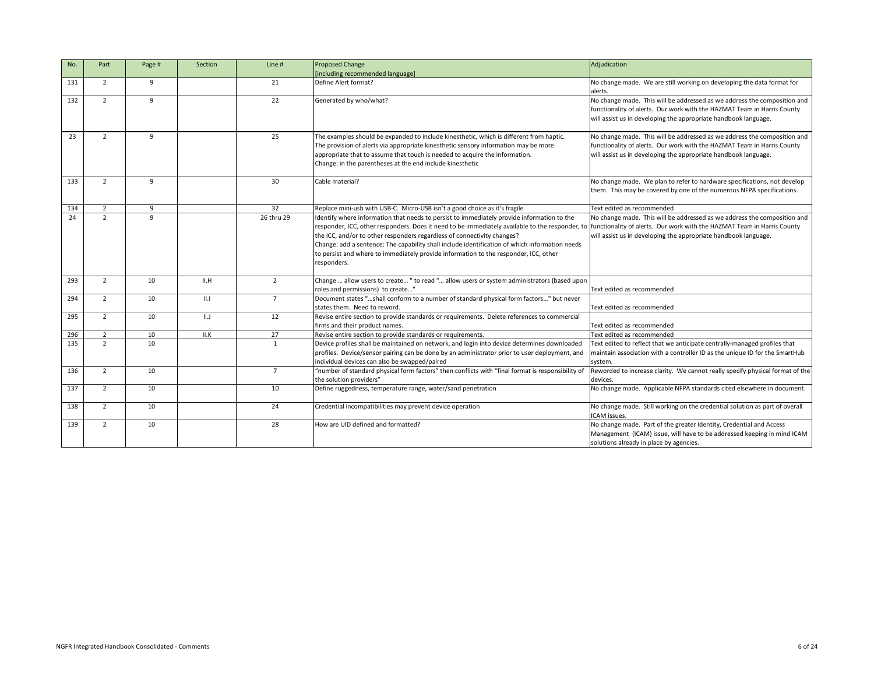| No. | Part           | Page #          | Section     | Line #         | <b>Proposed Change</b>                                                                                                                                                                                                                                                                                                                                                                                                                                                                                                                                    | Adjudication                                                                                                                                                                                                           |
|-----|----------------|-----------------|-------------|----------------|-----------------------------------------------------------------------------------------------------------------------------------------------------------------------------------------------------------------------------------------------------------------------------------------------------------------------------------------------------------------------------------------------------------------------------------------------------------------------------------------------------------------------------------------------------------|------------------------------------------------------------------------------------------------------------------------------------------------------------------------------------------------------------------------|
|     |                |                 |             |                | [including recommended language]                                                                                                                                                                                                                                                                                                                                                                                                                                                                                                                          |                                                                                                                                                                                                                        |
| 131 | $\overline{2}$ | 9               |             | 21             | Define Alert format?                                                                                                                                                                                                                                                                                                                                                                                                                                                                                                                                      | No change made. We are still working on developing the data format for<br>alerts.                                                                                                                                      |
| 132 | $\overline{2}$ | 9               |             | 22             | Generated by who/what?                                                                                                                                                                                                                                                                                                                                                                                                                                                                                                                                    | No change made. This will be addressed as we address the composition and<br>functionality of alerts. Our work with the HAZMAT Team in Harris County<br>will assist us in developing the appropriate handbook language. |
| 23  | $\overline{2}$ | 9               |             | 25             | The examples should be expanded to include kinesthetic, which is different from haptic.<br>The provision of alerts via appropriate kinesthetic sensory information may be more<br>appropriate that to assume that touch is needed to acquire the information.<br>Change: in the parentheses at the end include kinesthetic                                                                                                                                                                                                                                | No change made. This will be addressed as we address the composition and<br>functionality of alerts. Our work with the HAZMAT Team in Harris County<br>will assist us in developing the appropriate handbook language. |
| 133 | $\overline{2}$ | 9               |             | 30             | Cable material?                                                                                                                                                                                                                                                                                                                                                                                                                                                                                                                                           | No change made. We plan to refer to hardware specifications, not develop<br>them. This may be covered by one of the numerous NFPA specifications.                                                                      |
| 134 | $\overline{2}$ | 9               |             | 32             | Replace mini-usb with USB-C. Micro-USB isn't a good choice as it's fragile                                                                                                                                                                                                                                                                                                                                                                                                                                                                                | Text edited as recommended                                                                                                                                                                                             |
| 24  | $\overline{2}$ | 9               |             | 26 thru 29     | Identify where information that needs to persist to immediately provide information to the<br>responder, ICC, other responders. Does it need to be immediately available to the responder, to functionality of alerts. Our work with the HAZMAT Team in Harris County<br>the ICC, and/or to other responders regardless of connectivity changes?<br>Change: add a sentence: The capability shall include identification of which information needs<br>to persist and where to immediately provide information to the responder, ICC, other<br>responders. | No change made. This will be addressed as we address the composition and<br>will assist us in developing the appropriate handbook language.                                                                            |
| 293 | $\overline{2}$ | 10              | II.H        | $\overline{2}$ | Change  allow users to create " to read " allow users or system administrators (based upon<br>roles and permissions) to create'                                                                                                                                                                                                                                                                                                                                                                                                                           | Text edited as recommended                                                                                                                                                                                             |
| 294 | $\overline{2}$ | 10              | $\parallel$ | $\overline{7}$ | Document states "shall conform to a number of standard physical form factors" but never<br>states them. Need to reword.                                                                                                                                                                                                                                                                                                                                                                                                                                   | Text edited as recommended                                                                                                                                                                                             |
| 295 | $2^{\circ}$    | 10              | II.J        | 12             | Revise entire section to provide standards or requirements. Delete references to commercial<br>firms and their product names.                                                                                                                                                                                                                                                                                                                                                                                                                             | Text edited as recommended                                                                                                                                                                                             |
| 296 | $\overline{2}$ | 10 <sup>°</sup> | II.K        | 27             | Revise entire section to provide standards or requirements.                                                                                                                                                                                                                                                                                                                                                                                                                                                                                               | Text edited as recommended                                                                                                                                                                                             |
| 135 | $\overline{2}$ | 10              |             |                | Device profiles shall be maintained on network, and login into device determines downloaded<br>profiles. Device/sensor pairing can be done by an administrator prior to user deployment, and<br>individual devices can also be swapped/paired                                                                                                                                                                                                                                                                                                             | Text edited to reflect that we anticipate centrally-managed profiles that<br>maintain association with a controller ID as the unique ID for the SmartHub<br>system.                                                    |
| 136 | $\overline{2}$ | 10              |             | $\overline{7}$ | "number of standard physical form factors" then conflicts with "final format is responsibility of<br>the solution providers"                                                                                                                                                                                                                                                                                                                                                                                                                              | Reworded to increase clarity. We cannot really specify physical format of the<br>devices.                                                                                                                              |
| 137 | $2^{\circ}$    | 10              |             | 10             | Define ruggedness, temperature range, water/sand penetration                                                                                                                                                                                                                                                                                                                                                                                                                                                                                              | No change made. Applicable NFPA standards cited elsewhere in document.                                                                                                                                                 |
| 138 | $2^{\circ}$    | 10              |             | 24             | Credential incompatibilities may prevent device operation                                                                                                                                                                                                                                                                                                                                                                                                                                                                                                 | No change made. Still working on the credential solution as part of overall<br>ICAM issues.                                                                                                                            |
| 139 | $\overline{2}$ | 10              |             | 28             | How are UID defined and formatted?                                                                                                                                                                                                                                                                                                                                                                                                                                                                                                                        | No change made. Part of the greater Identity, Credential and Access<br>Management (ICAM) issue, will have to be addressed keeping in mind ICAM<br>solutions already in place by agencies.                              |

|                                                                                                                                           | Adjudication                                                                                                                                                                                                           |
|-------------------------------------------------------------------------------------------------------------------------------------------|------------------------------------------------------------------------------------------------------------------------------------------------------------------------------------------------------------------------|
|                                                                                                                                           | No change made. We are still working on developing the data format for<br>alerts.                                                                                                                                      |
|                                                                                                                                           | No change made. This will be addressed as we address the composition and<br>functionality of alerts. Our work with the HAZMAT Team in Harris County<br>will assist us in developing the appropriate handbook language. |
| is different from haptic.<br>mation may be more<br>information.                                                                           | No change made. This will be addressed as we address the composition and<br>functionality of alerts. Our work with the HAZMAT Team in Harris County<br>will assist us in developing the appropriate handbook language. |
|                                                                                                                                           | No change made. We plan to refer to hardware specifications, not develop<br>them. This may be covered by one of the numerous NFPA specifications.                                                                      |
| it's fragile                                                                                                                              | Text edited as recommended                                                                                                                                                                                             |
| y provide information to the<br>ely available to the responder, to<br>hanges?<br>on of which information needs<br>e responder, ICC, other | No change made. This will be addressed as we address the composition and<br>functionality of alerts. Our work with the HAZMAT Team in Harris County<br>will assist us in developing the appropriate handbook language. |
| tem administrators (based upon                                                                                                            | Text edited as recommended                                                                                                                                                                                             |
| sical form factors" but never                                                                                                             | Text edited as recommended                                                                                                                                                                                             |
| lete references to commercial                                                                                                             | Text edited as recommended                                                                                                                                                                                             |
|                                                                                                                                           | Text edited as recommended                                                                                                                                                                                             |
| device determines downloaded<br>r prior to user deployment, and                                                                           | Text edited to reflect that we anticipate centrally-managed profiles that<br>maintain association with a controller ID as the unique ID for the SmartHub<br>system.                                                    |
| "final format is responsibility of                                                                                                        | Reworded to increase clarity. We cannot really specify physical format of the<br>devices.                                                                                                                              |
|                                                                                                                                           | No change made. Applicable NFPA standards cited elsewhere in document.                                                                                                                                                 |
|                                                                                                                                           | No change made. Still working on the credential solution as part of overall<br>ICAM issues.                                                                                                                            |
|                                                                                                                                           | No change made. Part of the greater Identity, Credential and Access<br>Management (ICAM) issue, will have to be addressed keeping in mind ICAM<br>solutions already in place by agencies.                              |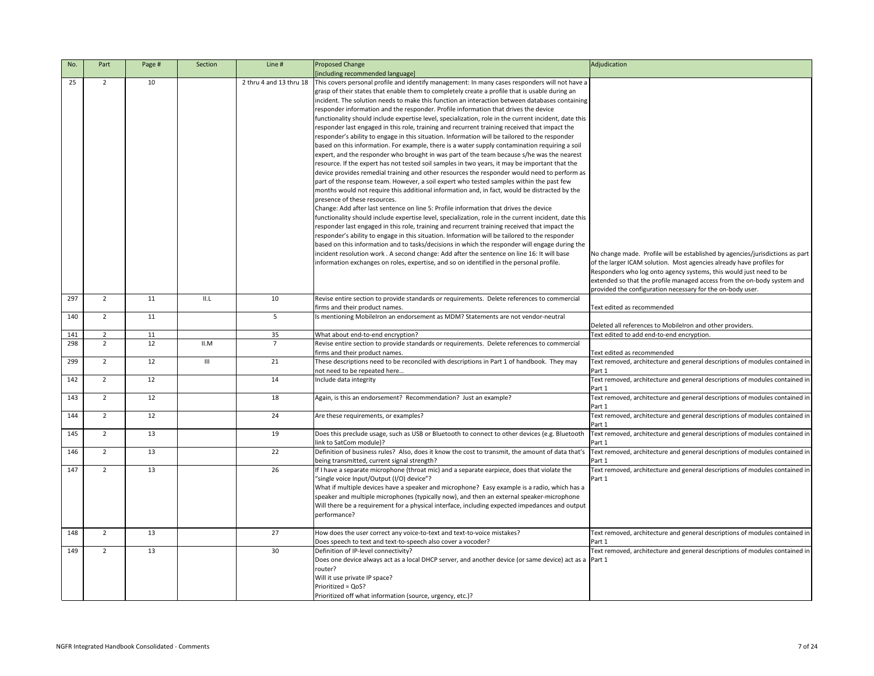| No. | Part           | Page # | Section | Line #                  | <b>Proposed Change</b><br>[including recommended language]                                                                                                                                                                                                                                                                                                                                                                                                                                                                                                                                                                                                                                                                                                                                                                                                                                                                                                                                                                                                                                                                                                                                                                                                                                                                                                                                                                                                                                                                                                                                                                                                                                                                                                                                                                                                                                                                                                                                                                            | Adjudication                                                                                                                                                                                                                |
|-----|----------------|--------|---------|-------------------------|---------------------------------------------------------------------------------------------------------------------------------------------------------------------------------------------------------------------------------------------------------------------------------------------------------------------------------------------------------------------------------------------------------------------------------------------------------------------------------------------------------------------------------------------------------------------------------------------------------------------------------------------------------------------------------------------------------------------------------------------------------------------------------------------------------------------------------------------------------------------------------------------------------------------------------------------------------------------------------------------------------------------------------------------------------------------------------------------------------------------------------------------------------------------------------------------------------------------------------------------------------------------------------------------------------------------------------------------------------------------------------------------------------------------------------------------------------------------------------------------------------------------------------------------------------------------------------------------------------------------------------------------------------------------------------------------------------------------------------------------------------------------------------------------------------------------------------------------------------------------------------------------------------------------------------------------------------------------------------------------------------------------------------------|-----------------------------------------------------------------------------------------------------------------------------------------------------------------------------------------------------------------------------|
| 25  | $2^{\circ}$    | 10     |         | 2 thru 4 and 13 thru 18 | This covers personal profile and identify management: In many cases responders will not have a<br>grasp of their states that enable them to completely create a profile that is usable during an<br>incident. The solution needs to make this function an interaction between databases containing<br>responder information and the responder. Profile information that drives the device<br>functionality should include expertise level, specialization, role in the current incident, date this<br>responder last engaged in this role, training and recurrent training received that impact the<br>responder's ability to engage in this situation. Information will be tailored to the responder<br>based on this information. For example, there is a water supply contamination requiring a soil<br>expert, and the responder who brought in was part of the team because s/he was the nearest<br>resource. If the expert has not tested soil samples in two years, it may be important that the<br>device provides remedial training and other resources the responder would need to perform as<br>part of the response team. However, a soil expert who tested samples within the past few<br>months would not require this additional information and, in fact, would be distracted by the<br>presence of these resources.<br>Change: Add after last sentence on line 5: Profile information that drives the device<br>functionality should include expertise level, specialization, role in the current incident, date this<br>responder last engaged in this role, training and recurrent training received that impact the<br>responder's ability to engage in this situation. Information will be tailored to the responder<br>based on this information and to tasks/decisions in which the responder will engage during the<br>incident resolution work. A second change: Add after the sentence on line 16: It will base<br>information exchanges on roles, expertise, and so on identified in the personal profile. | No change made. Profile will be established by agencies/jurisdictions as part<br>of the larger ICAM solution. Most agencies already have profiles for<br>Responders who log onto agency systems, this would just need to be |
| 297 | $\overline{2}$ | 11     | II.L    | 10                      | Revise entire section to provide standards or requirements. Delete references to commercial                                                                                                                                                                                                                                                                                                                                                                                                                                                                                                                                                                                                                                                                                                                                                                                                                                                                                                                                                                                                                                                                                                                                                                                                                                                                                                                                                                                                                                                                                                                                                                                                                                                                                                                                                                                                                                                                                                                                           | extended so that the profile managed access from the on-body system and<br>provided the configuration necessary for the on-body user.                                                                                       |
|     |                |        |         |                         | firms and their product names.                                                                                                                                                                                                                                                                                                                                                                                                                                                                                                                                                                                                                                                                                                                                                                                                                                                                                                                                                                                                                                                                                                                                                                                                                                                                                                                                                                                                                                                                                                                                                                                                                                                                                                                                                                                                                                                                                                                                                                                                        | Text edited as recommended                                                                                                                                                                                                  |
| 140 | $\overline{2}$ | 11     |         | 5                       | Is mentioning MobileIron an endorsement as MDM? Statements are not vendor-neutral                                                                                                                                                                                                                                                                                                                                                                                                                                                                                                                                                                                                                                                                                                                                                                                                                                                                                                                                                                                                                                                                                                                                                                                                                                                                                                                                                                                                                                                                                                                                                                                                                                                                                                                                                                                                                                                                                                                                                     | Deleted all references to Mobileiron and other providers.                                                                                                                                                                   |
| 141 | $\overline{2}$ | 11     |         | 35                      | What about end-to-end encryption?                                                                                                                                                                                                                                                                                                                                                                                                                                                                                                                                                                                                                                                                                                                                                                                                                                                                                                                                                                                                                                                                                                                                                                                                                                                                                                                                                                                                                                                                                                                                                                                                                                                                                                                                                                                                                                                                                                                                                                                                     | Text edited to add end-to-end encryption.                                                                                                                                                                                   |
| 298 | $\overline{2}$ | 12     | II.M    |                         | Revise entire section to provide standards or requirements. Delete references to commercial<br>firms and their product names.                                                                                                                                                                                                                                                                                                                                                                                                                                                                                                                                                                                                                                                                                                                                                                                                                                                                                                                                                                                                                                                                                                                                                                                                                                                                                                                                                                                                                                                                                                                                                                                                                                                                                                                                                                                                                                                                                                         | Text edited as recommended                                                                                                                                                                                                  |
| 299 | $\overline{2}$ | 12     | III     | 21                      | These descriptions need to be reconciled with descriptions in Part 1 of handbook. They may<br>not need to be repeated here                                                                                                                                                                                                                                                                                                                                                                                                                                                                                                                                                                                                                                                                                                                                                                                                                                                                                                                                                                                                                                                                                                                                                                                                                                                                                                                                                                                                                                                                                                                                                                                                                                                                                                                                                                                                                                                                                                            | Text removed, architecture and general descriptions of modules contained in  <br>Part 1                                                                                                                                     |
| 142 | $\overline{2}$ | 12     |         | 14                      | Include data integrity                                                                                                                                                                                                                                                                                                                                                                                                                                                                                                                                                                                                                                                                                                                                                                                                                                                                                                                                                                                                                                                                                                                                                                                                                                                                                                                                                                                                                                                                                                                                                                                                                                                                                                                                                                                                                                                                                                                                                                                                                | Text removed, architecture and general descriptions of modules contained in  <br>Part 1                                                                                                                                     |
| 143 | $\overline{2}$ | 12     |         | 18                      | Again, is this an endorsement? Recommendation? Just an example?                                                                                                                                                                                                                                                                                                                                                                                                                                                                                                                                                                                                                                                                                                                                                                                                                                                                                                                                                                                                                                                                                                                                                                                                                                                                                                                                                                                                                                                                                                                                                                                                                                                                                                                                                                                                                                                                                                                                                                       | Text removed, architecture and general descriptions of modules contained in $ $<br>Part 1                                                                                                                                   |
| 144 | 2              | 12     |         | 24                      | Are these requirements, or examples?                                                                                                                                                                                                                                                                                                                                                                                                                                                                                                                                                                                                                                                                                                                                                                                                                                                                                                                                                                                                                                                                                                                                                                                                                                                                                                                                                                                                                                                                                                                                                                                                                                                                                                                                                                                                                                                                                                                                                                                                  | Text removed, architecture and general descriptions of modules contained in  <br>Part 1                                                                                                                                     |
| 145 | $\overline{2}$ | 13     |         | 19                      | Does this preclude usage, such as USB or Bluetooth to connect to other devices (e.g. Bluetooth<br>link to SatCom module)?                                                                                                                                                                                                                                                                                                                                                                                                                                                                                                                                                                                                                                                                                                                                                                                                                                                                                                                                                                                                                                                                                                                                                                                                                                                                                                                                                                                                                                                                                                                                                                                                                                                                                                                                                                                                                                                                                                             | Text removed, architecture and general descriptions of modules contained in<br>Part 1                                                                                                                                       |
| 146 | $\overline{2}$ | 13     |         | 22                      | Definition of business rules? Also, does it know the cost to transmit, the amount of data that's<br>being transmitted, current signal strength?                                                                                                                                                                                                                                                                                                                                                                                                                                                                                                                                                                                                                                                                                                                                                                                                                                                                                                                                                                                                                                                                                                                                                                                                                                                                                                                                                                                                                                                                                                                                                                                                                                                                                                                                                                                                                                                                                       | Text removed, architecture and general descriptions of modules contained in<br>Part 1                                                                                                                                       |
| 147 | $\overline{2}$ | 13     |         | 26                      | If I have a separate microphone (throat mic) and a separate earpiece, does that violate the<br>"single voice Input/Output (I/O) device"?<br>What if multiple devices have a speaker and microphone? Easy example is a radio, which has a<br>speaker and multiple microphones (typically now), and then an external speaker-microphone<br>Will there be a requirement for a physical interface, including expected impedances and output<br>performance?                                                                                                                                                                                                                                                                                                                                                                                                                                                                                                                                                                                                                                                                                                                                                                                                                                                                                                                                                                                                                                                                                                                                                                                                                                                                                                                                                                                                                                                                                                                                                                               | Text removed, architecture and general descriptions of modules contained in  <br>Part 1                                                                                                                                     |
| 148 | $\overline{2}$ | 13     |         | 27                      | How does the user correct any voice-to-text and text-to-voice mistakes?<br>Does speech to text and text-to-speech also cover a vocoder?                                                                                                                                                                                                                                                                                                                                                                                                                                                                                                                                                                                                                                                                                                                                                                                                                                                                                                                                                                                                                                                                                                                                                                                                                                                                                                                                                                                                                                                                                                                                                                                                                                                                                                                                                                                                                                                                                               | Text removed, architecture and general descriptions of modules contained in $ $<br>Part 1                                                                                                                                   |
| 149 | $\overline{2}$ | 13     |         | 30                      | Definition of IP-level connectivity?<br>Does one device always act as a local DHCP server, and another device (or same device) act as a  Part 1<br>router?<br>Will it use private IP space?<br>Prioritized = QoS?<br>Prioritized off what information (source, urgency, etc.)?                                                                                                                                                                                                                                                                                                                                                                                                                                                                                                                                                                                                                                                                                                                                                                                                                                                                                                                                                                                                                                                                                                                                                                                                                                                                                                                                                                                                                                                                                                                                                                                                                                                                                                                                                        | Text removed, architecture and general descriptions of modules contained in                                                                                                                                                 |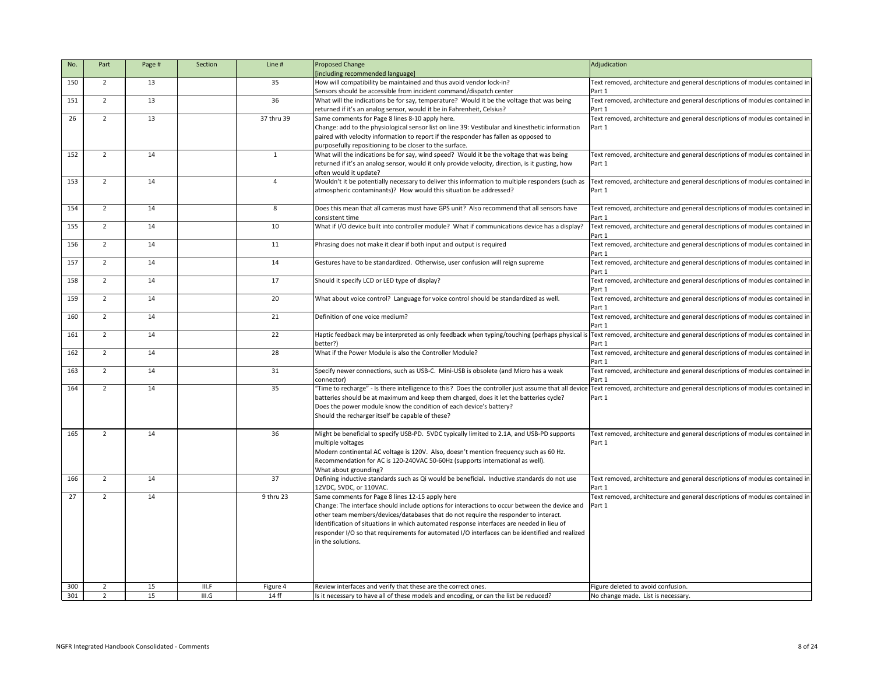| No. | Part           | Page # | Section | Line #     | <b>Proposed Change</b>                                                                                                                                                         | Adjudication                                                                |
|-----|----------------|--------|---------|------------|--------------------------------------------------------------------------------------------------------------------------------------------------------------------------------|-----------------------------------------------------------------------------|
|     |                |        |         |            | [including recommended language]                                                                                                                                               |                                                                             |
| 150 | $\overline{2}$ | 13     |         | 35         | How will compatibility be maintained and thus avoid vendor lock-in?                                                                                                            | Text removed, architecture and general descriptions of modules contained in |
|     |                |        |         |            | Sensors should be accessible from incident command/dispatch center                                                                                                             | Part 1                                                                      |
| 151 | $\overline{2}$ | 13     |         | 36         | What will the indications be for say, temperature? Would it be the voltage that was being                                                                                      | Text removed, architecture and general descriptions of modules contained in |
|     |                |        |         |            | returned if it's an analog sensor, would it be in Fahrenheit, Celsius?                                                                                                         | Part 1                                                                      |
| 26  | $\overline{2}$ | 13     |         | 37 thru 39 | Same comments for Page 8 lines 8-10 apply here.                                                                                                                                | Text removed, architecture and general descriptions of modules contained in |
|     |                |        |         |            | Change: add to the physiological sensor list on line 39: Vestibular and kinesthetic information                                                                                | Part 1                                                                      |
|     |                |        |         |            | paired with velocity information to report if the responder has fallen as opposed to                                                                                           |                                                                             |
|     |                |        |         |            | purposefully repositioning to be closer to the surface.                                                                                                                        |                                                                             |
| 152 | $\overline{2}$ | 14     |         |            | What will the indications be for say, wind speed? Would it be the voltage that was being                                                                                       | Text removed, architecture and general descriptions of modules contained in |
|     |                |        |         |            | returned if it's an analog sensor, would it only provide velocity, direction, is it gusting, how                                                                               | Part 1                                                                      |
|     |                |        |         |            | often would it update?                                                                                                                                                         |                                                                             |
| 153 | $\overline{2}$ | 14     |         | Δ          | Wouldn't it be potentially necessary to deliver this information to multiple responders (such as                                                                               | Text removed, architecture and general descriptions of modules contained in |
|     |                |        |         |            | atmospheric contaminants)? How would this situation be addressed?                                                                                                              | Part 1                                                                      |
|     |                |        |         |            |                                                                                                                                                                                |                                                                             |
| 154 | $\overline{2}$ | 14     |         | 8          | Does this mean that all cameras must have GPS unit? Also recommend that all sensors have                                                                                       | Text removed, architecture and general descriptions of modules contained in |
|     |                |        |         |            | consistent time                                                                                                                                                                | Part 1                                                                      |
| 155 | $\overline{2}$ | 14     |         | 10         | What if I/O device built into controller module? What if communications device has a display?                                                                                  | Text removed, architecture and general descriptions of modules contained in |
|     |                |        |         |            |                                                                                                                                                                                | Part 1                                                                      |
| 156 | $\overline{2}$ | 14     |         | 11         | Phrasing does not make it clear if both input and output is required                                                                                                           | Text removed, architecture and general descriptions of modules contained in |
|     |                |        |         |            |                                                                                                                                                                                | Part 1                                                                      |
| 157 | $\overline{2}$ | 14     |         | 14         | Gestures have to be standardized. Otherwise, user confusion will reign supreme                                                                                                 | Text removed, architecture and general descriptions of modules contained in |
|     |                |        |         |            |                                                                                                                                                                                | Part 1                                                                      |
| 158 | $\overline{2}$ | 14     |         | 17         | Should it specify LCD or LED type of display?                                                                                                                                  | Text removed, architecture and general descriptions of modules contained in |
|     |                |        |         |            |                                                                                                                                                                                | Part 1                                                                      |
| 159 | $\overline{2}$ | 14     |         | 20         |                                                                                                                                                                                |                                                                             |
|     |                |        |         |            | What about voice control? Language for voice control should be standardized as well.                                                                                           | Text removed, architecture and general descriptions of modules contained in |
|     |                |        |         |            |                                                                                                                                                                                | Part 1                                                                      |
| 160 | $\overline{2}$ | 14     |         | 21         | Definition of one voice medium?                                                                                                                                                | Text removed, architecture and general descriptions of modules contained in |
|     |                |        |         |            |                                                                                                                                                                                | Part 1                                                                      |
| 161 | $\overline{2}$ | 14     |         | 22         | Haptic feedback may be interpreted as only feedback when typing/touching (perhaps physical i                                                                                   | Text removed, architecture and general descriptions of modules contained in |
|     |                |        |         |            | better?)                                                                                                                                                                       | Part 1                                                                      |
| 162 | $\overline{2}$ | 14     |         | 28         | What if the Power Module is also the Controller Module?                                                                                                                        | Text removed, architecture and general descriptions of modules contained in |
|     |                |        |         |            |                                                                                                                                                                                | Part 1                                                                      |
| 163 | $\overline{2}$ | 14     |         | 31         | Specify newer connections, such as USB-C. Mini-USB is obsolete (and Micro has a weak                                                                                           | Text removed, architecture and general descriptions of modules contained in |
|     |                |        |         |            | connector)                                                                                                                                                                     | Part 1                                                                      |
| 164 | $\overline{2}$ | 14     |         | 35         | Time to recharge" - Is there intelligence to this? Does the controller just assume that all device Text removed, architecture and general descriptions of modules contained in |                                                                             |
|     |                |        |         |            | batteries should be at maximum and keep them charged, does it let the batteries cycle?                                                                                         | Part 1                                                                      |
|     |                |        |         |            | Does the power module know the condition of each device's battery?                                                                                                             |                                                                             |
|     |                |        |         |            | Should the recharger itself be capable of these?                                                                                                                               |                                                                             |
|     |                |        |         |            |                                                                                                                                                                                |                                                                             |
| 165 | $\overline{2}$ | 14     |         | 36         | Might be beneficial to specify USB-PD. 5VDC typically limited to 2.1A, and USB-PD supports                                                                                     | Text removed, architecture and general descriptions of modules contained in |
|     |                |        |         |            | multiple voltages                                                                                                                                                              | Part 1                                                                      |
|     |                |        |         |            | Modern continental AC voltage is 120V. Also, doesn't mention frequency such as 60 Hz.                                                                                          |                                                                             |
|     |                |        |         |            | Recommendation for AC is 120-240VAC 50-60Hz (supports international as well).                                                                                                  |                                                                             |
|     |                |        |         |            | What about grounding?                                                                                                                                                          |                                                                             |
| 166 | $\overline{2}$ | 14     |         | 37         | Defining inductive standards such as Qi would be beneficial. Inductive standards do not use                                                                                    | Text removed, architecture and general descriptions of modules contained in |
|     |                |        |         |            | 12VDC, 5VDC, or 110VAC.                                                                                                                                                        | Part 1                                                                      |
| 27  | $\overline{2}$ | 14     |         | 9 thru 23  | Same comments for Page 8 lines 12-15 apply here                                                                                                                                | Text removed, architecture and general descriptions of modules contained in |
|     |                |        |         |            | Change: The interface should include options for interactions to occur between the device and                                                                                  | Part 1                                                                      |
|     |                |        |         |            | other team members/devices/databases that do not require the responder to interact.                                                                                            |                                                                             |
|     |                |        |         |            | Identification of situations in which automated response interfaces are needed in lieu of                                                                                      |                                                                             |
|     |                |        |         |            | responder I/O so that requirements for automated I/O interfaces can be identified and realized                                                                                 |                                                                             |
|     |                |        |         |            | in the solutions.                                                                                                                                                              |                                                                             |
|     |                |        |         |            |                                                                                                                                                                                |                                                                             |
|     |                |        |         |            |                                                                                                                                                                                |                                                                             |
|     |                |        |         |            |                                                                                                                                                                                |                                                                             |
|     |                |        |         |            |                                                                                                                                                                                |                                                                             |
| 300 | $\overline{2}$ | 15     | III.F   | Figure 4   | Review interfaces and verify that these are the correct ones.                                                                                                                  | Figure deleted to avoid confusion.                                          |
| 301 | $\overline{2}$ | 15     | III.G   | 14 ff      | Is it necessary to have all of these models and encoding, or can the list be reduced?                                                                                          | No change made. List is necessary.                                          |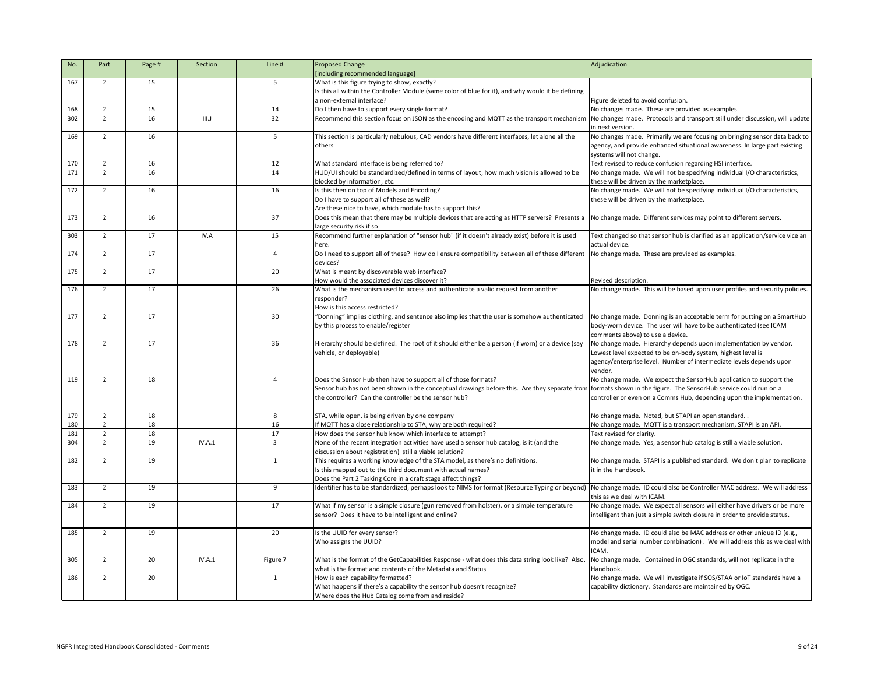| No. | Part           | Page # | Section | Line #         | <b>Proposed Change</b>                                                                                                                                         | Adjudication                                                                                         |
|-----|----------------|--------|---------|----------------|----------------------------------------------------------------------------------------------------------------------------------------------------------------|------------------------------------------------------------------------------------------------------|
|     |                |        |         |                | [including recommended language]                                                                                                                               |                                                                                                      |
| 167 | $\overline{2}$ | 15     |         | 5              | What is this figure trying to show, exactly?                                                                                                                   |                                                                                                      |
|     |                |        |         |                | Is this all within the Controller Module (same color of blue for it), and why would it be defining                                                             |                                                                                                      |
|     |                |        |         |                | a non-external interface?                                                                                                                                      | Figure deleted to avoid confusion.                                                                   |
| 168 | $\overline{2}$ | 15     |         | 14             | Do I then have to support every single format?                                                                                                                 | No changes made. These are provided as examples.                                                     |
| 302 | $\overline{2}$ | 16     | III.J   | 32             | Recommend this section focus on JSON as the encoding and MQTT as the transport mechanism                                                                       | No changes made. Protocols and transport still under discussion, will update<br>in next version.     |
| 169 | $\overline{2}$ | 16     |         | 5              | This section is particularly nebulous, CAD vendors have different interfaces, let alone all the                                                                | No changes made. Primarily we are focusing on bringing sensor data back to                           |
|     |                |        |         |                | others                                                                                                                                                         | agency, and provide enhanced situational awareness. In large part existing                           |
|     |                |        |         |                |                                                                                                                                                                | systems will not change.                                                                             |
| 170 | $\overline{2}$ | 16     |         | 12             | What standard interface is being referred to?                                                                                                                  | Text revised to reduce confusion regarding HSI interface.                                            |
| 171 | $\overline{2}$ | 16     |         | 14             | HUD/UI should be standardized/defined in terms of layout, how much vision is allowed to be                                                                     | No change made. We will not be specifying individual I/O characteristics,                            |
|     |                |        |         |                | blocked by information, etc.                                                                                                                                   | these will be driven by the marketplace.                                                             |
| 172 | $\overline{2}$ | 16     |         | 16             | Is this then on top of Models and Encoding?                                                                                                                    | No change made. We will not be specifying individual I/O characteristics,                            |
|     |                |        |         |                | Do I have to support all of these as well?                                                                                                                     | these will be driven by the marketplace.                                                             |
|     |                |        |         |                | Are these nice to have, which module has to support this?                                                                                                      |                                                                                                      |
| 173 | $\overline{2}$ | 16     |         | 37             | Does this mean that there may be multiple devices that are acting as HTTP servers? Presents a                                                                  | No change made. Different services may point to different servers.                                   |
|     |                |        |         |                | large security risk if so                                                                                                                                      |                                                                                                      |
| 303 | $\overline{2}$ | 17     | IV.A    | 15             | Recommend further explanation of "sensor hub" (if it doesn't already exist) before it is used                                                                  | Text changed so that sensor hub is clarified as an application/service vice an                       |
|     |                |        |         |                | here.                                                                                                                                                          | actual device.                                                                                       |
| 174 | $\overline{2}$ | 17     |         | $\overline{a}$ | Do I need to support all of these? How do I ensure compatibility between all of these different                                                                | No change made. These are provided as examples.                                                      |
| 175 |                | 17     |         |                | devices?                                                                                                                                                       |                                                                                                      |
|     | $\overline{2}$ |        |         | 20             | What is meant by discoverable web interface?<br>How would the associated devices discover it?                                                                  |                                                                                                      |
| 176 | $\overline{2}$ | 17     |         | 26             | What is the mechanism used to access and authenticate a valid request from another                                                                             | Revised description.<br>No change made. This will be based upon user profiles and security policies. |
|     |                |        |         |                | responder?                                                                                                                                                     |                                                                                                      |
|     |                |        |         |                | How is this access restricted?                                                                                                                                 |                                                                                                      |
| 177 | $\overline{2}$ | 17     |         | 30             | 'Donning" implies clothing, and sentence also implies that the user is somehow authenticated                                                                   | No change made. Donning is an acceptable term for putting on a SmartHub                              |
|     |                |        |         |                | by this process to enable/register                                                                                                                             | body-worn device. The user will have to be authenticated (see ICAM                                   |
|     |                |        |         |                |                                                                                                                                                                | comments above) to use a device.                                                                     |
| 178 | $\mathcal{D}$  | 17     |         | 36             | Hierarchy should be defined. The root of it should either be a person (if worn) or a device (say                                                               | No change made. Hierarchy depends upon implementation by vendor.                                     |
|     |                |        |         |                | vehicle, or deployable)                                                                                                                                        | Lowest level expected to be on-body system, highest level is                                         |
|     |                |        |         |                |                                                                                                                                                                | agency/enterprise level. Number of intermediate levels depends upon                                  |
|     |                |        |         |                |                                                                                                                                                                | vendor.                                                                                              |
| 119 | $\overline{2}$ | 18     |         | 4              | Does the Sensor Hub then have to support all of those formats?                                                                                                 | No change made. We expect the SensorHub application to support the                                   |
|     |                |        |         |                | Sensor hub has not been shown in the conceptual drawings before this. Are they separate from formats shown in the figure. The SensorHub service could run on a |                                                                                                      |
|     |                |        |         |                | the controller? Can the controller be the sensor hub?                                                                                                          | controller or even on a Comms Hub, depending upon the implementation.                                |
|     |                |        |         |                |                                                                                                                                                                |                                                                                                      |
| 179 | $\overline{2}$ | 18     |         | 8              | STA, while open, is being driven by one company                                                                                                                | No change made. Noted, but STAPI an open standard                                                    |
| 180 | $\overline{2}$ | 18     |         | 16             | If MQTT has a close relationship to STA, why are both required?                                                                                                | No change made. MQTT is a transport mechanism, STAPI is an API.                                      |
| 181 | $\overline{2}$ | 18     |         | 17             | How does the sensor hub know which interface to attempt?                                                                                                       | Text revised for clarity.                                                                            |
| 304 | $\overline{2}$ | 19     | IV.A.1  | 3              | None of the recent integration activities have used a sensor hub catalog, is it (and the                                                                       | No change made. Yes, a sensor hub catalog is still a viable solution.                                |
|     |                |        |         |                | discussion about registration) still a viable solution?                                                                                                        |                                                                                                      |
| 182 | 2              | 19     |         |                | This requires a working knowledge of the STA model, as there's no definitions.                                                                                 | No change made. STAPI is a published standard. We don't plan to replicate                            |
|     |                |        |         |                | Is this mapped out to the third document with actual names?                                                                                                    | it in the Handbook.                                                                                  |
| 183 | $\overline{2}$ | 19     |         | 9              | Does the Part 2 Tasking Core in a draft stage affect things?<br>Identifier has to be standardized, perhaps look to NIMS for format (Resource Typing or beyond) | No change made. ID could also be Controller MAC address. We will address                             |
|     |                |        |         |                |                                                                                                                                                                | this as we deal with ICAM.                                                                           |
| 184 | $\overline{2}$ | 19     |         | 17             | What if my sensor is a simple closure (gun removed from holster), or a simple temperature                                                                      | No change made. We expect all sensors will either have drivers or be more                            |
|     |                |        |         |                | sensor? Does it have to be intelligent and online?                                                                                                             | intelligent than just a simple switch closure in order to provide status.                            |
|     |                |        |         |                |                                                                                                                                                                |                                                                                                      |
| 185 | $\overline{2}$ | 19     |         | 20             | Is the UUID for every sensor?                                                                                                                                  | No change made. ID could also be MAC address or other unique ID (e.g.,                               |
|     |                |        |         |                | Who assigns the UUID?                                                                                                                                          | model and serial number combination). We will address this as we deal with                           |
|     |                |        |         |                |                                                                                                                                                                | ICAM.                                                                                                |
| 305 | $\overline{2}$ | 20     | IV.A.1  | Figure 7       | What is the format of the GetCapabilities Response - what does this data string look like? Also                                                                | No change made. Contained in OGC standards, will not replicate in the                                |
|     |                |        |         |                | what is the format and contents of the Metadata and Status                                                                                                     | Handbook.                                                                                            |
| 186 | $\overline{2}$ | 20     |         | $\mathbf{1}$   | How is each capability formatted?                                                                                                                              | No change made. We will investigate if SOS/STAA or IoT standards have a                              |
|     |                |        |         |                | What happens if there's a capability the sensor hub doesn't recognize?                                                                                         | capability dictionary. Standards are maintained by OGC.                                              |
|     |                |        |         |                | Where does the Hub Catalog come from and reside?                                                                                                               |                                                                                                      |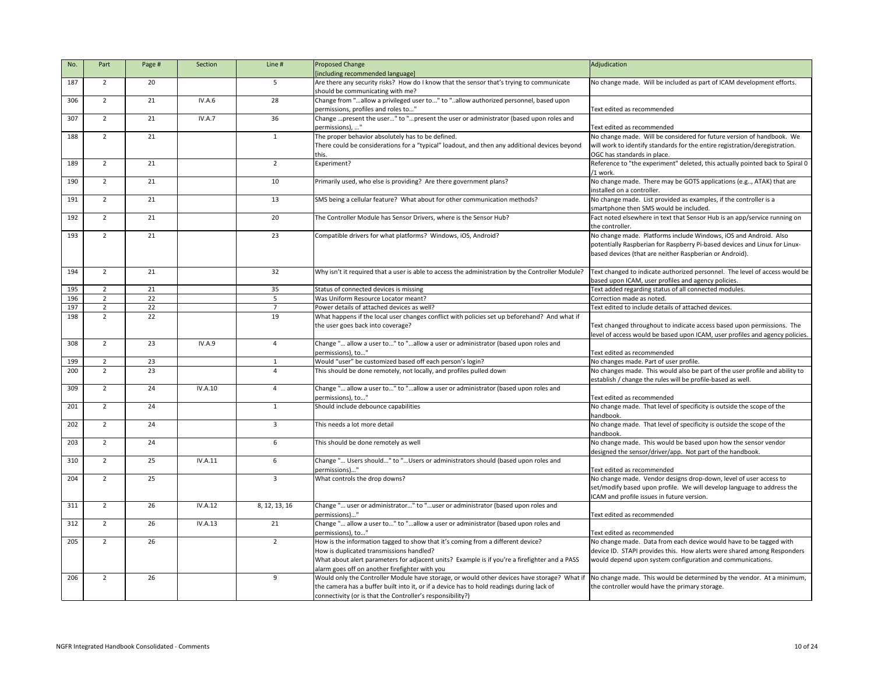| No. | Part           | Page # | Section        | Line #         | <b>Proposed Change</b>                                                                           | Adjudication                                                                  |
|-----|----------------|--------|----------------|----------------|--------------------------------------------------------------------------------------------------|-------------------------------------------------------------------------------|
|     |                |        |                |                | [including recommended language]                                                                 |                                                                               |
| 187 | 2              | 20     |                | 5              | Are there any security risks? How do I know that the sensor that's trying to communicate         | No change made. Will be included as part of ICAM development efforts.         |
|     |                |        |                |                | should be communicating with me?                                                                 |                                                                               |
| 306 | $\overline{2}$ | 21     | IV.A.6         | 28             | Change from "allow a privileged user to" to "allow authorized personnel, based upon              |                                                                               |
|     |                |        |                |                | permissions, profiles and roles to"                                                              | Text edited as recommended                                                    |
| 307 | $\overline{2}$ | 21     | IV.A.7         | 36             | Change  present the user" to " present the user or administrator (based upon roles and           |                                                                               |
|     |                |        |                |                | permissions), "                                                                                  | Text edited as recommended                                                    |
| 188 | $\overline{2}$ | 21     |                | $\overline{1}$ | The proper behavior absolutely has to be defined.                                                | No change made. Will be considered for future version of handbook. We         |
|     |                |        |                |                | There could be considerations for a "typical" loadout, and then any additional devices beyond    | will work to identify standards for the entire registration/deregistration.   |
|     |                |        |                |                |                                                                                                  | OGC has standards in place.                                                   |
| 189 | $\overline{2}$ | 21     |                | $\overline{2}$ | Experiment?                                                                                      | Reference to "the experiment" deleted, this actually pointed back to Spiral 0 |
|     |                |        |                |                |                                                                                                  | /1 work.                                                                      |
| 190 | $\overline{2}$ | 21     |                | 10             | Primarily used, who else is providing? Are there government plans?                               | No change made. There may be GOTS applications (e.g, ATAK) that are           |
|     |                |        |                |                |                                                                                                  | linstalled on a controller.                                                   |
| 191 | $\overline{2}$ | 21     |                | 13             | SMS being a cellular feature? What about for other communication methods?                        | No change made. List provided as examples, if the controller is a             |
|     |                |        |                |                |                                                                                                  | smartphone then SMS would be included.                                        |
| 192 | $\overline{2}$ | 21     |                | 20             | The Controller Module has Sensor Drivers, where is the Sensor Hub?                               | Fact noted elsewhere in text that Sensor Hub is an app/service running on     |
|     |                |        |                |                |                                                                                                  | the controller.                                                               |
| 193 | $\overline{2}$ | 21     |                | 23             | Compatible drivers for what platforms? Windows, iOS, Android?                                    | No change made. Platforms include Windows, iOS and Android. Also              |
|     |                |        |                |                |                                                                                                  | potentially Raspberian for Raspberry Pi-based devices and Linux for Linux-    |
|     |                |        |                |                |                                                                                                  | based devices (that are neither Raspberian or Android).                       |
|     |                |        |                |                |                                                                                                  |                                                                               |
| 194 | $\overline{2}$ | 21     |                | 32             | Why isn't it required that a user is able to access the administration by the Controller Module? | Text changed to indicate authorized personnel. The level of access would be   |
|     |                |        |                |                |                                                                                                  | based upon ICAM, user profiles and agency policies.                           |
| 195 | $\overline{2}$ | 21     |                | 35             | Status of connected devices is missing                                                           | Text added regarding status of all connected modules.                         |
| 196 | $\overline{2}$ | 22     |                |                | Was Uniform Resource Locator meant?                                                              | Correction made as noted.                                                     |
| 197 | $\overline{2}$ | 22     |                | $\overline{7}$ | Power details of attached devices as well?                                                       | Text edited to include details of attached devices.                           |
| 198 | $\overline{2}$ | 22     |                | 19             | What happens if the local user changes conflict with policies set up beforehand? And what if     |                                                                               |
|     |                |        |                |                | the user goes back into coverage?                                                                | Text changed throughout to indicate access based upon permissions. The        |
|     |                |        |                |                |                                                                                                  | level of access would be based upon ICAM, user profiles and agency policies.  |
| 308 | $\overline{2}$ | 23     | <b>IV.A.9</b>  | 4              | Change " allow a user to" to "allow a user or administrator (based upon roles and                |                                                                               |
|     |                |        |                |                | permissions), to"                                                                                | Text edited as recommended                                                    |
| 199 | $\overline{2}$ | 23     |                |                | Would "user" be customized based off each person's login?                                        | No changes made. Part of user profile.                                        |
| 200 | $\overline{2}$ | 23     |                | Δ              | This should be done remotely, not locally, and profiles pulled down                              | No changes made. This would also be part of the user profile and ability to   |
|     |                |        |                |                |                                                                                                  | establish / change the rules will be profile-based as well.                   |
| 309 | $\overline{2}$ | 24     | IV.A.10        | 4              | Change " allow a user to" to "allow a user or administrator (based upon roles and                |                                                                               |
|     |                |        |                |                | permissions), to"                                                                                | Text edited as recommended                                                    |
| 201 | $\overline{2}$ | 24     |                | $\mathbf{1}$   | Should include debounce capabilities                                                             | No change made. That level of specificity is outside the scope of the         |
|     |                |        |                |                |                                                                                                  | handbook.                                                                     |
| 202 | $\overline{2}$ | 24     |                | 3              | This needs a lot more detail                                                                     | No change made. That level of specificity is outside the scope of the         |
|     |                |        |                |                |                                                                                                  | handbook.                                                                     |
| 203 | $\overline{2}$ | 24     |                | 6              | This should be done remotely as well                                                             | No change made. This would be based upon how the sensor vendor                |
|     |                |        |                |                |                                                                                                  | designed the sensor/driver/app. Not part of the handbook.                     |
| 310 | $\overline{2}$ | 25     | IV.A.11        | 6              | Change " Users should" to "Users or administrators should (based upon roles and                  |                                                                               |
|     |                |        |                |                | permissions)"                                                                                    | Text edited as recommended                                                    |
| 204 | $\overline{2}$ | 25     |                | 3              | What controls the drop downs?                                                                    | No change made. Vendor designs drop-down, level of user access to             |
|     |                |        |                |                |                                                                                                  | set/modify based upon profile. We will develop language to address the        |
|     |                |        |                |                |                                                                                                  | ICAM and profile issues in future version.                                    |
| 311 | $\overline{2}$ | 26     | <b>IV.A.12</b> | 8, 12, 13, 16  | Change " user or administrator" to "user or administrator (based upon roles and                  |                                                                               |
|     |                |        |                |                | permissions)"                                                                                    | Text edited as recommended                                                    |
| 312 | $\overline{2}$ | 26     | <b>IV.A.13</b> | 21             | Change " allow a user to" to "allow a user or administrator (based upon roles and                |                                                                               |
|     |                |        |                |                | permissions), to"                                                                                | Text edited as recommended                                                    |
| 205 | $\overline{2}$ | 26     |                | $\overline{2}$ | How is the information tagged to show that it's coming from a different device?                  | No change made. Data from each device would have to be tagged with            |
|     |                |        |                |                | How is duplicated transmissions handled?                                                         | device ID. STAPI provides this. How alerts were shared among Responders       |
|     |                |        |                |                | What about alert parameters for adjacent units? Example is if you're a firefighter and a PASS    | would depend upon system configuration and communications.                    |
|     |                |        |                |                | alarm goes off on another firefighter with you                                                   |                                                                               |
| 206 | $\overline{2}$ | 26     |                | 9              | Would only the Controller Module have storage, or would other devices have storage? What if      | No change made. This would be determined by the vendor. At a minimum,         |
|     |                |        |                |                | the camera has a buffer built into it, or if a device has to hold readings during lack of        | the controller would have the primary storage.                                |
|     |                |        |                |                | connectivity (or is that the Controller's responsibility?)                                       |                                                                               |
|     |                |        |                |                |                                                                                                  |                                                                               |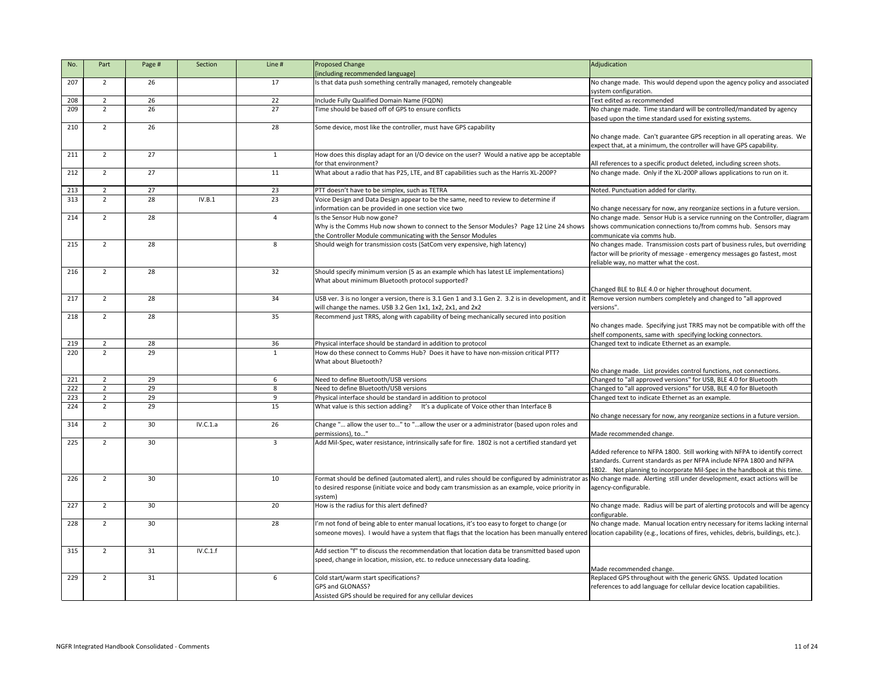| No. | Part           | Page #          | Section  | Line #         | <b>Proposed Change</b>                                                                            | Adjudication                                                                       |
|-----|----------------|-----------------|----------|----------------|---------------------------------------------------------------------------------------------------|------------------------------------------------------------------------------------|
|     |                |                 |          |                | [including recommended language]                                                                  |                                                                                    |
| 207 | $\overline{2}$ | 26              |          | 17             | Is that data push something centrally managed, remotely changeable                                | No change made. This would depend upon the agency policy and associated            |
|     |                |                 |          |                |                                                                                                   | system configuration.                                                              |
| 208 | $\overline{2}$ | 26              |          | 22             | Include Fully Qualified Domain Name (FQDN)                                                        | Text edited as recommended                                                         |
| 209 | $\overline{2}$ | 26              |          | 27             | Time should be based off of GPS to ensure conflicts                                               | No change made. Time standard will be controlled/mandated by agency                |
|     |                |                 |          |                |                                                                                                   | based upon the time standard used for existing systems.                            |
| 210 | $\overline{2}$ | 26              |          | 28             |                                                                                                   |                                                                                    |
|     |                |                 |          |                | Some device, most like the controller, must have GPS capability                                   |                                                                                    |
|     |                |                 |          |                |                                                                                                   | No change made. Can't guarantee GPS reception in all operating areas. We           |
|     |                |                 |          |                |                                                                                                   | expect that, at a minimum, the controller will have GPS capability.                |
| 211 | $\overline{2}$ | 27              |          | 1              | How does this display adapt for an I/O device on the user? Would a native app be acceptable       |                                                                                    |
|     |                |                 |          |                | for that environment?                                                                             | All references to a specific product deleted, including screen shots.              |
| 212 | $\overline{2}$ | 27              |          | 11             | What about a radio that has P25, LTE, and BT capabilities such as the Harris XL-200P?             | No change made. Only if the XL-200P allows applications to run on it.              |
|     |                |                 |          |                |                                                                                                   |                                                                                    |
| 213 | $\overline{2}$ | 27              |          | 23             | PTT doesn't have to be simplex, such as TETRA                                                     | Noted. Punctuation added for clarity.                                              |
| 313 | $\overline{2}$ | 28              | IV.B.1   | 23             | Voice Design and Data Design appear to be the same, need to review to determine if                |                                                                                    |
|     |                |                 |          |                | information can be provided in one section vice two                                               | No change necessary for now, any reorganize sections in a future version.          |
| 214 | $\overline{2}$ | 28              |          | $\Delta$       | Is the Sensor Hub now gone?                                                                       | No change made. Sensor Hub is a service running on the Controller, diagram         |
|     |                |                 |          |                | Why is the Comms Hub now shown to connect to the Sensor Modules? Page 12 Line 24 shows            | shows communication connections to/from comms hub. Sensors may                     |
|     |                |                 |          |                | the Controller Module communicating with the Sensor Modules                                       | communicate via comms hub.                                                         |
| 215 | $\overline{2}$ | 28              |          | 8              | Should weigh for transmission costs (SatCom very expensive, high latency)                         | No changes made. Transmission costs part of business rules, but overriding         |
|     |                |                 |          |                |                                                                                                   | factor will be priority of message - emergency messages go fastest, most           |
|     |                |                 |          |                |                                                                                                   | reliable way, no matter what the cost.                                             |
| 216 | $\overline{2}$ | 28              |          | 32             | Should specify minimum version (5 as an example which has latest LE implementations)              |                                                                                    |
|     |                |                 |          |                | What about minimum Bluetooth protocol supported?                                                  |                                                                                    |
|     |                |                 |          |                |                                                                                                   | Changed BLE to BLE 4.0 or higher throughout document.                              |
| 217 | $\overline{2}$ | 28              |          | 34             | USB ver. 3 is no longer a version, there is 3.1 Gen 1 and 3.1 Gen 2. 3.2 is in development, and i | Remove version numbers completely and changed to "all approved                     |
|     |                |                 |          |                | will change the names. USB 3.2 Gen 1x1, 1x2, 2x1, and 2x2                                         | versions".                                                                         |
| 218 | $\overline{2}$ | 28              |          | 35             | Recommend just TRRS, along with capability of being mechanically secured into position            |                                                                                    |
|     |                |                 |          |                |                                                                                                   |                                                                                    |
|     |                |                 |          |                |                                                                                                   | No changes made. Specifying just TRRS may not be compatible with off the           |
|     |                |                 |          |                |                                                                                                   | shelf components, same with specifying locking connectors.                         |
| 219 | $\overline{2}$ | 28              |          | 36             | Physical interface should be standard in addition to protocol                                     | Changed text to indicate Ethernet as an example.                                   |
| 220 | 2              | 29              |          |                | How do these connect to Comms Hub? Does it have to have non-mission critical PTT?                 |                                                                                    |
|     |                |                 |          |                | What about Bluetooth?                                                                             |                                                                                    |
|     |                |                 |          |                |                                                                                                   | No change made. List provides control functions, not connections.                  |
| 221 | $\overline{2}$ | 29              |          | 6              | Need to define Bluetooth/USB versions                                                             | Changed to "all approved versions" for USB, BLE 4.0 for Bluetooth                  |
| 222 | $\overline{2}$ | 29              |          | 8              | Need to define Bluetooth/USB versions                                                             | Changed to "all approved versions" for USB, BLE 4.0 for Bluetooth                  |
| 223 | $\overline{2}$ | 29              |          | 9              | Physical interface should be standard in addition to protocol                                     | Changed text to indicate Ethernet as an example.                                   |
| 224 | $\overline{2}$ | 29              |          | 15             | What value is this section adding?<br>It's a duplicate of Voice other than Interface B            |                                                                                    |
|     |                |                 |          |                |                                                                                                   | No change necessary for now, any reorganize sections in a future version.          |
| 314 | $\overline{2}$ | 30              | IV.C.1.a | 26             | Change " allow the user to" to "allow the user or a administrator (based upon roles and           |                                                                                    |
|     |                |                 |          |                | permissions), to"                                                                                 | Made recommended change.                                                           |
| 225 | $\overline{2}$ | 30              |          | $\overline{3}$ | Add Mil-Spec, water resistance, intrinsically safe for fire. 1802 is not a certified standard yet |                                                                                    |
|     |                |                 |          |                |                                                                                                   | Added reference to NFPA 1800. Still working with NFPA to identify correct          |
|     |                |                 |          |                |                                                                                                   | standards. Current standards as per NFPA include NFPA 1800 and NFPA                |
|     |                |                 |          |                |                                                                                                   | 1802. Not planning to incorporate Mil-Spec in the handbook at this time.           |
| 226 | 2              | 30 <sup>°</sup> |          | 10             | Format should be defined (automated alert), and rules should be configured by administrator a     | No change made. Alerting still under development, exact actions will be            |
|     |                |                 |          |                | to desired response (initiate voice and body cam transmission as an example, voice priority in    | agency-configurable.                                                               |
|     |                |                 |          |                | system)                                                                                           |                                                                                    |
| 227 | $\overline{2}$ | 30              |          | 20             | How is the radius for this alert defined?                                                         | No change made. Radius will be part of alerting protocols and will be agency       |
|     |                |                 |          |                |                                                                                                   | configurable.                                                                      |
| 228 |                | 30              |          |                | I'm not fond of being able to enter manual locations, it's too easy to forget to change (or       | No change made. Manual location entry necessary for items lacking internal         |
|     | $\overline{2}$ |                 |          | 28             |                                                                                                   |                                                                                    |
|     |                |                 |          |                | someone moves). I would have a system that flags that the location has been manually entered      | location capability (e.g., locations of fires, vehicles, debris, buildings, etc.). |
|     |                |                 |          |                |                                                                                                   |                                                                                    |
| 315 | $\overline{2}$ | 31              | IV.C.1.f |                | Add section "f" to discuss the recommendation that location data be transmitted based upon        |                                                                                    |
|     |                |                 |          |                | speed, change in location, mission, etc. to reduce unnecessary data loading.                      |                                                                                    |
|     |                |                 |          |                |                                                                                                   | Made recommended change.                                                           |
| 229 | $\overline{2}$ | 31              |          | 6              | Cold start/warm start specifications?                                                             | Replaced GPS throughout with the generic GNSS. Updated location                    |
|     |                |                 |          |                | GPS and GLONASS?                                                                                  | references to add language for cellular device location capabilities.              |
|     |                |                 |          |                | Assisted GPS should be required for any cellular devices                                          |                                                                                    |

|       | Adjudication                                                                                                                                    |
|-------|-------------------------------------------------------------------------------------------------------------------------------------------------|
|       | No change made. This would depend upon the agency policy and associated                                                                         |
|       | system configuration.                                                                                                                           |
|       | Text edited as recommended                                                                                                                      |
|       | No change made. Time standard will be controlled/mandated by agency<br>based upon the time standard used for existing systems.                  |
|       |                                                                                                                                                 |
|       | No change made. Can't guarantee GPS reception in all operating areas. We<br>expect that, at a minimum, the controller will have GPS capability. |
| le    | All references to a specific product deleted, including screen shots.                                                                           |
|       | No change made. Only if the XL-200P allows applications to run on it.                                                                           |
|       |                                                                                                                                                 |
|       | Noted. Punctuation added for clarity.                                                                                                           |
|       | No change necessary for now, any reorganize sections in a future version.                                                                       |
|       | No change made. Sensor Hub is a service running on the Controller, diagram                                                                      |
| ws    | shows communication connections to/from comms hub. Sensors may                                                                                  |
|       | communicate via comms hub.                                                                                                                      |
|       | No changes made. Transmission costs part of business rules, but overriding                                                                      |
|       | factor will be priority of message - emergency messages go fastest, most                                                                        |
|       | reliable way, no matter what the cost.                                                                                                          |
|       |                                                                                                                                                 |
|       |                                                                                                                                                 |
|       | Changed BLE to BLE 4.0 or higher throughout document.                                                                                           |
| ıd it | Remove version numbers completely and changed to "all approved                                                                                  |
|       | versions".                                                                                                                                      |
|       | No changes made. Specifying just TRRS may not be compatible with off the                                                                        |
|       | shelf components, same with specifying locking connectors.                                                                                      |
|       | Changed text to indicate Ethernet as an example.                                                                                                |
|       |                                                                                                                                                 |
|       |                                                                                                                                                 |
|       | No change made. List provides control functions, not connections.                                                                               |
|       | Changed to "all approved versions" for USB, BLE 4.0 for Bluetooth                                                                               |
|       | Changed to "all approved versions" for USB, BLE 4.0 for Bluetooth                                                                               |
|       | Changed text to indicate Ethernet as an example.                                                                                                |
|       | No change necessary for now, any reorganize sections in a future version.                                                                       |
| ł     |                                                                                                                                                 |
|       | Made recommended change.                                                                                                                        |
|       |                                                                                                                                                 |
|       | Added reference to NFPA 1800. Still working with NFPA to identify correct                                                                       |
|       | standards. Current standards as per NFPA include NFPA 1800 and NFPA                                                                             |
|       | Not planning to incorporate Mil-Spec in the handbook at this time.<br>1802.                                                                     |
| in    | or as No change made. Alerting still under development, exact actions will be<br>agency-configurable.                                           |
|       |                                                                                                                                                 |
|       | No change made. Radius will be part of alerting protocols and will be agency                                                                    |
|       | configurable.                                                                                                                                   |
|       | No change made. Manual location entry necessary for items lacking internal                                                                      |
| ered  | location capability (e.g., locations of fires, vehicles, debris, buildings, etc.).                                                              |
|       |                                                                                                                                                 |
| 'n    |                                                                                                                                                 |
|       |                                                                                                                                                 |
|       | Made recommended change.                                                                                                                        |
|       | Replaced GPS throughout with the generic GNSS. Updated location<br>references to add language for cellular device location capabilities.        |
|       |                                                                                                                                                 |
|       |                                                                                                                                                 |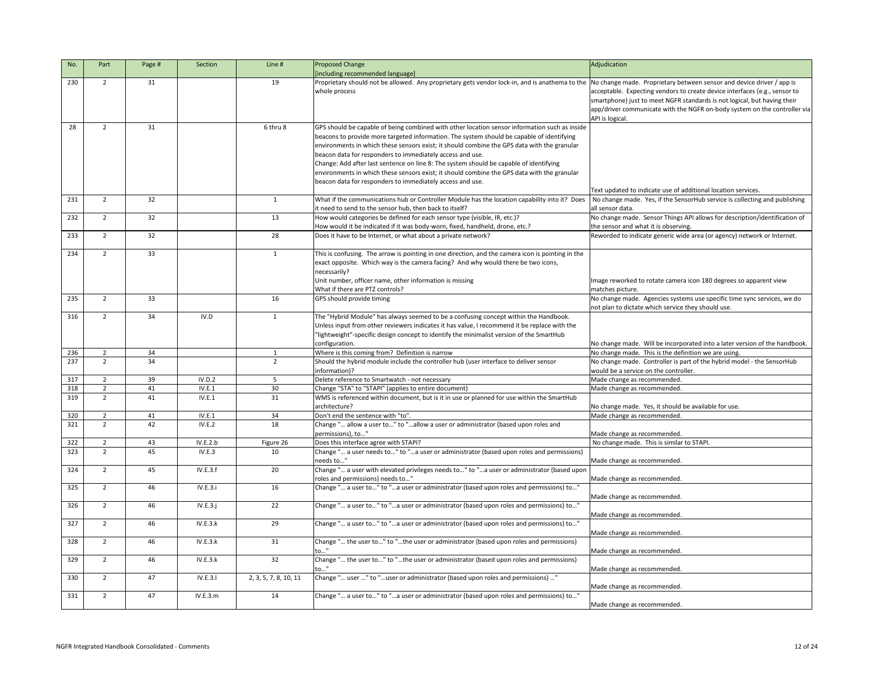| No. | Part           | Page # | Section  | Line #                | <b>Proposed Change</b>                                                                            | Adjudication                                                                                |
|-----|----------------|--------|----------|-----------------------|---------------------------------------------------------------------------------------------------|---------------------------------------------------------------------------------------------|
|     |                |        |          |                       | [including recommended language]                                                                  |                                                                                             |
| 230 | 2              | 31     |          | 19                    | Proprietary should not be allowed. Any proprietary gets vendor lock-in, and is anathema to the    | No change made. Proprietary between sensor and device driver / app is                       |
|     |                |        |          |                       | whole process                                                                                     | acceptable. Expecting vendors to create device interfaces (e.g., sensor to                  |
|     |                |        |          |                       |                                                                                                   | smartphone) just to meet NGFR standards is not logical, but having their                    |
|     |                |        |          |                       |                                                                                                   | app/driver communicate with the NGFR on-body system on the controller via                   |
|     |                |        |          |                       |                                                                                                   | API is logical.                                                                             |
| 28  | $\overline{2}$ | 31     |          | 6 thru 8              | GPS should be capable of being combined with other location sensor information such as inside     |                                                                                             |
|     |                |        |          |                       | beacons to provide more targeted information. The system should be capable of identifying         |                                                                                             |
|     |                |        |          |                       | environments in which these sensors exist; it should combine the GPS data with the granular       |                                                                                             |
|     |                |        |          |                       | beacon data for responders to immediately access and use.                                         |                                                                                             |
|     |                |        |          |                       | Change: Add after last sentence on line 8: The system should be capable of identifying            |                                                                                             |
|     |                |        |          |                       | environments in which these sensors exist; it should combine the GPS data with the granular       |                                                                                             |
|     |                |        |          |                       | beacon data for responders to immediately access and use.                                         |                                                                                             |
|     |                |        |          |                       |                                                                                                   | Text updated to indicate use of additional location services.                               |
| 231 | $\overline{2}$ | 32     |          | 1                     | What if the communications hub or Controller Module has the location capability into it? Does     | No change made. Yes, if the SensorHub service is collecting and publishing                  |
|     |                |        |          |                       | it need to send to the sensor hub, then back to itself?                                           | all sensor data.                                                                            |
| 232 | $2^{\circ}$    | 32     |          | 13                    | How would categories be defined for each sensor type (visible, IR, etc.)?                         | No change made. Sensor Things API allows for description/identification of                  |
|     |                |        |          |                       | How would it be indicated if it was body-worn, fixed, handheld, drone, etc.?                      | the sensor and what it is observing.                                                        |
| 233 | $\overline{2}$ | 32     |          | 28                    | Does it have to be Internet, or what about a private network?                                     | Reworded to indicate generic wide area (or agency) network or Internet.                     |
|     | $\overline{2}$ | 33     |          |                       |                                                                                                   |                                                                                             |
| 234 |                |        |          | 1                     | This is confusing. The arrow is pointing in one direction, and the camera icon is pointing in the |                                                                                             |
|     |                |        |          |                       | exact opposite. Which way is the camera facing? And why would there be two icons,                 |                                                                                             |
|     |                |        |          |                       | necessarily?                                                                                      |                                                                                             |
|     |                |        |          |                       | Unit number, officer name, other information is missing<br>What if there are PTZ controls?        | Image reworked to rotate camera icon 180 degrees so apparent view                           |
| 235 | $\overline{2}$ | 33     |          | 16                    | GPS should provide timing                                                                         | matches picture.<br>No change made. Agencies systems use specific time sync services, we do |
|     |                |        |          |                       |                                                                                                   | not plan to dictate which service they should use.                                          |
| 316 | $\overline{2}$ | 34     | IV.D     |                       | The "Hybrid Module" has always seemed to be a confusing concept within the Handbook.              |                                                                                             |
|     |                |        |          |                       | Unless input from other reviewers indicates it has value, I recommend it be replace with the      |                                                                                             |
|     |                |        |          |                       | 'lightweight"-specific design concept to identify the minimalist version of the SmartHub          |                                                                                             |
|     |                |        |          |                       | configuration.                                                                                    | No change made. Will be incorporated into a later version of the handbook.                  |
| 236 | $\overline{2}$ | 34     |          |                       | Where is this coming from? Definition is narrow                                                   | No change made. This is the definition we are using.                                        |
| 237 | $2^{\circ}$    | 34     |          | $\overline{2}$        | Should the hybrid module include the controller hub (user interface to deliver sensor             | No change made. Controller is part of the hybrid model - the SensorHub                      |
|     |                |        |          |                       | information)?                                                                                     | would be a service on the controller.                                                       |
| 317 | $\overline{2}$ | 39     | IV.D.2   | 5                     | Delete reference to Smartwatch - not necessary                                                    | Made change as recommended.                                                                 |
| 318 | $\overline{2}$ | 41     | IV.E.1   | 30                    | Change "STA" to "STAPI" (applies to entire document)                                              | Made change as recommended.                                                                 |
| 319 | $\overline{2}$ | 41     | IV.E.1   | 31                    | WMS is referenced within document, but is it in use or planned for use within the SmartHub        |                                                                                             |
|     |                |        |          |                       | architecture?                                                                                     | No change made. Yes, it should be available for use.                                        |
| 320 | $2^{\circ}$    | 41     | IV.E.1   | 34                    | Don't end the sentence with "to".                                                                 | Made change as recommended.                                                                 |
| 321 | $\overline{2}$ | 42     | IV.E.2   | 18                    | Change " allow a user to" to "allow a user or administrator (based upon roles and                 |                                                                                             |
|     |                |        |          |                       | permissions), to"                                                                                 | Made change as recommended.                                                                 |
| 322 | $\overline{2}$ | 43     | IV.E.2.b | Figure 26             | Does this interface agree with STAPI?                                                             | No change made. This is similar to STAPI.                                                   |
| 323 | $\overline{2}$ | 45     | IV.E.3   | 10                    | Change " a user needs to" to "a user or administrator (based upon roles and permissions)          |                                                                                             |
|     |                |        |          |                       | needs to"                                                                                         | Made change as recommended.                                                                 |
| 324 | $2^{\circ}$    | 45     | IV.E.3.f | 20                    | Change " a user with elevated privileges needs to" to "a user or administrator (based upon        |                                                                                             |
|     |                |        |          |                       | roles and permissions) needs to"                                                                  | Made change as recommended.                                                                 |
| 325 | $2^{\circ}$    | 46     | IV.E.3.i | 16                    | Change " a user to" to "a user or administrator (based upon roles and permissions) to"            |                                                                                             |
| 326 | $\overline{2}$ | 46     | IV.E.3.j | 22                    | Change " a user to" to "a user or administrator (based upon roles and permissions) to"            | Made change as recommended.                                                                 |
|     |                |        |          |                       |                                                                                                   | Made change as recommended.                                                                 |
| 327 | $\overline{2}$ | 46     | IV.E.3.k | 29                    | Change " a user to" to "a user or administrator (based upon roles and permissions) to"            |                                                                                             |
|     |                |        |          |                       |                                                                                                   | Made change as recommended.                                                                 |
| 328 | $2^{\circ}$    | 46     | IV.E.3.k | 31                    | Change " the user to" to "the user or administrator (based upon roles and permissions)            |                                                                                             |
|     |                |        |          |                       | to'                                                                                               | Made change as recommended.                                                                 |
| 329 | $\overline{2}$ | 46     | IV.E.3.k | 32                    | Change " the user to" to "the user or administrator (based upon roles and permissions)            |                                                                                             |
|     |                |        |          |                       | to"                                                                                               | Made change as recommended.                                                                 |
| 330 | $\overline{2}$ | 47     | IV.E.3.1 | 2, 3, 5, 7, 8, 10, 11 | Change " user " to "user or administrator (based upon roles and permissions) "                    |                                                                                             |
|     |                |        |          |                       |                                                                                                   | Made change as recommended.                                                                 |
| 331 | $2^{\circ}$    | 47     | IV.E.3.m | 14                    | Change " a user to" to "a user or administrator (based upon roles and permissions) to"            |                                                                                             |
|     |                |        |          |                       |                                                                                                   | Made change as recommended.                                                                 |
|     |                |        |          |                       |                                                                                                   |                                                                                             |

|                                                     | Adjudication                                                                                                                                                                                                                                                                                                 |
|-----------------------------------------------------|--------------------------------------------------------------------------------------------------------------------------------------------------------------------------------------------------------------------------------------------------------------------------------------------------------------|
|                                                     |                                                                                                                                                                                                                                                                                                              |
| nd is anathema to the                               | No change made. Proprietary between sensor and device driver / app is<br>acceptable. Expecting vendors to create device interfaces (e.g., sensor to<br>smartphone) just to meet NGFR standards is not logical, but having their<br>app/driver communicate with the NGFR on-body system on the controller via |
| mation such as inside                               | API is logical.                                                                                                                                                                                                                                                                                              |
| able of identifying<br>a with the granular          |                                                                                                                                                                                                                                                                                                              |
| f identifying<br>a with the granular                |                                                                                                                                                                                                                                                                                                              |
|                                                     | Text updated to indicate use of additional location services.                                                                                                                                                                                                                                                |
| pability into it? Does                              | No change made. Yes, if the SensorHub service is collecting and publishing<br>all sensor data.                                                                                                                                                                                                               |
|                                                     | No change made. Sensor Things API allows for description/identification of                                                                                                                                                                                                                                   |
| ?.                                                  | the sensor and what it is observing.<br>Reworded to indicate generic wide area (or agency) network or Internet.                                                                                                                                                                                              |
| con is pointing in the<br>e two icons,              |                                                                                                                                                                                                                                                                                                              |
|                                                     | Image reworked to rotate camera icon 180 degrees so apparent view<br>matches picture.                                                                                                                                                                                                                        |
|                                                     | No change made. Agencies systems use specific time sync services, we do<br>not plan to dictate which service they should use.                                                                                                                                                                                |
| the Handbook.<br>e replace with the<br>the SmartHub |                                                                                                                                                                                                                                                                                                              |
|                                                     | No change made. Will be incorporated into a later version of the handbook.                                                                                                                                                                                                                                   |
| iver sensor                                         | No change made. This is the definition we are using.<br>No change made. Controller is part of the hybrid model - the SensorHub                                                                                                                                                                               |
|                                                     | would be a service on the controller.<br>Made change as recommended.                                                                                                                                                                                                                                         |
|                                                     | Made change as recommended.                                                                                                                                                                                                                                                                                  |
| hin the SmartHub                                    |                                                                                                                                                                                                                                                                                                              |
|                                                     | No change made. Yes, it should be available for use.<br>Made change as recommended.                                                                                                                                                                                                                          |
| on roles and                                        |                                                                                                                                                                                                                                                                                                              |
|                                                     | Made change as recommended.<br>No change made. This is similar to STAPI.                                                                                                                                                                                                                                     |
| les and permissions)                                |                                                                                                                                                                                                                                                                                                              |
| nistrator (based upon                               | Made change as recommended.                                                                                                                                                                                                                                                                                  |
|                                                     | Made change as recommended.                                                                                                                                                                                                                                                                                  |
| permissions) to"                                    | Made change as recommended.                                                                                                                                                                                                                                                                                  |
| permissions) to"                                    | Made change as recommended.                                                                                                                                                                                                                                                                                  |
| permissions) to"                                    | Made change as recommended.                                                                                                                                                                                                                                                                                  |
| and permissions)                                    | Made change as recommended.                                                                                                                                                                                                                                                                                  |
| and permissions)                                    | Made change as recommended.                                                                                                                                                                                                                                                                                  |
| " (issions                                          | Made change as recommended.                                                                                                                                                                                                                                                                                  |
| permissions) to"                                    | Made change as recommended.                                                                                                                                                                                                                                                                                  |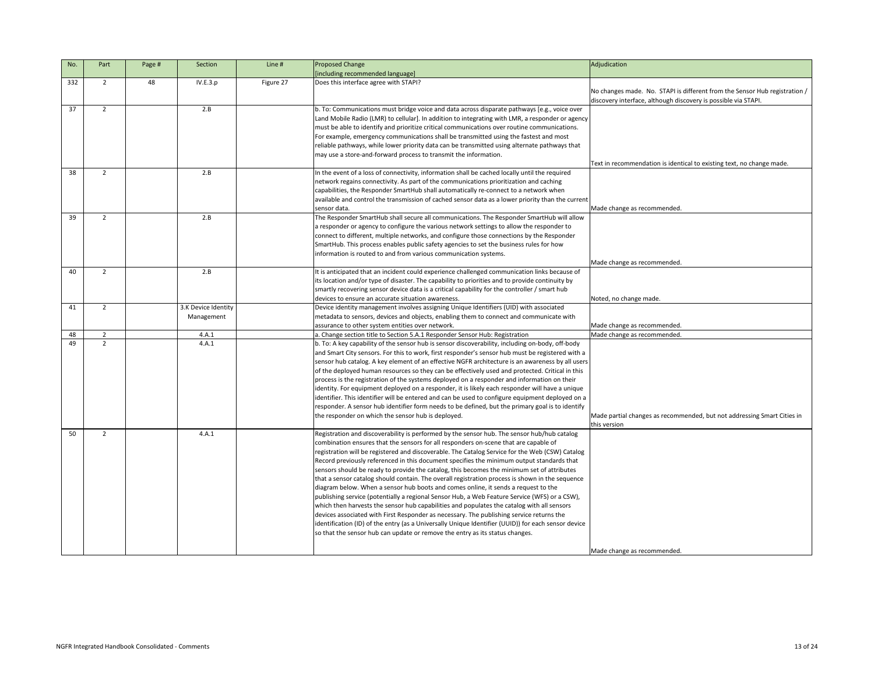| No.      | Part                            | Page # | Section                           | Line #    | <b>Proposed Change</b><br>[including recommended language]                                                                                                                                                                                                                                                                                                                                                                                                                                                                                                                                                                                                                                                                                                                                                                                                                                                                                                                                                                                                                                                                                                   | Adjudication                                                                                                                               |
|----------|---------------------------------|--------|-----------------------------------|-----------|--------------------------------------------------------------------------------------------------------------------------------------------------------------------------------------------------------------------------------------------------------------------------------------------------------------------------------------------------------------------------------------------------------------------------------------------------------------------------------------------------------------------------------------------------------------------------------------------------------------------------------------------------------------------------------------------------------------------------------------------------------------------------------------------------------------------------------------------------------------------------------------------------------------------------------------------------------------------------------------------------------------------------------------------------------------------------------------------------------------------------------------------------------------|--------------------------------------------------------------------------------------------------------------------------------------------|
| 332      | $\overline{2}$                  | 48     | IV.E.3.p                          | Figure 27 | Does this interface agree with STAPI?                                                                                                                                                                                                                                                                                                                                                                                                                                                                                                                                                                                                                                                                                                                                                                                                                                                                                                                                                                                                                                                                                                                        | No changes made. No. STAPI is different from the Sensor Hub registration<br>discovery interface, although discovery is possible via STAPI. |
| 37       | $\overline{2}$                  |        | 2.B                               |           | b. To: Communications must bridge voice and data across disparate pathways [e.g., voice over<br>Land Mobile Radio (LMR) to cellular]. In addition to integrating with LMR, a responder or agency<br>must be able to identify and prioritize critical communications over routine communications.<br>For example, emergency communications shall be transmitted using the fastest and most<br>reliable pathways, while lower priority data can be transmitted using alternate pathways that<br>may use a store-and-forward process to transmit the information.                                                                                                                                                                                                                                                                                                                                                                                                                                                                                                                                                                                               | Text in recommendation is identical to existing text, no change made.                                                                      |
| 38       | $\overline{2}$                  |        | 2.B                               |           | In the event of a loss of connectivity, information shall be cached locally until the required<br>network regains connectivity. As part of the communications prioritization and caching<br>capabilities, the Responder SmartHub shall automatically re-connect to a network when<br>available and control the transmission of cached sensor data as a lower priority than the current<br>sensor data.                                                                                                                                                                                                                                                                                                                                                                                                                                                                                                                                                                                                                                                                                                                                                       | Made change as recommended.                                                                                                                |
| 39       | $\overline{2}$                  |        | 2.B                               |           | The Responder SmartHub shall secure all communications. The Responder SmartHub will allow<br>a responder or agency to configure the various network settings to allow the responder to<br>connect to different, multiple networks, and configure those connections by the Responder<br>SmartHub. This process enables public safety agencies to set the business rules for how<br>information is routed to and from various communication systems.                                                                                                                                                                                                                                                                                                                                                                                                                                                                                                                                                                                                                                                                                                           | Made change as recommended.                                                                                                                |
| 40       | 2                               |        | 2.B                               |           | It is anticipated that an incident could experience challenged communication links because of<br>its location and/or type of disaster. The capability to priorities and to provide continuity by<br>smartly recovering sensor device data is a critical capability for the controller / smart hub<br>devices to ensure an accurate situation awareness.                                                                                                                                                                                                                                                                                                                                                                                                                                                                                                                                                                                                                                                                                                                                                                                                      | Noted, no change made.                                                                                                                     |
| 41       | $\overline{2}$                  |        | 3.K Device Identity<br>Management |           | Device identity management involves assigning Unique Identifiers (UID) with associated<br>metadata to sensors, devices and objects, enabling them to connect and communicate with<br>assurance to other system entities over network.                                                                                                                                                                                                                                                                                                                                                                                                                                                                                                                                                                                                                                                                                                                                                                                                                                                                                                                        | Made change as recommended.                                                                                                                |
| 48       | $\overline{2}$                  |        | 4.A.1                             |           | a. Change section title to Section 5.A.1 Responder Sensor Hub: Registration                                                                                                                                                                                                                                                                                                                                                                                                                                                                                                                                                                                                                                                                                                                                                                                                                                                                                                                                                                                                                                                                                  | Made change as recommended.                                                                                                                |
| 49<br>50 | $\mathcal{L}$<br>$\overline{2}$ |        | 4.A.1<br>4.A.1                    |           | b. To: A key capability of the sensor hub is sensor discoverability, including on-body, off-body<br>and Smart City sensors. For this to work, first responder's sensor hub must be registered with a<br>sensor hub catalog. A key element of an effective NGFR architecture is an awareness by all users<br>of the deployed human resources so they can be effectively used and protected. Critical in this<br>process is the registration of the systems deployed on a responder and information on their<br>identity. For equipment deployed on a responder, it is likely each responder will have a unique<br>lidentifier. This identifier will be entered and can be used to configure equipment deployed on a<br>responder. A sensor hub identifier form needs to be defined, but the primary goal is to identify<br>the responder on which the sensor hub is deployed.                                                                                                                                                                                                                                                                                 | Made partial changes as recommended, but not addressing Smart Cities in<br>this version                                                    |
|          |                                 |        |                                   |           | Registration and discoverability is performed by the sensor hub. The sensor hub/hub catalog<br>combination ensures that the sensors for all responders on-scene that are capable of<br>registration will be registered and discoverable. The Catalog Service for the Web (CSW) Catalog<br>Record previously referenced in this document specifies the minimum output standards that<br>sensors should be ready to provide the catalog, this becomes the minimum set of attributes<br>that a sensor catalog should contain. The overall registration process is shown in the sequence<br>diagram below. When a sensor hub boots and comes online, it sends a request to the<br>publishing service (potentially a regional Sensor Hub, a Web Feature Service (WFS) or a CSW),<br>which then harvests the sensor hub capabilities and populates the catalog with all sensors<br>devices associated with First Responder as necessary. The publishing service returns the<br>identification (ID) of the entry (as a Universally Unique Identifier (UUID)) for each sensor device<br>so that the sensor hub can update or remove the entry as its status changes. | Made change as recommended.                                                                                                                |

|             | Adjudication                                                                                                                                 |
|-------------|----------------------------------------------------------------------------------------------------------------------------------------------|
|             |                                                                                                                                              |
|             | No changes made. No. STAPI is different from the Sensor Hub registration /<br>discovery interface, although discovery is possible via STAPI. |
| er          |                                                                                                                                              |
| ency<br>ŝ.  |                                                                                                                                              |
|             |                                                                                                                                              |
| at          |                                                                                                                                              |
|             | Text in recommendation is identical to existing text, no change made.                                                                        |
|             |                                                                                                                                              |
|             |                                                                                                                                              |
|             |                                                                                                                                              |
| <b>rent</b> | Made change as recommended.                                                                                                                  |
| ow          |                                                                                                                                              |
|             |                                                                                                                                              |
|             |                                                                                                                                              |
|             |                                                                                                                                              |
|             |                                                                                                                                              |
|             | Made change as recommended.                                                                                                                  |
| рf          |                                                                                                                                              |
|             |                                                                                                                                              |
|             | Noted, no change made.                                                                                                                       |
|             |                                                                                                                                              |
|             |                                                                                                                                              |
|             | Made change as recommended.                                                                                                                  |
|             | Made change as recommended.                                                                                                                  |
| ly<br>th a  |                                                                                                                                              |
| ısers       |                                                                                                                                              |
| his         |                                                                                                                                              |
|             |                                                                                                                                              |
| ue          |                                                                                                                                              |
| วท ล        |                                                                                                                                              |
| tify        |                                                                                                                                              |
|             | Made partial changes as recommended, but not addressing Smart Cities in<br>this version                                                      |
| g           |                                                                                                                                              |
|             |                                                                                                                                              |
| log         |                                                                                                                                              |
| t           |                                                                                                                                              |
|             |                                                                                                                                              |
| ıce         |                                                                                                                                              |
| '),         |                                                                                                                                              |
|             |                                                                                                                                              |
|             |                                                                                                                                              |
| vice        |                                                                                                                                              |
|             |                                                                                                                                              |
|             |                                                                                                                                              |
|             | Made change as recommended.                                                                                                                  |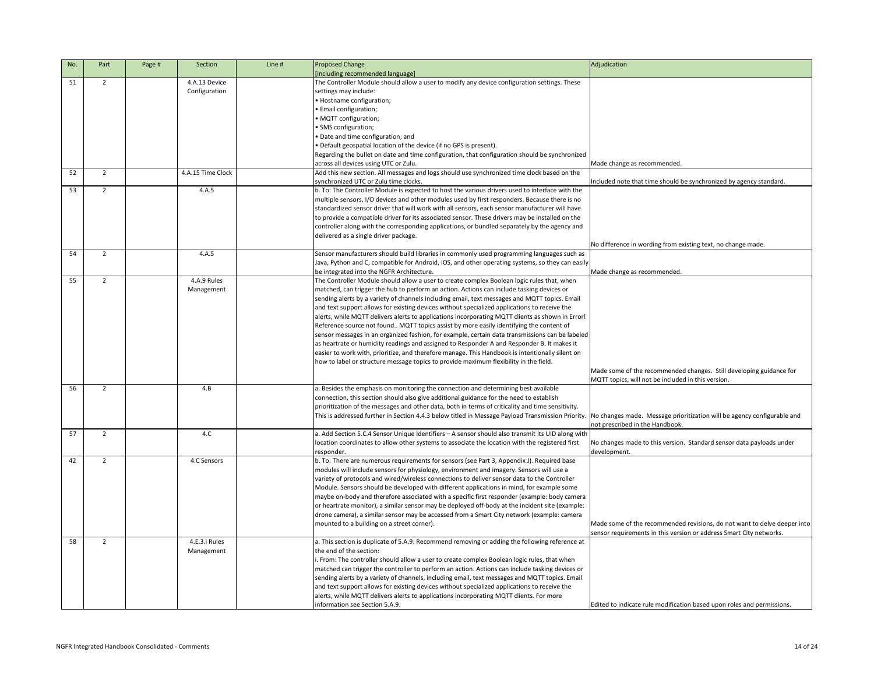| No. | Part           | Page # | Section                        | Line # | Proposed Change<br>[including recommended language]                                                                                                                                                                                                                                                                                                                                                                                                                                                                                                                                                                                                                                                                                                                                                                                                                                                                                                                                  | Adjudication                                                                                                                                    |
|-----|----------------|--------|--------------------------------|--------|--------------------------------------------------------------------------------------------------------------------------------------------------------------------------------------------------------------------------------------------------------------------------------------------------------------------------------------------------------------------------------------------------------------------------------------------------------------------------------------------------------------------------------------------------------------------------------------------------------------------------------------------------------------------------------------------------------------------------------------------------------------------------------------------------------------------------------------------------------------------------------------------------------------------------------------------------------------------------------------|-------------------------------------------------------------------------------------------------------------------------------------------------|
| 51  | $\overline{2}$ |        | 4.A.13 Device<br>Configuration |        | The Controller Module should allow a user to modify any device configuration settings. These<br>settings may include:<br>• Hostname configuration;<br>• Email configuration;<br>• MQTT configuration;<br>• SMS configuration;                                                                                                                                                                                                                                                                                                                                                                                                                                                                                                                                                                                                                                                                                                                                                        |                                                                                                                                                 |
|     |                |        |                                |        | • Date and time configuration; and<br>• Default geospatial location of the device (if no GPS is present).<br>Regarding the bullet on date and time configuration, that configuration should be synchronized<br>across all devices using UTC or Zulu.                                                                                                                                                                                                                                                                                                                                                                                                                                                                                                                                                                                                                                                                                                                                 | Made change as recommended.                                                                                                                     |
| 52  | $\overline{2}$ |        | 4.A.15 Time Clock              |        | Add this new section. All messages and logs should use synchronized time clock based on the<br>synchronized UTC or Zulu time clocks.                                                                                                                                                                                                                                                                                                                                                                                                                                                                                                                                                                                                                                                                                                                                                                                                                                                 | Included note that time should be synchronized by agency standard.                                                                              |
| 53  | $2^{\circ}$    |        | 4.A.5                          |        | b. To: The Controller Module is expected to host the various drivers used to interface with the<br>multiple sensors, I/O devices and other modules used by first responders. Because there is no<br>standardized sensor driver that will work with all sensors, each sensor manufacturer will have<br>to provide a compatible driver for its associated sensor. These drivers may be installed on the<br>controller along with the corresponding applications, or bundled separately by the agency and<br>delivered as a single driver package.                                                                                                                                                                                                                                                                                                                                                                                                                                      | No difference in wording from existing text, no change made.                                                                                    |
| 54  | 2              |        | 4.A.5                          |        | Sensor manufacturers should build libraries in commonly used programming languages such as<br>Java, Python and C, compatible for Android, iOS, and other operating systems, so they can easily<br>be integrated into the NGFR Architecture.                                                                                                                                                                                                                                                                                                                                                                                                                                                                                                                                                                                                                                                                                                                                          | Made change as recommended.                                                                                                                     |
| 55  | 2              |        | 4.A.9 Rules<br>Management      |        | The Controller Module should allow a user to create complex Boolean logic rules that, when<br>matched, can trigger the hub to perform an action. Actions can include tasking devices or<br>sending alerts by a variety of channels including email, text messages and MQTT topics. Email<br>and text support allows for existing devices without specialized applications to receive the<br>alerts, while MQTT delivers alerts to applications incorporating MQTT clients as shown in Error!<br>Reference source not found MQTT topics assist by more easily identifying the content of<br>sensor messages in an organized fashion, for example, certain data transmissions can be labeled<br>as heartrate or humidity readings and assigned to Responder A and Responder B. It makes it<br>easier to work with, prioritize, and therefore manage. This Handbook is intentionally silent on<br>how to label or structure message topics to provide maximum flexibility in the field. |                                                                                                                                                 |
| 56  | $\overline{2}$ |        | 4.B                            |        | a. Besides the emphasis on monitoring the connection and determining best available                                                                                                                                                                                                                                                                                                                                                                                                                                                                                                                                                                                                                                                                                                                                                                                                                                                                                                  | Made some of the recommended changes. Still developing guidance for<br>MQTT topics, will not be included in this version.                       |
|     |                |        |                                |        | connection, this section should also give additional guidance for the need to establish<br>prioritization of the messages and other data, both in terms of criticality and time sensitivity.<br>This is addressed further in Section 4.4.3 below titled in Message Payload Transmission Priority.                                                                                                                                                                                                                                                                                                                                                                                                                                                                                                                                                                                                                                                                                    | No changes made. Message prioritization will be agency configurable and<br>not prescribed in the Handbook.                                      |
| 57  | $\overline{2}$ |        | 4.C                            |        | a. Add Section 5.C.4 Sensor Unique Identifiers - A sensor should also transmit its UID along with<br>location coordinates to allow other systems to associate the location with the registered first<br>responder.                                                                                                                                                                                                                                                                                                                                                                                                                                                                                                                                                                                                                                                                                                                                                                   | No changes made to this version. Standard sensor data payloads under<br>development.                                                            |
| 42  | 2              |        | 4.C Sensors                    |        | b. To: There are numerous requirements for sensors (see Part 3, Appendix J). Required base<br>modules will include sensors for physiology, environment and imagery. Sensors will use a<br>variety of protocols and wired/wireless connections to deliver sensor data to the Controller<br>Module. Sensors should be developed with different applications in mind, for example some<br>maybe on-body and therefore associated with a specific first responder (example: body camera<br>or heartrate monitor), a similar sensor may be deployed off-body at the incident site (example:<br>drone camera), a similar sensor may be accessed from a Smart City network (example: camera<br>mounted to a building on a street corner).                                                                                                                                                                                                                                                   | Made some of the recommended revisions, do not want to delve deeper into<br>sensor requirements in this version or address Smart City networks. |
| 58  | $\overline{2}$ |        | 4.E.3.i Rules<br>Management    |        | a. This section is duplicate of 5.A.9. Recommend removing or adding the following reference at<br>the end of the section:<br>. From: The controller should allow a user to create complex Boolean logic rules, that when<br>matched can trigger the controller to perform an action. Actions can include tasking devices or<br>sending alerts by a variety of channels, including email, text messages and MQTT topics. Email<br>and text support allows for existing devices without specialized applications to receive the<br>alerts, while MQTT delivers alerts to applications incorporating MQTT clients. For more<br>information see Section 5.A.9.                                                                                                                                                                                                                                                                                                                           | Edited to indicate rule modification based upon roles and permissions.                                                                          |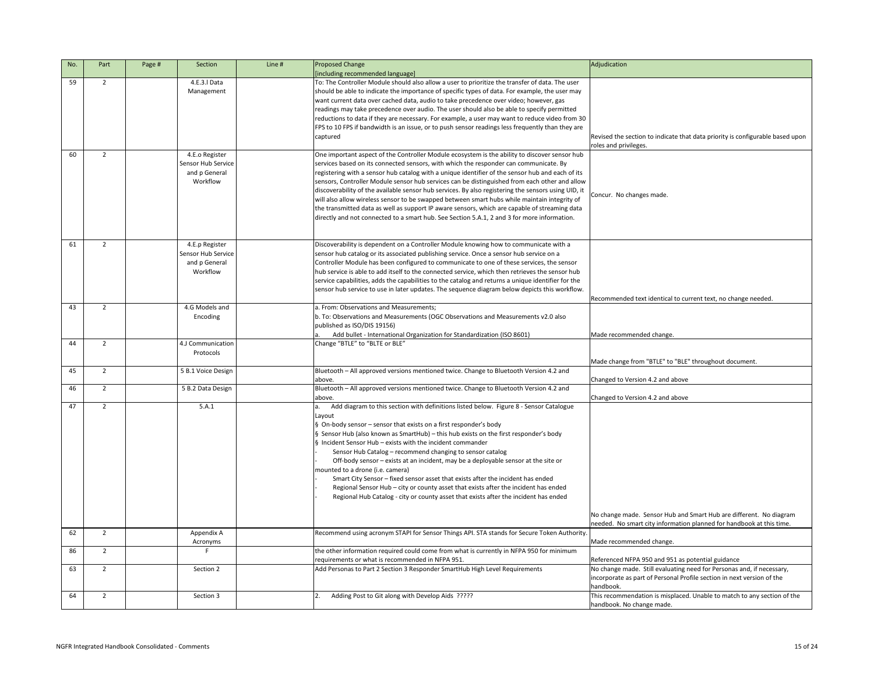| No. | Part           | Page # | Section            | Line # | Proposed Change                                                                                                                              | Adjudication                                                                  |
|-----|----------------|--------|--------------------|--------|----------------------------------------------------------------------------------------------------------------------------------------------|-------------------------------------------------------------------------------|
|     |                |        |                    |        | [including recommended language]                                                                                                             |                                                                               |
| 59  | $\overline{2}$ |        | 4.E.3.I Data       |        | To: The Controller Module should also allow a user to prioritize the transfer of data. The user                                              |                                                                               |
|     |                |        | Management         |        | should be able to indicate the importance of specific types of data. For example, the user may                                               |                                                                               |
|     |                |        |                    |        | want current data over cached data, audio to take precedence over video; however, gas                                                        |                                                                               |
|     |                |        |                    |        | readings may take precedence over audio. The user should also be able to specify permitted                                                   |                                                                               |
|     |                |        |                    |        | reductions to data if they are necessary. For example, a user may want to reduce video from 30                                               |                                                                               |
|     |                |        |                    |        | FPS to 10 FPS if bandwidth is an issue, or to push sensor readings less frequently than they are                                             |                                                                               |
|     |                |        |                    |        | captured                                                                                                                                     | Revised the section to indicate that data priority is configurable based upon |
|     |                |        |                    |        |                                                                                                                                              | roles and privileges.                                                         |
| 60  | $2^{\circ}$    |        | 4.E.o Register     |        | One important aspect of the Controller Module ecosystem is the ability to discover sensor hub                                                |                                                                               |
|     |                |        | Sensor Hub Service |        | services based on its connected sensors, with which the responder can communicate. By                                                        |                                                                               |
|     |                |        | and p General      |        | registering with a sensor hub catalog with a unique identifier of the sensor hub and each of its                                             |                                                                               |
|     |                |        | Workflow           |        | sensors, Controller Module sensor hub services can be distinguished from each other and allow                                                |                                                                               |
|     |                |        |                    |        | discoverability of the available sensor hub services. By also registering the sensors using UID, it                                          |                                                                               |
|     |                |        |                    |        | will also allow wireless sensor to be swapped between smart hubs while maintain integrity of                                                 | Concur. No changes made.                                                      |
|     |                |        |                    |        | the transmitted data as well as support IP aware sensors, which are capable of streaming data                                                |                                                                               |
|     |                |        |                    |        | directly and not connected to a smart hub. See Section 5.A.1, 2 and 3 for more information.                                                  |                                                                               |
|     |                |        |                    |        |                                                                                                                                              |                                                                               |
|     |                |        |                    |        |                                                                                                                                              |                                                                               |
| 61  | $\overline{2}$ |        | 4.E.p Register     |        | Discoverability is dependent on a Controller Module knowing how to communicate with a                                                        |                                                                               |
|     |                |        | Sensor Hub Service |        | sensor hub catalog or its associated publishing service. Once a sensor hub service on a                                                      |                                                                               |
|     |                |        | and p General      |        | Controller Module has been configured to communicate to one of these services, the sensor                                                    |                                                                               |
|     |                |        | Workflow           |        | hub service is able to add itself to the connected service, which then retrieves the sensor hub                                              |                                                                               |
|     |                |        |                    |        | service capabilities, adds the capabilities to the catalog and returns a unique identifier for the                                           |                                                                               |
|     |                |        |                    |        | sensor hub service to use in later updates. The sequence diagram below depicts this workflow.                                                |                                                                               |
|     |                |        |                    |        |                                                                                                                                              | Recommended text identical to current text, no change needed.                 |
| 43  | $\overline{2}$ |        | 4.G Models and     |        | a. From: Observations and Measurements;                                                                                                      |                                                                               |
|     |                |        | Encoding           |        | b. To: Observations and Measurements (OGC Observations and Measurements v2.0 also                                                            |                                                                               |
|     |                |        |                    |        | published as ISO/DIS 19156)                                                                                                                  |                                                                               |
|     |                |        |                    |        | Add bullet - International Organization for Standardization (ISO 8601)                                                                       | Made recommended change.                                                      |
| 44  | $\overline{2}$ |        | 4.J Communication  |        | Change "BTLE" to "BLTE or BLE"                                                                                                               |                                                                               |
|     |                |        | Protocols          |        |                                                                                                                                              | Made change from "BTLE" to "BLE" throughout document.                         |
| 45  | $\overline{2}$ |        | 5 B.1 Voice Design |        | Bluetooth - All approved versions mentioned twice. Change to Bluetooth Version 4.2 and                                                       |                                                                               |
|     |                |        |                    |        | above.                                                                                                                                       | Changed to Version 4.2 and above                                              |
| 46  | $\overline{2}$ |        | 5 B.2 Data Design  |        | Bluetooth - All approved versions mentioned twice. Change to Bluetooth Version 4.2 and                                                       |                                                                               |
|     |                |        |                    |        | above.                                                                                                                                       | Changed to Version 4.2 and above                                              |
| 47  | $\overline{2}$ |        | 5.A.1              |        | Add diagram to this section with definitions listed below. Figure 8 - Sensor Catalogue                                                       |                                                                               |
|     |                |        |                    |        | Layout                                                                                                                                       |                                                                               |
|     |                |        |                    |        | § On-body sensor - sensor that exists on a first responder's body                                                                            |                                                                               |
|     |                |        |                    |        | § Sensor Hub (also known as SmartHub) - this hub exists on the first responder's body                                                        |                                                                               |
|     |                |        |                    |        | $\S$ Incident Sensor Hub – exists with the incident commander                                                                                |                                                                               |
|     |                |        |                    |        | Sensor Hub Catalog - recommend changing to sensor catalog                                                                                    |                                                                               |
|     |                |        |                    |        | Off-body sensor - exists at an incident, may be a deployable sensor at the site or                                                           |                                                                               |
|     |                |        |                    |        | mounted to a drone (i.e. camera)                                                                                                             |                                                                               |
|     |                |        |                    |        | Smart City Sensor - fixed sensor asset that exists after the incident has ended                                                              |                                                                               |
|     |                |        |                    |        | Regional Sensor Hub - city or county asset that exists after the incident has ended                                                          |                                                                               |
|     |                |        |                    |        | Regional Hub Catalog - city or county asset that exists after the incident has ended                                                         |                                                                               |
|     |                |        |                    |        |                                                                                                                                              |                                                                               |
|     |                |        |                    |        |                                                                                                                                              | No change made. Sensor Hub and Smart Hub are different. No diagram            |
|     |                |        |                    |        |                                                                                                                                              | needed. No smart city information planned for handbook at this time.          |
| 62  | $\overline{2}$ |        | Appendix A         |        | Recommend using acronym STAPI for Sensor Things API. STA stands for Secure Token Authority.                                                  |                                                                               |
|     |                |        | Acronyms           |        |                                                                                                                                              | Made recommended change.                                                      |
| 86  | $\overline{2}$ |        |                    |        | the other information required could come from what is currently in NFPA 950 for minimum<br>requirements or what is recommended in NFPA 951. | Referenced NFPA 950 and 951 as potential guidance                             |
| 63  | $\overline{2}$ |        | Section 2          |        | Add Personas to Part 2 Section 3 Responder SmartHub High Level Requirements                                                                  | No change made. Still evaluating need for Personas and, if necessary,         |
|     |                |        |                    |        |                                                                                                                                              | incorporate as part of Personal Profile section in next version of the        |
|     |                |        |                    |        |                                                                                                                                              | handbook.                                                                     |
| 64  | $\overline{2}$ |        | Section 3          |        | Adding Post to Git along with Develop Aids ?????                                                                                             | This recommendation is misplaced. Unable to match to any section of the       |
|     |                |        |                    |        |                                                                                                                                              | handbook. No change made.                                                     |

|                                      | Adjudication                                                                                                                                                                                                                                                                                                              |
|--------------------------------------|---------------------------------------------------------------------------------------------------------------------------------------------------------------------------------------------------------------------------------------------------------------------------------------------------------------------------|
| 'n,<br>эу<br>30<br>ıre               | Revised the section to indicate that data priority is configurable based upon<br>roles and privileges.                                                                                                                                                                                                                    |
| ub<br>its<br>low<br>, it<br>эf<br>ta | Concur. No changes made.                                                                                                                                                                                                                                                                                                  |
| þ<br>e<br>W.                         | Recommended text identical to current text, no change needed.                                                                                                                                                                                                                                                             |
|                                      | Made recommended change.                                                                                                                                                                                                                                                                                                  |
|                                      | Made change from "BTLE" to "BLE" throughout document.                                                                                                                                                                                                                                                                     |
|                                      | Changed to Version 4.2 and above                                                                                                                                                                                                                                                                                          |
|                                      | Changed to Version 4.2 and above                                                                                                                                                                                                                                                                                          |
|                                      |                                                                                                                                                                                                                                                                                                                           |
|                                      | No change made. Sensor Hub and Smart Hub are different. No diagram<br>needed. No smart city information planned for handbook at this time.                                                                                                                                                                                |
| rity.                                | Made recommended change.                                                                                                                                                                                                                                                                                                  |
|                                      | Referenced NFPA 950 and 951 as potential guidance<br>No change made. Still evaluating need for Personas and, if necessary,<br>incorporate as part of Personal Profile section in next version of the<br>handbook.<br>This recommendation is misplaced. Unable to match to any section of the<br>handbook. No change made. |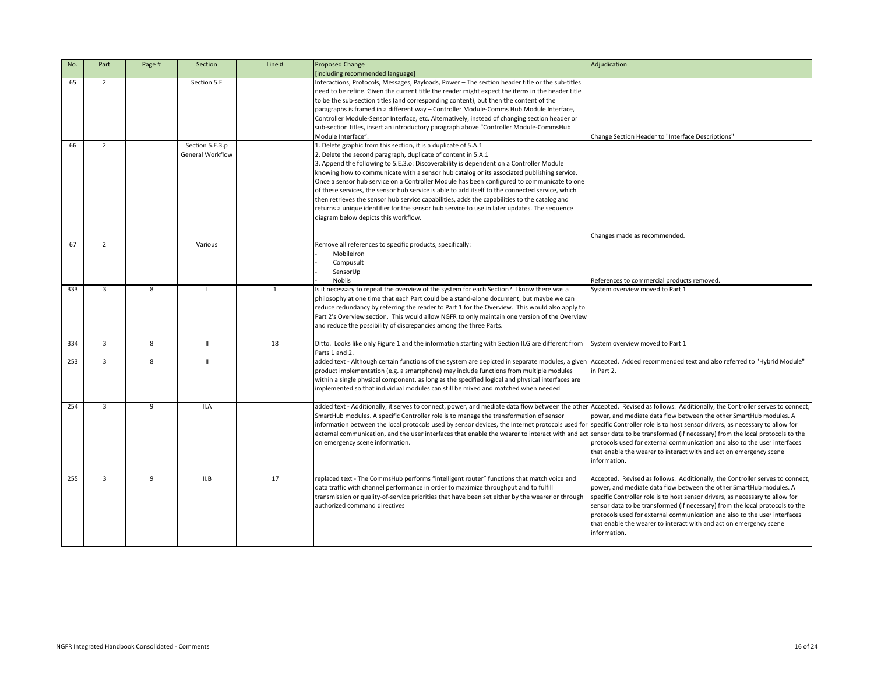| No. | Part           | Page # | Section                                    | Line #       | Proposed Change<br>[including recommended language]                                                                                                                                                                                                                                                                                                                                                                                                                                                                                                                                                                                                                                                                                                                | Adjudication                                                                                                                                                                                                                                                                                                                                                                                                                                                                            |
|-----|----------------|--------|--------------------------------------------|--------------|--------------------------------------------------------------------------------------------------------------------------------------------------------------------------------------------------------------------------------------------------------------------------------------------------------------------------------------------------------------------------------------------------------------------------------------------------------------------------------------------------------------------------------------------------------------------------------------------------------------------------------------------------------------------------------------------------------------------------------------------------------------------|-----------------------------------------------------------------------------------------------------------------------------------------------------------------------------------------------------------------------------------------------------------------------------------------------------------------------------------------------------------------------------------------------------------------------------------------------------------------------------------------|
| 65  | $2^{\circ}$    |        | Section 5.E                                |              | Interactions, Protocols, Messages, Payloads, Power - The section header title or the sub-titles<br>need to be refine. Given the current title the reader might expect the items in the header title<br>to be the sub-section titles (and corresponding content), but then the content of the<br>paragraphs is framed in a different way - Controller Module-Comms Hub Module Interface,<br>Controller Module-Sensor Interface, etc. Alternatively, instead of changing section header or<br>sub-section titles, insert an introductory paragraph above "Controller Module-CommsHub<br>Module Interface".                                                                                                                                                           | Change Section Header to "Interface Descriptions"                                                                                                                                                                                                                                                                                                                                                                                                                                       |
| 66  | $\overline{2}$ |        | Section 5.E.3.p<br><b>General Workflow</b> |              | 1. Delete graphic from this section, it is a duplicate of 5.A.1<br>2. Delete the second paragraph, duplicate of content in 5.A.1<br>3. Append the following to 5.E.3.o: Discoverability is dependent on a Controller Module<br>knowing how to communicate with a sensor hub catalog or its associated publishing service.<br>Once a sensor hub service on a Controller Module has been configured to communicate to one<br>of these services, the sensor hub service is able to add itself to the connected service, which<br>then retrieves the sensor hub service capabilities, adds the capabilities to the catalog and<br>returns a unique identifier for the sensor hub service to use in later updates. The sequence<br>diagram below depicts this workflow. |                                                                                                                                                                                                                                                                                                                                                                                                                                                                                         |
| 67  | $\overline{2}$ |        | Various                                    |              | Remove all references to specific products, specifically:<br>MobileIron<br>Compusult<br>SensorUp<br><b>Noblis</b>                                                                                                                                                                                                                                                                                                                                                                                                                                                                                                                                                                                                                                                  | Changes made as recommended.<br>References to commercial products removed.                                                                                                                                                                                                                                                                                                                                                                                                              |
| 333 | $\overline{3}$ | 8      |                                            | $\mathbf{1}$ | Is it necessary to repeat the overview of the system for each Section? I know there was a<br>philosophy at one time that each Part could be a stand-alone document, but maybe we can<br>reduce redundancy by referring the reader to Part 1 for the Overview. This would also apply to<br>Part 2's Overview section. This would allow NGFR to only maintain one version of the Overview<br>and reduce the possibility of discrepancies among the three Parts.                                                                                                                                                                                                                                                                                                      | System overview moved to Part 1                                                                                                                                                                                                                                                                                                                                                                                                                                                         |
| 334 | $\overline{3}$ | 8      | $\mathbf{H}$                               | 18           | Ditto. Looks like only Figure 1 and the information starting with Section II.G are different from System overview moved to Part 1<br>Parts 1 and 2.                                                                                                                                                                                                                                                                                                                                                                                                                                                                                                                                                                                                                |                                                                                                                                                                                                                                                                                                                                                                                                                                                                                         |
| 253 | $\mathbf{3}$   | 8      | $\mathbf{H}$                               |              | added text - Although certain functions of the system are depicted in separate modules, a given Accepted. Added recommended text and also referred to "Hybrid Module"<br>product implementation (e.g. a smartphone) may include functions from multiple modules<br>within a single physical component, as long as the specified logical and physical interfaces are<br>implemented so that individual modules can still be mixed and matched when needed                                                                                                                                                                                                                                                                                                           | in Part 2.                                                                                                                                                                                                                                                                                                                                                                                                                                                                              |
| 254 | 3              | 9      | II.A                                       |              | added text - Additionally, it serves to connect, power, and mediate data flow between the other Accepted. Revised as follows. Additionally, the Controller serves to connect,<br>SmartHub modules. A specific Controller role is to manage the transformation of sensor<br>information between the local protocols used by sensor devices, the Internet protocols used for specific Controller role is to host sensor drivers, as necessary to allow for<br>external communication, and the user interfaces that enable the wearer to interact with and act sensor data to be transformed (if necessary) from the local protocols to the<br>on emergency scene information.                                                                                        | power, and mediate data flow between the other SmartHub modules. A<br>protocols used for external communication and also to the user interfaces<br>that enable the wearer to interact with and act on emergency scene<br>information.                                                                                                                                                                                                                                                   |
| 255 | $\overline{3}$ | 9      | II.B                                       | 17           | replaced text - The CommsHub performs "intelligent router" functions that match voice and<br>data traffic with channel performance in order to maximize throughput and to fulfill<br>transmission or quality-of-service priorities that have been set either by the wearer or through<br>authorized command directives                                                                                                                                                                                                                                                                                                                                                                                                                                             | Accepted. Revised as follows. Additionally, the Controller serves to connect,<br>power, and mediate data flow between the other SmartHub modules. A<br>specific Controller role is to host sensor drivers, as necessary to allow for<br>sensor data to be transformed (if necessary) from the local protocols to the<br>protocols used for external communication and also to the user interfaces<br>that enable the wearer to interact with and act on emergency scene<br>information. |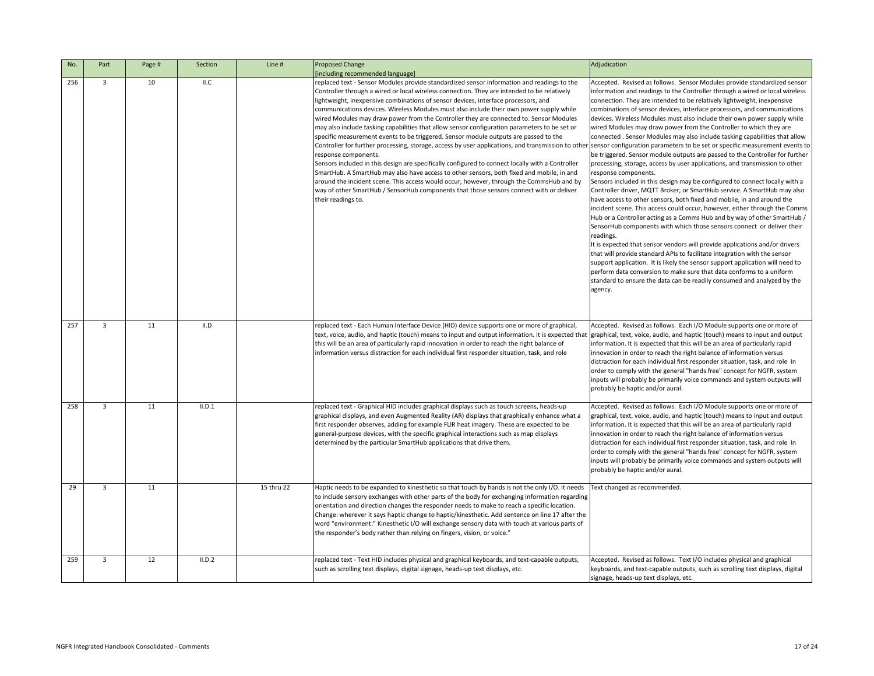|                          | Adjudication                                                                                                                                                                                                                                                                                                                                                                                                                                                                                                                                                                                                                                                                                                                                                                                                                                                                                                                                                                                                                                                                                                                                                                                                                                                                                                                                                                                                                                                                                                                                                                                                                                                                                                                |
|--------------------------|-----------------------------------------------------------------------------------------------------------------------------------------------------------------------------------------------------------------------------------------------------------------------------------------------------------------------------------------------------------------------------------------------------------------------------------------------------------------------------------------------------------------------------------------------------------------------------------------------------------------------------------------------------------------------------------------------------------------------------------------------------------------------------------------------------------------------------------------------------------------------------------------------------------------------------------------------------------------------------------------------------------------------------------------------------------------------------------------------------------------------------------------------------------------------------------------------------------------------------------------------------------------------------------------------------------------------------------------------------------------------------------------------------------------------------------------------------------------------------------------------------------------------------------------------------------------------------------------------------------------------------------------------------------------------------------------------------------------------------|
| r<br>ł<br>эγ             | Accepted. Revised as follows. Sensor Modules provide standardized sensor<br>information and readings to the Controller through a wired or local wireless<br>connection. They are intended to be relatively lightweight, inexpensive<br>combinations of sensor devices, interface processors, and communications<br>devices. Wireless Modules must also include their own power supply while<br>wired Modules may draw power from the Controller to which they are<br>connected. Sensor Modules may also include tasking capabilities that allow<br>ther sensor configuration parameters to be set or specific measurement events to<br>be triggered. Sensor module outputs are passed to the Controller for further<br>processing, storage, access by user applications, and transmission to other<br>response components.<br>Sensors included in this design may be configured to connect locally with a<br>Controller driver, MQTT Broker, or SmartHub service. A SmartHub may also<br>have access to other sensors, both fixed and mobile, in and around the<br>incident scene. This access could occur, however, either through the Comms<br>Hub or a Controller acting as a Comms Hub and by way of other SmartHub /<br>SensorHub components with which those sensors connect or deliver their<br>readings.<br>It is expected that sensor vendors will provide applications and/or drivers<br>that will provide standard APIs to facilitate integration with the sensor<br>support application. It is likely the sensor support application will need to<br>perform data conversion to make sure that data conforms to a uniform<br>standard to ensure the data can be readily consumed and analyzed by the<br>agency. |
| that                     | Accepted. Revised as follows. Each I/O Module supports one or more of<br>graphical, text, voice, audio, and haptic (touch) means to input and output<br>information. It is expected that this will be an area of particularly rapid<br>innovation in order to reach the right balance of information versus<br>distraction for each individual first responder situation, task, and role In<br>order to comply with the general "hands free" concept for NGFR, system<br>inputs will probably be primarily voice commands and system outputs will<br>probably be haptic and/or aural.                                                                                                                                                                                                                                                                                                                                                                                                                                                                                                                                                                                                                                                                                                                                                                                                                                                                                                                                                                                                                                                                                                                                       |
| a                        | Accepted. Revised as follows. Each I/O Module supports one or more of<br>graphical, text, voice, audio, and haptic (touch) means to input and output<br>information. It is expected that this will be an area of particularly rapid<br>innovation in order to reach the right balance of information versus<br>distraction for each individual first responder situation, task, and role In<br>order to comply with the general "hands free" concept for NGFR, system<br>inputs will probably be primarily voice commands and system outputs will<br>probably be haptic and/or aural.                                                                                                                                                                                                                                                                                                                                                                                                                                                                                                                                                                                                                                                                                                                                                                                                                                                                                                                                                                                                                                                                                                                                       |
| eds<br>ding<br>the<br>of | Text changed as recommended.                                                                                                                                                                                                                                                                                                                                                                                                                                                                                                                                                                                                                                                                                                                                                                                                                                                                                                                                                                                                                                                                                                                                                                                                                                                                                                                                                                                                                                                                                                                                                                                                                                                                                                |
| i,                       | Accepted. Revised as follows. Text I/O includes physical and graphical<br>keyboards, and text-capable outputs, such as scrolling text displays, digital<br>signage, heads-up text displays, etc.                                                                                                                                                                                                                                                                                                                                                                                                                                                                                                                                                                                                                                                                                                                                                                                                                                                                                                                                                                                                                                                                                                                                                                                                                                                                                                                                                                                                                                                                                                                            |

| No. | Part | Page # | Section | Line #     | <b>Proposed Change</b><br>[including recommended language]                                                                                                                                                                                                                                                                                                                                                                                                                                                                                                                                                                                                                                                                                                                                                                                                                                                                                                                                                                                                                                                                                                                                                |
|-----|------|--------|---------|------------|-----------------------------------------------------------------------------------------------------------------------------------------------------------------------------------------------------------------------------------------------------------------------------------------------------------------------------------------------------------------------------------------------------------------------------------------------------------------------------------------------------------------------------------------------------------------------------------------------------------------------------------------------------------------------------------------------------------------------------------------------------------------------------------------------------------------------------------------------------------------------------------------------------------------------------------------------------------------------------------------------------------------------------------------------------------------------------------------------------------------------------------------------------------------------------------------------------------|
| 256 | 3    | 10     | II.C    |            | replaced text - Sensor Modules provide standardized sensor information and readings to the<br>Controller through a wired or local wireless connection. They are intended to be relatively<br>lightweight, inexpensive combinations of sensor devices, interface processors, and<br>communications devices. Wireless Modules must also include their own power supply while<br>wired Modules may draw power from the Controller they are connected to. Sensor Modules<br>may also include tasking capabilities that allow sensor configuration parameters to be set or<br>specific measurement events to be triggered. Sensor module outputs are passed to the<br>Controller for further processing, storage, access by user applications, and transmission to other<br>response components.<br>Sensors included in this design are specifically configured to connect locally with a Controller<br>SmartHub. A SmartHub may also have access to other sensors, both fixed and mobile, in and<br>around the incident scene. This access would occur, however, through the CommsHub and by<br>way of other SmartHub / SensorHub components that those sensors connect with or deliver<br>their readings to. |
| 257 | 3    | 11     | II.D    |            | replaced text - Each Human Interface Device (HID) device supports one or more of graphical,<br>text, voice, audio, and haptic (touch) means to input and output information. It is expected that<br>this will be an area of particularly rapid innovation in order to reach the right balance of<br>information versus distraction for each individual first responder situation, task, and role                                                                                                                                                                                                                                                                                                                                                                                                                                                                                                                                                                                                                                                                                                                                                                                                          |
| 258 | 3    | 11     | II.D.1  |            | replaced text - Graphical HID includes graphical displays such as touch screens, heads-up<br>graphical displays, and even Augmented Reality (AR) displays that graphically enhance what a<br>first responder observes, adding for example FLIR heat imagery. These are expected to be<br>general-purpose devices, with the specific graphical interactions such as map displays<br>determined by the particular SmartHub applications that drive them.                                                                                                                                                                                                                                                                                                                                                                                                                                                                                                                                                                                                                                                                                                                                                    |
| 29  | 3    | 11     |         | 15 thru 22 | Haptic needs to be expanded to kinesthetic so that touch by hands is not the only I/O. It needs<br>to include sensory exchanges with other parts of the body for exchanging information regarding<br>orientation and direction changes the responder needs to make to reach a specific location.<br>Change: wherever it says haptic change to haptic/kinesthetic. Add sentence on line 17 after the<br>word "environment:" Kinesthetic I/O will exchange sensory data with touch at various parts of<br>the responder's body rather than relying on fingers, vision, or voice."                                                                                                                                                                                                                                                                                                                                                                                                                                                                                                                                                                                                                           |
| 259 | 3    | 12     | II.D.2  |            | replaced text - Text HID includes physical and graphical keyboards, and text-capable outputs,<br>such as scrolling text displays, digital signage, heads-up text displays, etc.                                                                                                                                                                                                                                                                                                                                                                                                                                                                                                                                                                                                                                                                                                                                                                                                                                                                                                                                                                                                                           |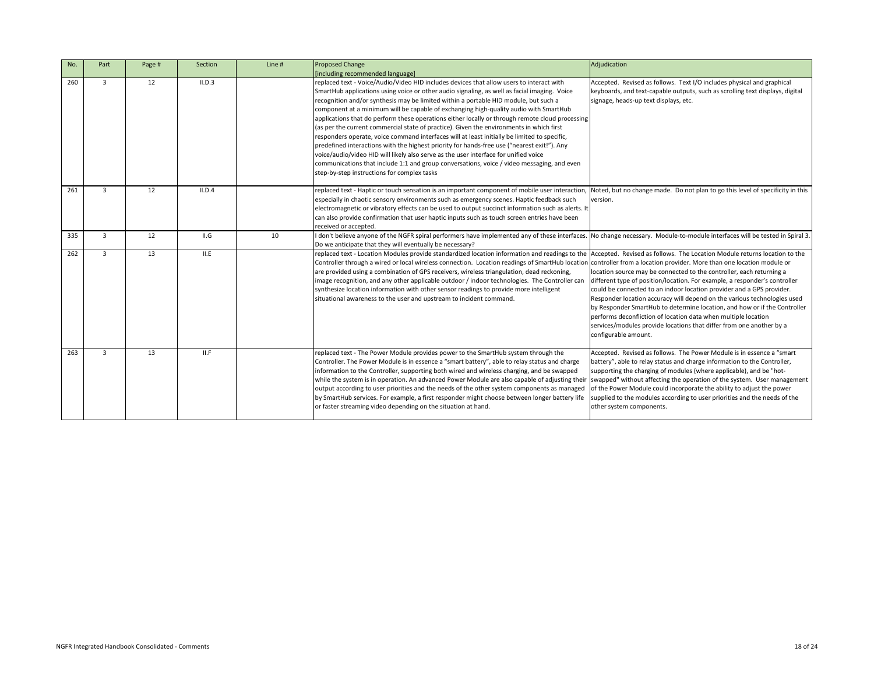| No. | Part         | Page # | Section | Line # | <b>Proposed Change</b><br>[including recommended language]                                                                                                                                                                                                                                                                                                                                                                                                                                                                                                                                                                                                                                                                                                                                                                                                                                                                                                                                                   |
|-----|--------------|--------|---------|--------|--------------------------------------------------------------------------------------------------------------------------------------------------------------------------------------------------------------------------------------------------------------------------------------------------------------------------------------------------------------------------------------------------------------------------------------------------------------------------------------------------------------------------------------------------------------------------------------------------------------------------------------------------------------------------------------------------------------------------------------------------------------------------------------------------------------------------------------------------------------------------------------------------------------------------------------------------------------------------------------------------------------|
| 260 | $\mathbf{3}$ | 12     | II.D.3  |        | replaced text - Voice/Audio/Video HID includes devices that allow users to interact with<br>SmartHub applications using voice or other audio signaling, as well as facial imaging. Voice<br>recognition and/or synthesis may be limited within a portable HID module, but such a<br>component at a minimum will be capable of exchanging high-quality audio with SmartHub<br>applications that do perform these operations either locally or through remote cloud processing<br>(as per the current commercial state of practice). Given the environments in which first<br>responders operate, voice command interfaces will at least initially be limited to specific,<br>predefined interactions with the highest priority for hands-free use ("nearest exit!"). Any<br>voice/audio/video HID will likely also serve as the user interface for unified voice<br>communications that include 1:1 and group conversations, voice / video messaging, and even<br>step-by-step instructions for complex tasks |
| 261 | 3            | 12     | II.D.4  |        | replaced text - Haptic or touch sensation is an important component of mobile user interaction,<br>especially in chaotic sensory environments such as emergency scenes. Haptic feedback such<br>electromagnetic or vibratory effects can be used to output succinct information such as alerts. It<br>can also provide confirmation that user haptic inputs such as touch screen entries have been<br>received or accepted.                                                                                                                                                                                                                                                                                                                                                                                                                                                                                                                                                                                  |
| 335 | 3            | 12     | II.G    | 10     | don't believe anyone of the NGFR spiral performers have implemented any of these interfaces.<br>Do we anticipate that they will eventually be necessary?                                                                                                                                                                                                                                                                                                                                                                                                                                                                                                                                                                                                                                                                                                                                                                                                                                                     |
| 262 | $\mathbf{3}$ | 13     | II.E    |        | replaced text - Location Modules provide standardized location information and readings to the<br>Controller through a wired or local wireless connection. Location readings of SmartHub location<br>are provided using a combination of GPS receivers, wireless triangulation, dead reckoning,<br>image recognition, and any other applicable outdoor / indoor technologies. The Controller can<br>synthesize location information with other sensor readings to provide more intelligent<br>situational awareness to the user and upstream to incident command.                                                                                                                                                                                                                                                                                                                                                                                                                                            |
| 263 | 3            | 13     | II.F    |        | replaced text - The Power Module provides power to the SmartHub system through the<br>Controller. The Power Module is in essence a "smart battery", able to relay status and charge<br>information to the Controller, supporting both wired and wireless charging, and be swapped<br>while the system is in operation. An advanced Power Module are also capable of adjusting their<br>output according to user priorities and the needs of the other system components as managed<br>by SmartHub services. For example, a first responder might choose between longer battery life<br>or faster streaming video depending on the situation at hand.                                                                                                                                                                                                                                                                                                                                                         |

|                                | Adjudication                                                                                                                                                                                                                                                                                                                                                                                                                                                                                                                                                                                                                                                                                                 |
|--------------------------------|--------------------------------------------------------------------------------------------------------------------------------------------------------------------------------------------------------------------------------------------------------------------------------------------------------------------------------------------------------------------------------------------------------------------------------------------------------------------------------------------------------------------------------------------------------------------------------------------------------------------------------------------------------------------------------------------------------------|
|                                | Accepted. Revised as follows. Text I/O includes physical and graphical<br>keyboards, and text-capable outputs, such as scrolling text displays, digital<br>signage, heads-up text displays, etc.                                                                                                                                                                                                                                                                                                                                                                                                                                                                                                             |
| ssing                          |                                                                                                                                                                                                                                                                                                                                                                                                                                                                                                                                                                                                                                                                                                              |
| эn                             |                                                                                                                                                                                                                                                                                                                                                                                                                                                                                                                                                                                                                                                                                                              |
| ion,<br>ts. It<br>n            | Noted, but no change made. Do not plan to go this level of specificity in this<br>version.                                                                                                                                                                                                                                                                                                                                                                                                                                                                                                                                                                                                                   |
| aces.                          | No change necessary. Module-to-module interfaces will be tested in Spiral 3.                                                                                                                                                                                                                                                                                                                                                                                                                                                                                                                                                                                                                                 |
| the<br>ation<br>can            | Accepted. Revised as follows. The Location Module returns location to the<br>controller from a location provider. More than one location module or<br>location source may be connected to the controller, each returning a<br>different type of position/location. For example, a responder's controller<br>could be connected to an indoor location provider and a GPS provider.<br>Responder location accuracy will depend on the various technologies used<br>by Responder SmartHub to determine location, and how or if the Controller<br>performs deconfliction of location data when multiple location<br>services/modules provide locations that differ from one another by a<br>configurable amount. |
| e;<br>Ę<br>heir<br>ged<br>life | Accepted. Revised as follows. The Power Module is in essence a "smart<br>battery", able to relay status and charge information to the Controller,<br>supporting the charging of modules (where applicable), and be "hot-<br>swapped" without affecting the operation of the system. User management<br>of the Power Module could incorporate the ability to adjust the power<br>supplied to the modules according to user priorities and the needs of the<br>other system components.                                                                                                                                                                                                                        |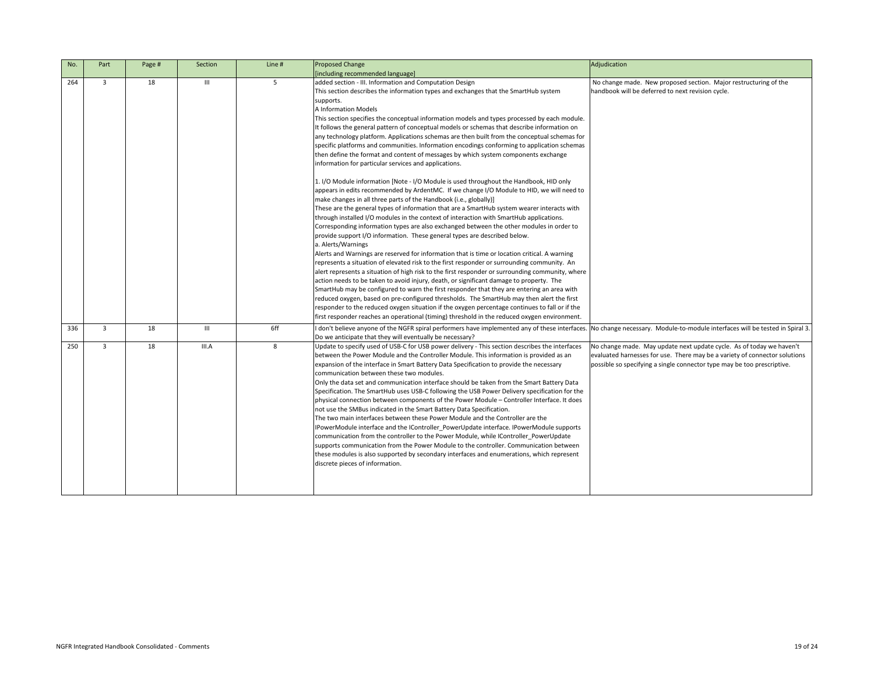| No. | Part           | Page # | Section        | Line # | <b>Proposed Change</b>                                                                                                                                                                                                                                                                                                                                                                                                                                                                                                                                                                                                                                                                                                                                                                                                                                                                                                                                                                                                                                                                                                                                                                                                                                                                                                                                                                                                                                                                                                                                                                                                                                                                                                                                                                                                                                                                                                                                                                                                                                                                   | Adjudication                                               |
|-----|----------------|--------|----------------|--------|------------------------------------------------------------------------------------------------------------------------------------------------------------------------------------------------------------------------------------------------------------------------------------------------------------------------------------------------------------------------------------------------------------------------------------------------------------------------------------------------------------------------------------------------------------------------------------------------------------------------------------------------------------------------------------------------------------------------------------------------------------------------------------------------------------------------------------------------------------------------------------------------------------------------------------------------------------------------------------------------------------------------------------------------------------------------------------------------------------------------------------------------------------------------------------------------------------------------------------------------------------------------------------------------------------------------------------------------------------------------------------------------------------------------------------------------------------------------------------------------------------------------------------------------------------------------------------------------------------------------------------------------------------------------------------------------------------------------------------------------------------------------------------------------------------------------------------------------------------------------------------------------------------------------------------------------------------------------------------------------------------------------------------------------------------------------------------------|------------------------------------------------------------|
|     |                |        |                |        | [including recommended language]                                                                                                                                                                                                                                                                                                                                                                                                                                                                                                                                                                                                                                                                                                                                                                                                                                                                                                                                                                                                                                                                                                                                                                                                                                                                                                                                                                                                                                                                                                                                                                                                                                                                                                                                                                                                                                                                                                                                                                                                                                                         |                                                            |
| 264 | 3              | 18     | $\mathbf{III}$ | 5      | added section - III. Information and Computation Design<br>This section describes the information types and exchanges that the SmartHub system<br>supports.<br><b>A Information Models</b><br>This section specifies the conceptual information models and types processed by each module.<br>It follows the general pattern of conceptual models or schemas that describe information on<br>any technology platform. Applications schemas are then built from the conceptual schemas for<br>specific platforms and communities. Information encodings conforming to application schemas<br>then define the format and content of messages by which system components exchange<br>information for particular services and applications.<br>1. I/O Module information [Note - I/O Module is used throughout the Handbook, HID only<br>appears in edits recommended by ArdentMC. If we change I/O Module to HID, we will need to<br>make changes in all three parts of the Handbook (i.e., globally)]<br>These are the general types of information that are a SmartHub system wearer interacts with<br>through installed I/O modules in the context of interaction with SmartHub applications.<br>Corresponding information types are also exchanged between the other modules in order to<br>provide support I/O information. These general types are described below.<br>a. Alerts/Warnings<br>Alerts and Warnings are reserved for information that is time or location critical. A warning<br>represents a situation of elevated risk to the first responder or surrounding community. An<br>alert represents a situation of high risk to the first responder or surrounding community, where<br>action needs to be taken to avoid injury, death, or significant damage to property. The<br>SmartHub may be configured to warn the first responder that they are entering an area with<br>reduced oxygen, based on pre-configured thresholds. The SmartHub may then alert the first<br>responder to the reduced oxygen situation if the oxygen percentage continues to fall or if the | No change made<br>handbook will be                         |
| 336 | 3              | 18     | Ш              | 6ff    | first responder reaches an operational (timing) threshold in the reduced oxygen environment.<br>don't believe anyone of the NGFR spiral performers have implemented any of these interfaces. No change necess                                                                                                                                                                                                                                                                                                                                                                                                                                                                                                                                                                                                                                                                                                                                                                                                                                                                                                                                                                                                                                                                                                                                                                                                                                                                                                                                                                                                                                                                                                                                                                                                                                                                                                                                                                                                                                                                            |                                                            |
| 250 | $\overline{3}$ | 18     | III.A          | 8      | Do we anticipate that they will eventually be necessary?<br>Update to specify used of USB-C for USB power delivery - This section describes the interfaces<br>between the Power Module and the Controller Module. This information is provided as an<br>expansion of the interface in Smart Battery Data Specification to provide the necessary<br>communication between these two modules.<br>Only the data set and communication interface should be taken from the Smart Battery Data<br>Specification. The SmartHub uses USB-C following the USB Power Delivery specification for the<br>physical connection between components of the Power Module - Controller Interface. It does<br>not use the SMBus indicated in the Smart Battery Data Specification.<br>The two main interfaces between these Power Module and the Controller are the<br>IPowerModule interface and the IController_PowerUpdate interface. IPowerModule supports<br>communication from the controller to the Power Module, while IController_PowerUpdate<br>supports communication from the Power Module to the controller. Communication between<br>these modules is also supported by secondary interfaces and enumerations, which represent<br>discrete pieces of information.                                                                                                                                                                                                                                                                                                                                                                                                                                                                                                                                                                                                                                                                                                                                                                                                                             | No change made.<br>evaluated harnes:<br>possible so specif |

|                                                                                                                                                                                                                                                                         | Adjudication                                                                                                                                                                                                                  |
|-------------------------------------------------------------------------------------------------------------------------------------------------------------------------------------------------------------------------------------------------------------------------|-------------------------------------------------------------------------------------------------------------------------------------------------------------------------------------------------------------------------------|
| martHub system                                                                                                                                                                                                                                                          | No change made. New proposed section. Major restructuring of the<br>handbook will be deferred to next revision cycle.                                                                                                         |
| ocessed by each module.<br>escribe information on<br>conceptual schemas for<br>g to application schemas<br>ponents exchange                                                                                                                                             |                                                                                                                                                                                                                               |
| Handbook, HID only<br>e to HID, we will need to                                                                                                                                                                                                                         |                                                                                                                                                                                                                               |
| n wearer interacts with<br>Hub applications.<br>er modules in order to<br>elow.                                                                                                                                                                                         |                                                                                                                                                                                                                               |
| on critical. A warning<br>ding community. An<br>nding community, where<br>to property. The<br>entering an area with<br>nay then alert the first<br>ontinues to fall or if the<br>d oxygen environment.                                                                  |                                                                                                                                                                                                                               |
|                                                                                                                                                                                                                                                                         | d any of these interfaces. No change necessary. Module-to-module interfaces will be tested in Spiral 3.                                                                                                                       |
| describes the interfaces<br>on is provided as an<br>de the necessary<br>he Smart Battery Data<br>ery specification for the<br>troller Interface. It does<br>oller are the<br>PowerModule supports<br>oller_PowerUpdate<br>mmunication between<br>tions, which represent | No change made. May update next update cycle. As of today we haven't<br>evaluated harnesses for use. There may be a variety of connector solutions<br>possible so specifying a single connector type may be too prescriptive. |
|                                                                                                                                                                                                                                                                         |                                                                                                                                                                                                                               |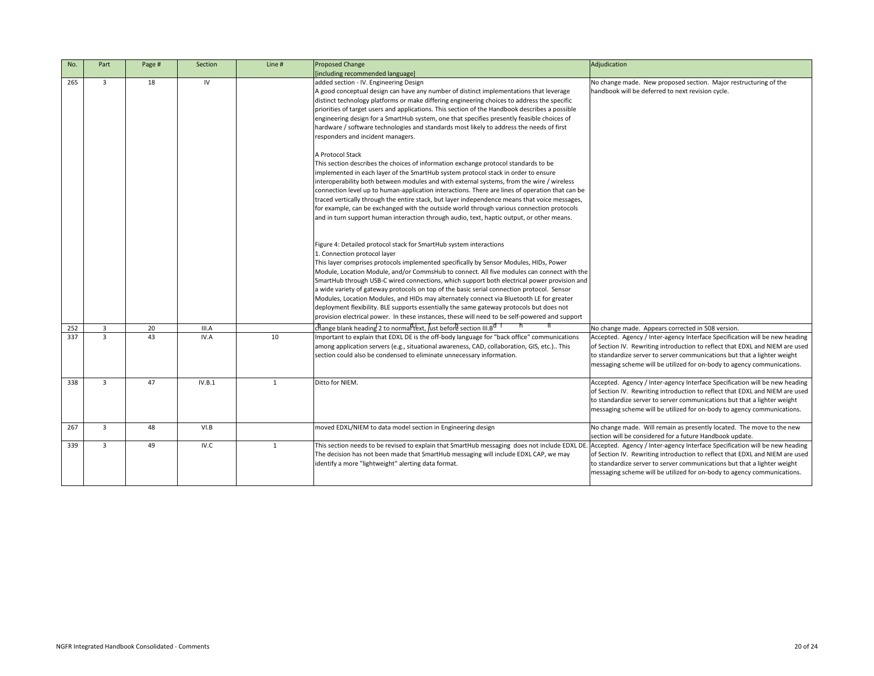| No. | Part           | Page # | Section | Line #       | <b>Proposed Change</b>                                                                                                                                                                                                                                                                                                                                                                                                                                                                                                                                                                                                                                                                                                                                                                                                                                                                                                                                                                                                                                                                                                                                                                                                                                                                                                                                                                                                                                                                                                                                                                         | Adjudication                                                                                                                                                                                                                                                                                                       |
|-----|----------------|--------|---------|--------------|------------------------------------------------------------------------------------------------------------------------------------------------------------------------------------------------------------------------------------------------------------------------------------------------------------------------------------------------------------------------------------------------------------------------------------------------------------------------------------------------------------------------------------------------------------------------------------------------------------------------------------------------------------------------------------------------------------------------------------------------------------------------------------------------------------------------------------------------------------------------------------------------------------------------------------------------------------------------------------------------------------------------------------------------------------------------------------------------------------------------------------------------------------------------------------------------------------------------------------------------------------------------------------------------------------------------------------------------------------------------------------------------------------------------------------------------------------------------------------------------------------------------------------------------------------------------------------------------|--------------------------------------------------------------------------------------------------------------------------------------------------------------------------------------------------------------------------------------------------------------------------------------------------------------------|
| 265 | 3              | 18     | IV      |              | [including recommended language]<br>added section - IV. Engineering Design<br>A good conceptual design can have any number of distinct implementations that leverage<br>distinct technology platforms or make differing engineering choices to address the specific<br>priorities of target users and applications. This section of the Handbook describes a possible<br>engineering design for a SmartHub system, one that specifies presently feasible choices of<br>hardware / software technologies and standards most likely to address the needs of first<br>responders and incident managers.<br>A Protocol Stack<br>This section describes the choices of information exchange protocol standards to be<br>implemented in each layer of the SmartHub system protocol stack in order to ensure<br>interoperability both between modules and with external systems, from the wire / wireless<br>connection level up to human-application interactions. There are lines of operation that can be<br>traced vertically through the entire stack, but layer independence means that voice messages,<br>for example, can be exchanged with the outside world through various connection protocols<br>and in turn support human interaction through audio, text, haptic output, or other means.<br>Figure 4: Detailed protocol stack for SmartHub system interactions<br>1. Connection protocol layer<br>This layer comprises protocols implemented specifically by Sensor Modules, HIDs, Power<br>Module, Location Module, and/or CommsHub to connect. All five modules can connect with the | No change made. New proposed section. Major restructuring of the<br>handbook will be deferred to next revision cycle.                                                                                                                                                                                              |
|     |                |        |         |              | SmartHub through USB-C wired connections, which support both electrical power provision and<br>a wide variety of gateway protocols on top of the basic serial connection protocol. Sensor<br>Modules, Location Modules, and HIDs may alternately connect via Bluetooth LE for greater<br>deployment flexibility. BLE supports essentially the same gateway protocols but does not<br>provision electrical power. In these instances, these will need to be self-powered and support                                                                                                                                                                                                                                                                                                                                                                                                                                                                                                                                                                                                                                                                                                                                                                                                                                                                                                                                                                                                                                                                                                            |                                                                                                                                                                                                                                                                                                                    |
| 252 | $\overline{3}$ | 20     | III.A   |              | change blank heading 2 to normal text, just before section III.B <sup>d 1</sup>                                                                                                                                                                                                                                                                                                                                                                                                                                                                                                                                                                                                                                                                                                                                                                                                                                                                                                                                                                                                                                                                                                                                                                                                                                                                                                                                                                                                                                                                                                                | No change made. Appears corrected in 508 version.                                                                                                                                                                                                                                                                  |
| 337 | $\overline{3}$ | 43     | IV.A    | 10           | Important to explain that EDXL DE is the off-body language for "back office" communications<br>among application servers (e.g., situational awareness, CAD, collaboration, GIS, etc.) This<br>section could also be condensed to eliminate unnecessary information.                                                                                                                                                                                                                                                                                                                                                                                                                                                                                                                                                                                                                                                                                                                                                                                                                                                                                                                                                                                                                                                                                                                                                                                                                                                                                                                            | Accepted. Agency / Inter-agency Interface Specification will be new heading<br>of Section IV. Rewriting introduction to reflect that EDXL and NIEM are used<br>to standardize server to server communications but that a lighter weight<br>messaging scheme will be utilized for on-body to agency communications. |
| 338 | $\mathbf{3}$   | 47     | IV.B.1  | 1            | Ditto for NIEM.                                                                                                                                                                                                                                                                                                                                                                                                                                                                                                                                                                                                                                                                                                                                                                                                                                                                                                                                                                                                                                                                                                                                                                                                                                                                                                                                                                                                                                                                                                                                                                                | Accepted. Agency / Inter-agency Interface Specification will be new heading<br>of Section IV. Rewriting introduction to reflect that EDXL and NIEM are used<br>to standardize server to server communications but that a lighter weight<br>messaging scheme will be utilized for on-body to agency communications. |
| 267 | $\overline{3}$ | 48     | VI.B    |              | moved EDXL/NIEM to data model section in Engineering design                                                                                                                                                                                                                                                                                                                                                                                                                                                                                                                                                                                                                                                                                                                                                                                                                                                                                                                                                                                                                                                                                                                                                                                                                                                                                                                                                                                                                                                                                                                                    | No change made. Will remain as presently located. The move to the new<br>section will be considered for a future Handbook update.                                                                                                                                                                                  |
| 339 | $\mathbf{3}$   | 49     | IV.C    | $\mathbf{1}$ | This section needs to be revised to explain that SmartHub messaging does not include EDXL DE. Accepted. Agency / Inter-agency Interface Specification will be new heading<br>The decision has not been made that SmartHub messaging will include EDXL CAP, we may<br>lidentify a more "lightweight" alerting data format.                                                                                                                                                                                                                                                                                                                                                                                                                                                                                                                                                                                                                                                                                                                                                                                                                                                                                                                                                                                                                                                                                                                                                                                                                                                                      | of Section IV. Rewriting introduction to reflect that EDXL and NIEM are used<br>to standardize server to server communications but that a lighter weight<br>messaging scheme will be utilized for on-body to agency communications.                                                                                |

|                                                                                                                                                                                                                                     | Adjudication                                                                                                                                                                                                                                                                                                       |
|-------------------------------------------------------------------------------------------------------------------------------------------------------------------------------------------------------------------------------------|--------------------------------------------------------------------------------------------------------------------------------------------------------------------------------------------------------------------------------------------------------------------------------------------------------------------|
| blementations that leverage<br>oices to address the specific<br>landbook describes a possible<br>presently feasible choices of<br>address the needs of first                                                                        | No change made. New proposed section. Major restructuring of the<br>handbook will be deferred to next revision cycle.                                                                                                                                                                                              |
| otocol standards to be<br>tack in order to ensure<br>ems, from the wire / wireless<br>are lines of operation that can be<br>nce means that voice messages,<br>n various connection protocols<br>ptic output, or other means.        |                                                                                                                                                                                                                                                                                                                    |
| ions:                                                                                                                                                                                                                               |                                                                                                                                                                                                                                                                                                                    |
| nsor Modules, HIDs, Power<br>ive modules can connect with the<br>oth electrical power provision and<br>onnection protocol. Sensor<br>t via Bluetooth LE for greater<br>way protocols but does not<br>to be self-powered and support |                                                                                                                                                                                                                                                                                                                    |
| <sub>r</sub> d T<br>'n                                                                                                                                                                                                              | No change made. Appears corrected in 508 version.                                                                                                                                                                                                                                                                  |
| "back office" communications<br>ollaboration, GIS, etc.) This<br>rmation.                                                                                                                                                           | Accepted. Agency / Inter-agency Interface Specification will be new heading<br>of Section IV. Rewriting introduction to reflect that EDXL and NIEM are used<br>to standardize server to server communications but that a lighter weight<br>messaging scheme will be utilized for on-body to agency communications. |
|                                                                                                                                                                                                                                     | Accepted. Agency / Inter-agency Interface Specification will be new heading<br>of Section IV. Rewriting introduction to reflect that EDXL and NIEM are used<br>to standardize server to server communications but that a lighter weight<br>messaging scheme will be utilized for on-body to agency communications. |
| n                                                                                                                                                                                                                                   | No change made. Will remain as presently located. The move to the new<br>section will be considered for a future Handbook update.                                                                                                                                                                                  |
| saging does not include EDXL DE.<br>I include EDXL CAP, we may                                                                                                                                                                      | Accepted. Agency / Inter-agency Interface Specification will be new heading<br>of Section IV. Rewriting introduction to reflect that EDXL and NIEM are used<br>to standardize server to server communications but that a lighter weight<br>messaging scheme will be utilized for on-body to agency communications. |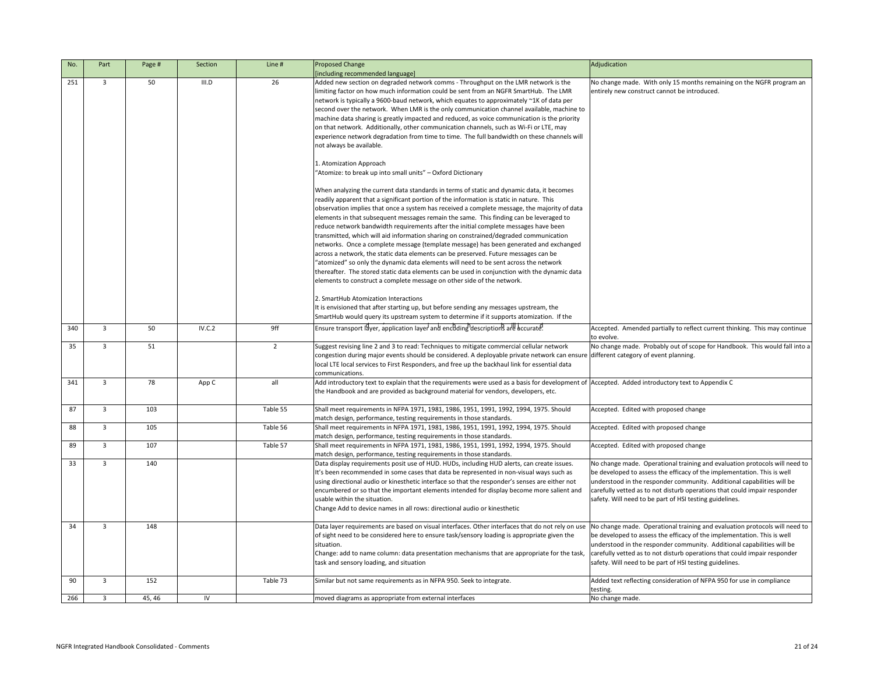|      | Adjudication                                                               |
|------|----------------------------------------------------------------------------|
|      | No change made. With only 15 months remaining on the NGFR program an       |
|      | entirely new construct cannot be introduced.                               |
|      |                                                                            |
| e to |                                                                            |
| :y   |                                                                            |
|      |                                                                            |
| vill |                                                                            |
|      |                                                                            |
|      |                                                                            |
|      |                                                                            |
|      |                                                                            |
|      |                                                                            |
|      |                                                                            |
|      |                                                                            |
| ata  |                                                                            |
|      |                                                                            |
|      |                                                                            |
| эd   |                                                                            |
|      |                                                                            |
|      |                                                                            |
| ta   |                                                                            |
|      |                                                                            |
|      |                                                                            |
|      |                                                                            |
|      |                                                                            |
|      |                                                                            |
|      | Accepted. Amended partially to reflect current thinking. This may continue |
|      | to evolve.                                                                 |
|      | No change made. Probably out of scope for Handbook. This would fall into a |
| sure | different category of event planning.                                      |
|      |                                                                            |
|      |                                                                            |
|      | nt of Accepted. Added introductory text to Appendix C                      |
|      |                                                                            |
|      |                                                                            |
|      | Accepted. Edited with proposed change                                      |
|      |                                                                            |
|      | Accepted. Edited with proposed change                                      |
|      |                                                                            |
|      | Accepted. Edited with proposed change                                      |
|      | No change made. Operational training and evaluation protocols will need to |
|      | be developed to assess the efficacy of the implementation. This is well    |
|      | understood in the responder community. Additional capabilities will be     |
| ٦d   | carefully vetted as to not disturb operations that could impair responder  |
|      | safety. Will need to be part of HSI testing guidelines.                    |
|      |                                                                            |
|      |                                                                            |
| use  | No change made. Operational training and evaluation protocols will need to |
|      | be developed to assess the efficacy of the implementation. This is well    |
|      | understood in the responder community. Additional capabilities will be     |
| ask, | carefully vetted as to not disturb operations that could impair responder  |
|      | safety. Will need to be part of HSI testing guidelines.                    |
|      |                                                                            |
|      | Added text reflecting consideration of NFPA 950 for use in compliance      |
|      | testing.                                                                   |
|      | No change made.                                                            |

| No. | Part           | Page # | Section | Line #   | <b>Proposed Change</b>                                                                                                                                                                                                                                                                                                                                                                                                                                                                                                                                                                                                                                                                                                                                                                                                                                                                                                                                                                                                                                                                                                                                                | Adjudication                                                                                                                                                                                                                                                                                                                                                            |
|-----|----------------|--------|---------|----------|-----------------------------------------------------------------------------------------------------------------------------------------------------------------------------------------------------------------------------------------------------------------------------------------------------------------------------------------------------------------------------------------------------------------------------------------------------------------------------------------------------------------------------------------------------------------------------------------------------------------------------------------------------------------------------------------------------------------------------------------------------------------------------------------------------------------------------------------------------------------------------------------------------------------------------------------------------------------------------------------------------------------------------------------------------------------------------------------------------------------------------------------------------------------------|-------------------------------------------------------------------------------------------------------------------------------------------------------------------------------------------------------------------------------------------------------------------------------------------------------------------------------------------------------------------------|
|     |                |        |         |          | [including recommended language]                                                                                                                                                                                                                                                                                                                                                                                                                                                                                                                                                                                                                                                                                                                                                                                                                                                                                                                                                                                                                                                                                                                                      |                                                                                                                                                                                                                                                                                                                                                                         |
| 251 | 3              | 50     | III.D   | 26       | Added new section on degraded network comms - Throughput on the LMR network is the<br>limiting factor on how much information could be sent from an NGFR SmartHub. The LMR<br>network is typically a 9600-baud network, which equates to approximately ~1K of data per<br>second over the network. When LMR is the only communication channel available, machine to<br>machine data sharing is greatly impacted and reduced, as voice communication is the priority<br>on that network. Additionally, other communication channels, such as Wi-Fi or LTE, may<br>experience network degradation from time to time. The full bandwidth on these channels will<br>not always be available.<br>1. Atomization Approach<br>"Atomize: to break up into small units" - Oxford Dictionary<br>When analyzing the current data standards in terms of static and dynamic data, it becomes<br>readily apparent that a significant portion of the information is static in nature. This<br>observation implies that once a system has received a complete message, the majority of data<br>elements in that subsequent messages remain the same. This finding can be leveraged to | No change made. With only 15 months remaining on the NGFR program an<br>entirely new construct cannot be introduced.                                                                                                                                                                                                                                                    |
|     |                |        |         |          | reduce network bandwidth requirements after the initial complete messages have been<br>transmitted, which will aid information sharing on constrained/degraded communication<br>networks. Once a complete message (template message) has been generated and exchanged<br>across a network, the static data elements can be preserved. Future messages can be<br>"atomized" so only the dynamic data elements will need to be sent across the network<br>thereafter. The stored static data elements can be used in conjunction with the dynamic data<br>elements to construct a complete message on other side of the network.<br>2. SmartHub Atomization Interactions<br>It is envisioned that after starting up, but before sending any messages upstream, the<br>SmartHub would query its upstream system to determine if it supports atomization. If the                                                                                                                                                                                                                                                                                                          |                                                                                                                                                                                                                                                                                                                                                                         |
| 340 | 3              | 50     | IV.C.2  | 9ff      | Ensure transport layer, application layer and encoding descriptions are accurate.                                                                                                                                                                                                                                                                                                                                                                                                                                                                                                                                                                                                                                                                                                                                                                                                                                                                                                                                                                                                                                                                                     | Accepted. Amended partially to reflect current thinking. This may continue<br>to evolve.                                                                                                                                                                                                                                                                                |
| 35  |                | 51     |         |          | Suggest revising line 2 and 3 to read: Techniques to mitigate commercial cellular network<br>congestion during major events should be considered. A deployable private network can ensure different category of event planning.<br>local LTE local services to First Responders, and free up the backhaul link for essential data<br>communications.                                                                                                                                                                                                                                                                                                                                                                                                                                                                                                                                                                                                                                                                                                                                                                                                                  | No change made. Probably out of scope for Handbook. This would fall into                                                                                                                                                                                                                                                                                                |
| 341 | 3              | 78     | App C   | all      | Add introductory text to explain that the requirements were used as a basis for development of Accepted. Added introductory text to Appendix C<br>the Handbook and are provided as background material for vendors, developers, etc.                                                                                                                                                                                                                                                                                                                                                                                                                                                                                                                                                                                                                                                                                                                                                                                                                                                                                                                                  |                                                                                                                                                                                                                                                                                                                                                                         |
| 87  | $\overline{3}$ | 103    |         | Table 55 | Shall meet requirements in NFPA 1971, 1981, 1986, 1951, 1991, 1992, 1994, 1975. Should<br>match design, performance, testing requirements in those standards.                                                                                                                                                                                                                                                                                                                                                                                                                                                                                                                                                                                                                                                                                                                                                                                                                                                                                                                                                                                                         | Accepted. Edited with proposed change                                                                                                                                                                                                                                                                                                                                   |
| 88  | $\overline{3}$ | 105    |         | Table 56 | Shall meet requirements in NFPA 1971, 1981, 1986, 1951, 1991, 1992, 1994, 1975. Should<br>match design, performance, testing requirements in those standards.                                                                                                                                                                                                                                                                                                                                                                                                                                                                                                                                                                                                                                                                                                                                                                                                                                                                                                                                                                                                         | Accepted. Edited with proposed change                                                                                                                                                                                                                                                                                                                                   |
| 89  | $\overline{3}$ | 107    |         | Table 57 | Shall meet requirements in NFPA 1971, 1981, 1986, 1951, 1991, 1992, 1994, 1975. Should<br>match design, performance, testing requirements in those standards.                                                                                                                                                                                                                                                                                                                                                                                                                                                                                                                                                                                                                                                                                                                                                                                                                                                                                                                                                                                                         | Accepted. Edited with proposed change                                                                                                                                                                                                                                                                                                                                   |
| 33  | $\overline{3}$ | 140    |         |          | Data display requirements posit use of HUD. HUDs, including HUD alerts, can create issues.<br>It's been recommended in some cases that data be represented in non-visual ways such as<br>using directional audio or kinesthetic interface so that the responder's senses are either not<br>encumbered or so that the important elements intended for display become more salient and<br>usable within the situation.<br>Change Add to device names in all rows: directional audio or kinesthetic                                                                                                                                                                                                                                                                                                                                                                                                                                                                                                                                                                                                                                                                      | No change made. Operational training and evaluation protocols will need to<br>be developed to assess the efficacy of the implementation. This is well<br>understood in the responder community. Additional capabilities will be<br>carefully vetted as to not disturb operations that could impair responder<br>safety. Will need to be part of HSI testing guidelines. |
| 34  | $\overline{3}$ | 148    |         |          | Data layer requirements are based on visual interfaces. Other interfaces that do not rely on use<br>of sight need to be considered here to ensure task/sensory loading is appropriate given the<br>situation.<br>Change: add to name column: data presentation mechanisms that are appropriate for the task,<br>task and sensory loading, and situation                                                                                                                                                                                                                                                                                                                                                                                                                                                                                                                                                                                                                                                                                                                                                                                                               | No change made. Operational training and evaluation protocols will need to<br>be developed to assess the efficacy of the implementation. This is well<br>understood in the responder community. Additional capabilities will be<br>carefully vetted as to not disturb operations that could impair responder<br>safety. Will need to be part of HSI testing guidelines. |
| 90  | 3              | 152    |         | Table 73 | Similar but not same requirements as in NFPA 950. Seek to integrate.                                                                                                                                                                                                                                                                                                                                                                                                                                                                                                                                                                                                                                                                                                                                                                                                                                                                                                                                                                                                                                                                                                  | Added text reflecting consideration of NFPA 950 for use in compliance<br>testing.                                                                                                                                                                                                                                                                                       |
| 266 | $\overline{3}$ | 45, 46 | IV      |          | moved diagrams as appropriate from external interfaces                                                                                                                                                                                                                                                                                                                                                                                                                                                                                                                                                                                                                                                                                                                                                                                                                                                                                                                                                                                                                                                                                                                | No change made.                                                                                                                                                                                                                                                                                                                                                         |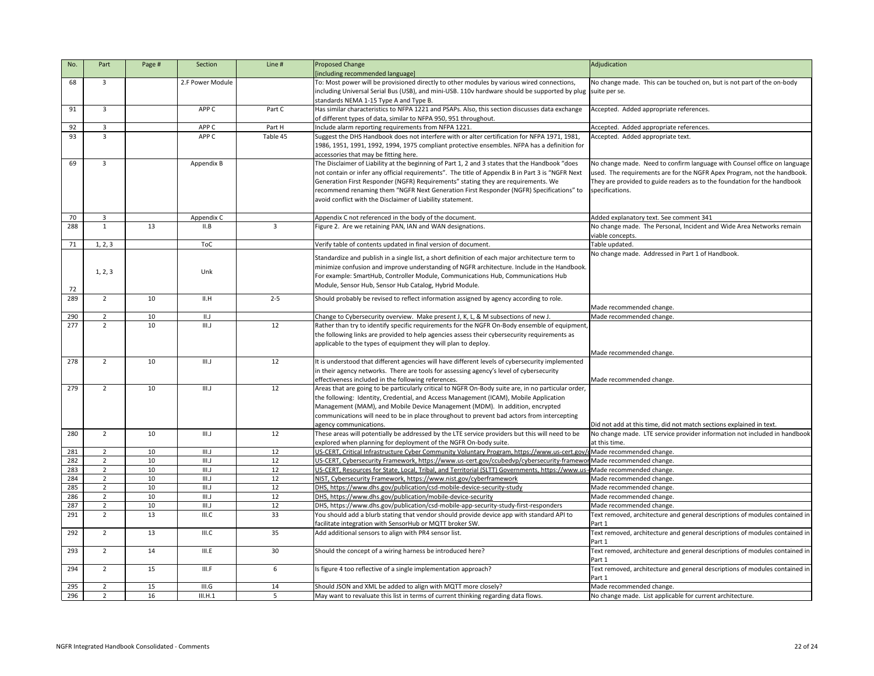| No.              | Part           | Page #          | Section          | Line #       | <b>Proposed Change</b>                                                                                              | Adjudication                                                                          |
|------------------|----------------|-----------------|------------------|--------------|---------------------------------------------------------------------------------------------------------------------|---------------------------------------------------------------------------------------|
|                  |                |                 |                  |              | [including recommended language]                                                                                    |                                                                                       |
| 68               | 3              |                 | 2.F Power Module |              | To: Most power will be provisioned directly to other modules by various wired connections,                          | No change made. This can be touched on, but is not part of the on-body                |
|                  |                |                 |                  |              | including Universal Serial Bus (USB), and mini-USB. 110v hardware should be supported by plug suite per se.         |                                                                                       |
|                  |                |                 |                  |              | standards NEMA 1-15 Type A and Type B.                                                                              |                                                                                       |
| 91               | $\overline{3}$ |                 | APP C            | Part C       | Has similar characteristics to NFPA 1221 and PSAPs. Also, this section discusses data exchange                      | Accepted. Added appropriate references.                                               |
|                  |                |                 |                  |              | of different types of data, similar to NFPA 950, 951 throughout.                                                    |                                                                                       |
| 92               | $\overline{3}$ |                 | APP <sub>C</sub> | Part H       | Include alarm reporting requirements from NFPA 1221.                                                                | Accepted. Added appropriate references.                                               |
| 93               | $\overline{3}$ |                 | APP C            | Table 45     | Suggest the DHS Handbook does not interfere with or alter certification for NFPA 1971, 1981,                        | Accepted. Added appropriate text.                                                     |
|                  |                |                 |                  |              | 1986, 1951, 1991, 1992, 1994, 1975 compliant protective ensembles. NFPA has a definition for                        |                                                                                       |
|                  |                |                 |                  |              | accessories that may be fitting here.                                                                               |                                                                                       |
| 69               | $\mathbf{3}$   |                 | Appendix B       |              | The Disclaimer of Liability at the beginning of Part 1, 2 and 3 states that the Handbook "does                      | No change made. Need to confirm language with Counsel office on language              |
|                  |                |                 |                  |              | not contain or infer any official requirements". The title of Appendix B in Part 3 is "NGFR Next                    | used. The requirements are for the NGFR Apex Program, not the handbook.               |
|                  |                |                 |                  |              | Generation First Responder (NGFR) Requirements" stating they are requirements. We                                   | They are provided to guide readers as to the foundation for the handbook              |
|                  |                |                 |                  |              | recommend renaming them "NGFR Next Generation First Responder (NGFR) Specifications" to                             | specifications.                                                                       |
|                  |                |                 |                  |              | avoid conflict with the Disclaimer of Liability statement.                                                          |                                                                                       |
| 70               | 3              |                 | Appendix C       |              | Appendix C not referenced in the body of the document.                                                              | Added explanatory text. See comment 341                                               |
| 288              | $\mathbf{1}$   | 13              | II.B             | $\mathbf{3}$ | Figure 2. Are we retaining PAN, IAN and WAN designations.                                                           | No change made. The Personal, Incident and Wide Area Networks remain                  |
|                  |                |                 |                  |              |                                                                                                                     | viable concepts.                                                                      |
| 71               | 1, 2, 3        |                 | <b>ToC</b>       |              | Verify table of contents updated in final version of document.                                                      | Table updated.                                                                        |
|                  |                |                 |                  |              |                                                                                                                     | No change made. Addressed in Part 1 of Handbook.                                      |
|                  |                |                 |                  |              | Standardize and publish in a single list, a short definition of each major architecture term to                     |                                                                                       |
|                  | 1, 2, 3        |                 | Unk              |              | minimize confusion and improve understanding of NGFR architecture. Include in the Handbook.                         |                                                                                       |
|                  |                |                 |                  |              | For example: SmartHub, Controller Module, Communications Hub, Communications Hub                                    |                                                                                       |
| 72               |                |                 |                  |              | Module, Sensor Hub, Sensor Hub Catalog, Hybrid Module.                                                              |                                                                                       |
| 289              | $2^{\circ}$    | 10              | II.H             | $2 - 5$      | Should probably be revised to reflect information assigned by agency according to role.                             |                                                                                       |
|                  |                |                 |                  |              |                                                                                                                     | Made recommended change.                                                              |
| 290              | $\overline{2}$ | 10              | II.J             |              | Change to Cybersecurity overview. Make present J, K, L, & M subsections of new J.                                   | Made recommended change.                                                              |
| $\overline{277}$ | $2^{\circ}$    | 10              | III.J            | 12           | Rather than try to identify specific requirements for the NGFR On-Body ensemble of equipment,                       |                                                                                       |
|                  |                |                 |                  |              | the following links are provided to help agencies assess their cybersecurity requirements as                        |                                                                                       |
|                  |                |                 |                  |              | applicable to the types of equipment they will plan to deploy.                                                      |                                                                                       |
| 278              | $\overline{2}$ | 10              | III.J            | 12           | It is understood that different agencies will have different levels of cybersecurity implemented                    | Made recommended change.                                                              |
|                  |                |                 |                  |              | in their agency networks. There are tools for assessing agency's level of cybersecurity                             |                                                                                       |
|                  |                |                 |                  |              | effectiveness included in the following references.                                                                 | Made recommended change.                                                              |
| 279              | $\overline{2}$ | 10              | III.J            | 12           | Areas that are going to be particularly critical to NGFR On-Body suite are, in no particular order,                 |                                                                                       |
|                  |                |                 |                  |              | the following: Identity, Credential, and Access Management (ICAM), Mobile Application                               |                                                                                       |
|                  |                |                 |                  |              | Management (MAM), and Mobile Device Management (MDM). In addition, encrypted                                        |                                                                                       |
|                  |                |                 |                  |              | communications will need to be in place throughout to prevent bad actors from intercepting                          |                                                                                       |
|                  |                |                 |                  |              | agency communications.                                                                                              | Did not add at this time, did not match sections explained in text.                   |
| 280              | $\overline{2}$ | 10              | III.J            | 12           | These areas will potentially be addressed by the LTE service providers but this will need to be                     | No change made. LTE service provider information not included in handbook             |
|                  |                |                 |                  |              | explored when planning for deployment of the NGFR On-body suite.                                                    | at this time.                                                                         |
| 281              | $\overline{2}$ | 10              | III.J            | 12           | US-CERT, Critical Infrastructure Cyber Community Voluntary Program, https://www.us-cert.gov                         | dMade recommended change.                                                             |
| 282              | $\overline{2}$ | 10 <sup>°</sup> | III.J            | 12           | US-CERT, Cybersecurity Framework, https://www.us-cert.gov/ccubedvp/cybersecurity-framework Made recommended change. |                                                                                       |
| 283              | $\overline{2}$ | 10 <sup>°</sup> | III.J            | 12           | US-CERT, Resources for State, Local, Tribal, and Territorial (SLTT) Governments, https://www.us                     | - <b>c</b> Made recommended change.                                                   |
| 284              | $\overline{2}$ | 10 <sup>°</sup> | III.J            | 12           | NIST, Cybersecurity Framework, https://www.nist.gov/cyberframework                                                  | Made recommended change.                                                              |
| 285              | $\overline{2}$ | 10 <sup>°</sup> | III.J            | 12           | DHS, https://www.dhs.gov/publication/csd-mobile-device-security-study                                               | Made recommended change.                                                              |
| 286              | $\overline{2}$ | 10 <sup>°</sup> | III.J            | 12           | DHS, https://www.dhs.gov/publication/mobile-device-security                                                         | Made recommended change.                                                              |
| 287              | $\overline{2}$ | 10 <sup>°</sup> | III.J            | 12           | DHS, https://www.dhs.gov/publication/csd-mobile-app-security-study-first-responders                                 | Made recommended change.                                                              |
| 291              | $2^{\circ}$    | 13              | III.C            | 33           | You should add a blurb stating that vendor should provide device app with standard API to                           | Text removed, architecture and general descriptions of modules contained in           |
|                  |                |                 |                  |              | facilitate integration with SensorHub or MQTT broker SW.                                                            | Part 1                                                                                |
| 292              | $2^{\circ}$    | 13              | III.C            | 35           | Add additional sensors to align with PR4 sensor list.                                                               | Text removed, architecture and general descriptions of modules contained in           |
|                  |                |                 |                  |              |                                                                                                                     | Part 1                                                                                |
| 293              | $2^{\circ}$    | 14              | III.E            | 30           | Should the concept of a wiring harness be introduced here?                                                          | Text removed, architecture and general descriptions of modules contained in           |
| 294              | $\overline{2}$ | 15              | III.F            | 6            | Is figure 4 too reflective of a single implementation approach?                                                     | Part 1<br>Text removed, architecture and general descriptions of modules contained in |
|                  |                |                 |                  |              |                                                                                                                     | Part 1                                                                                |
| 295              | $\overline{2}$ | 15              | III.G            | 14           | Should JSON and XML be added to align with MQTT more closely?                                                       | Made recommended change.                                                              |
| 296              | $\overline{2}$ | 16              | III.H.1          |              | May want to revaluate this list in terms of current thinking regarding data flows.                                  | No change made. List applicable for current architecture.                             |
|                  |                |                 |                  |              |                                                                                                                     |                                                                                       |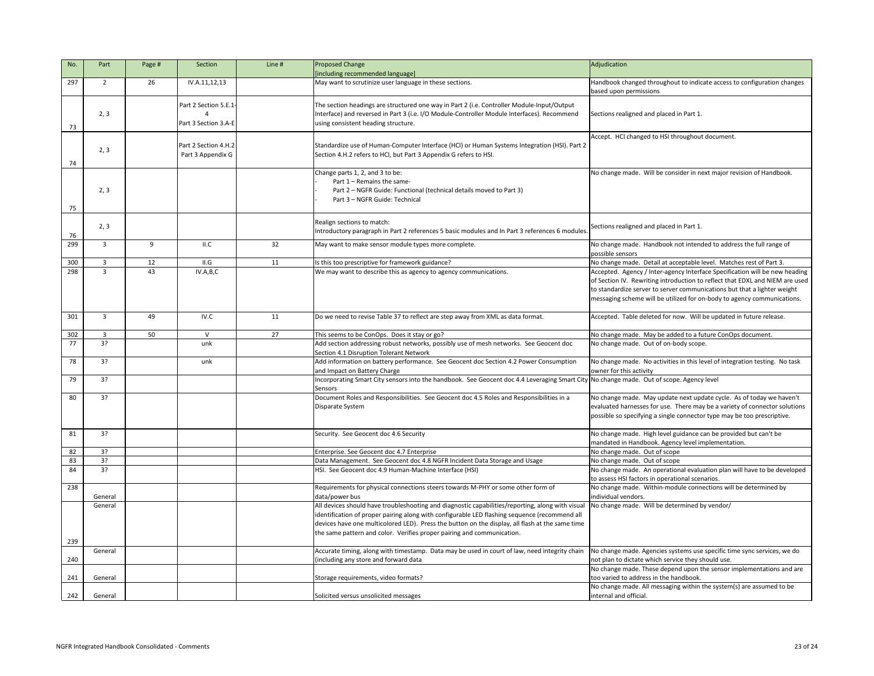| No.        | Part           | Page # | Section                                      | Line # | <b>Proposed Change</b><br>[including recommended language]                                                                                                                                                                                                                                                                                                                    | Adjudication                                                                                                                                                                                                                                                                                                       |
|------------|----------------|--------|----------------------------------------------|--------|-------------------------------------------------------------------------------------------------------------------------------------------------------------------------------------------------------------------------------------------------------------------------------------------------------------------------------------------------------------------------------|--------------------------------------------------------------------------------------------------------------------------------------------------------------------------------------------------------------------------------------------------------------------------------------------------------------------|
| 297        | 2              | 26     | IV.A.11,12,13                                |        | May want to scrutinize user language in these sections.                                                                                                                                                                                                                                                                                                                       | Handbook changed throughout to indicate access to configuration changes<br>based upon permissions                                                                                                                                                                                                                  |
| 73         | 2, 3           |        | Part 2 Section 5.E.1<br>Part 3 Section 3.A-E |        | The section headings are structured one way in Part 2 (i.e. Controller Module-Input/Output<br>Interface) and reversed in Part 3 (i.e. I/O Module-Controller Module Interfaces). Recommend<br>using consistent heading structure.                                                                                                                                              | Sections realigned and placed in Part 1.                                                                                                                                                                                                                                                                           |
| 74         | 2, 3           |        | Part 2 Section 4.H.2<br>Part 3 Appendix G    |        | Standardize use of Human-Computer Interface (HCI) or Human Systems Integration (HSI). Part 2<br>Section 4.H.2 refers to HCI, but Part 3 Appendix G refers to HSI.                                                                                                                                                                                                             | Accept. HCI changed to HSI throughout document.                                                                                                                                                                                                                                                                    |
| 75         | 2, 3           |        |                                              |        | Change parts 1, 2, and 3 to be:<br>Part 1 – Remains the same-<br>Part 2 - NGFR Guide: Functional (technical details moved to Part 3)<br>Part 3 - NGFR Guide: Technical                                                                                                                                                                                                        | No change made. Will be consider in next major revision of Handbook.                                                                                                                                                                                                                                               |
| 76         | 2, 3           |        |                                              |        | Realign sections to match:<br>Introductory paragraph in Part 2 references 5 basic modules and In Part 3 references 6 modules.                                                                                                                                                                                                                                                 | Sections realigned and placed in Part 1.                                                                                                                                                                                                                                                                           |
| 299        | 3              | 9      | II.C                                         | 32     | May want to make sensor module types more complete.                                                                                                                                                                                                                                                                                                                           | No change made. Handbook not intended to address the full range of<br>possible sensors                                                                                                                                                                                                                             |
| 300        | $\overline{3}$ | 12     | II.G                                         | 11     | Is this too prescriptive for framework guidance?                                                                                                                                                                                                                                                                                                                              | No change made. Detail at acceptable level. Matches rest of Part 3.                                                                                                                                                                                                                                                |
| 298        | $\overline{3}$ | 43     | IV.A,B,C                                     |        | We may want to describe this as agency to agency communications.                                                                                                                                                                                                                                                                                                              | Accepted. Agency / Inter-agency Interface Specification will be new heading<br>of Section IV. Rewriting introduction to reflect that EDXL and NIEM are used<br>to standardize server to server communications but that a lighter weight<br>messaging scheme will be utilized for on-body to agency communications. |
| 301        | $\overline{3}$ | 49     | IV.C                                         | 11     | Do we need to revise Table 37 to reflect are step away from XML as data format.                                                                                                                                                                                                                                                                                               | Accepted. Table deleted for now. Will be updated in future release.                                                                                                                                                                                                                                                |
| 302        | $\overline{3}$ | 50     | $\mathsf{V}$                                 | 27     | This seems to be ConOps. Does it stay or go?                                                                                                                                                                                                                                                                                                                                  | No change made. May be added to a future ConOps document.                                                                                                                                                                                                                                                          |
| 77         | 3?             |        | unk                                          |        | Add section addressing robust networks, possibly use of mesh networks. See Geocent doc<br>Section 4.1 Disruption Tolerant Network                                                                                                                                                                                                                                             | No change made. Out of on-body scope.                                                                                                                                                                                                                                                                              |
| 78         | 3?             |        | unk                                          |        | Add information on battery performance. See Geocent doc Section 4.2 Power Consumption<br>and Impact on Battery Charge                                                                                                                                                                                                                                                         | No change made. No activities in this level of integration testing. No task<br>owner for this activity                                                                                                                                                                                                             |
| 79         | 3?             |        |                                              |        | Incorporating Smart City sensors into the handbook. See Geocent doc 4.4 Leveraging Smart City No change made. Out of scope. Agency level<br>Sensors                                                                                                                                                                                                                           |                                                                                                                                                                                                                                                                                                                    |
| 80         | 3?             |        |                                              |        | Document Roles and Responsibilities. See Geocent doc 4.5 Roles and Responsibilities in a<br>Disparate System                                                                                                                                                                                                                                                                  | No change made. May update next update cycle. As of today we haven't<br>evaluated harnesses for use. There may be a variety of connector solutions<br>possible so specifying a single connector type may be too prescriptive.                                                                                      |
| 81         | 3?             |        |                                              |        | Security. See Geocent doc 4.6 Security                                                                                                                                                                                                                                                                                                                                        | No change made. High level guidance can be provided but can't be<br>mandated in Handbook. Agency level implementation.                                                                                                                                                                                             |
| 82         | 3?             |        |                                              |        | Enterprise. See Geocent doc 4.7 Enterprise                                                                                                                                                                                                                                                                                                                                    | No change made. Out of scope                                                                                                                                                                                                                                                                                       |
| 83         | 3?             |        |                                              |        | Data Management. See Geocent doc 4.8 NGFR Incident Data Storage and Usage                                                                                                                                                                                                                                                                                                     | No change made. Out of scope                                                                                                                                                                                                                                                                                       |
| 84         | 3?             |        |                                              |        | HSI. See Geocent doc 4.9 Human-Machine Interface (HSI)                                                                                                                                                                                                                                                                                                                        | No change made. An operational evaluation plan will have to be developed<br>to assess HSI factors in operational scenarios.                                                                                                                                                                                        |
| 238        | General        |        |                                              |        | Requirements for physical connections steers towards M-PHY or some other form of<br>data/power bus                                                                                                                                                                                                                                                                            | No change made. Within-module connections will be determined by<br>individual vendors.                                                                                                                                                                                                                             |
| 239        | General        |        |                                              |        | All devices should have troubleshooting and diagnostic capabilities/reporting, along with visua<br>identification of proper pairing along with configurable LED flashing sequence (recommend all<br>devices have one multicolored LED). Press the button on the display, all flash at the same time<br>the same pattern and color. Verifies proper pairing and communication. | No change made. Will be determined by vendor/                                                                                                                                                                                                                                                                      |
|            |                |        |                                              |        | Accurate timing, along with timestamp. Data may be used in court of law, need integrity chain                                                                                                                                                                                                                                                                                 | No change made. Agencies systems use specific time sync services, we do                                                                                                                                                                                                                                            |
|            | General        |        |                                              |        |                                                                                                                                                                                                                                                                                                                                                                               |                                                                                                                                                                                                                                                                                                                    |
| 240<br>241 | General        |        |                                              |        | including any store and forward data                                                                                                                                                                                                                                                                                                                                          | not plan to dictate which service they should use.<br>No change made. These depend upon the sensor implementations and are<br>too varied to address in the handbook.                                                                                                                                               |
| 242        | General        |        |                                              |        | Storage requirements, video formats?<br>Solicited versus unsolicited messages                                                                                                                                                                                                                                                                                                 | No change made. All messaging within the system(s) are assumed to be<br>internal and official.                                                                                                                                                                                                                     |